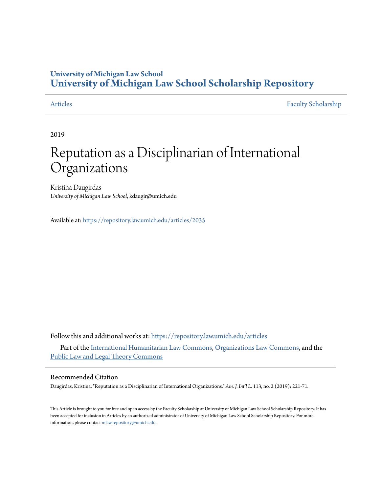## **University of Michigan Law School [University of Michigan Law School Scholarship Repository](https://repository.law.umich.edu?utm_source=repository.law.umich.edu%2Farticles%2F2035&utm_medium=PDF&utm_campaign=PDFCoverPages)**

[Articles](https://repository.law.umich.edu/articles?utm_source=repository.law.umich.edu%2Farticles%2F2035&utm_medium=PDF&utm_campaign=PDFCoverPages) [Faculty Scholarship](https://repository.law.umich.edu/faculty_scholarship?utm_source=repository.law.umich.edu%2Farticles%2F2035&utm_medium=PDF&utm_campaign=PDFCoverPages)

2019

# Reputation as a Disciplinarian of International Organizations

Kristina Daugirdas *University of Michigan Law School*, kdaugir@umich.edu

Available at: <https://repository.law.umich.edu/articles/2035>

Follow this and additional works at: [https://repository.law.umich.edu/articles](https://repository.law.umich.edu/articles?utm_source=repository.law.umich.edu%2Farticles%2F2035&utm_medium=PDF&utm_campaign=PDFCoverPages)

Part of the [International Humanitarian Law Commons,](http://network.bepress.com/hgg/discipline/1330?utm_source=repository.law.umich.edu%2Farticles%2F2035&utm_medium=PDF&utm_campaign=PDFCoverPages) [Organizations Law Commons](http://network.bepress.com/hgg/discipline/865?utm_source=repository.law.umich.edu%2Farticles%2F2035&utm_medium=PDF&utm_campaign=PDFCoverPages), and the [Public Law and Legal Theory Commons](http://network.bepress.com/hgg/discipline/871?utm_source=repository.law.umich.edu%2Farticles%2F2035&utm_medium=PDF&utm_campaign=PDFCoverPages)

#### Recommended Citation

Daugirdas, Kristina. "Reputation as a Disciplinarian of International Organizations." *Am. J. Int'l L.* 113, no. 2 (2019): 221-71.

This Article is brought to you for free and open access by the Faculty Scholarship at University of Michigan Law School Scholarship Repository. It has been accepted for inclusion in Articles by an authorized administrator of University of Michigan Law School Scholarship Repository. For more information, please contact [mlaw.repository@umich.edu.](mailto:mlaw.repository@umich.edu)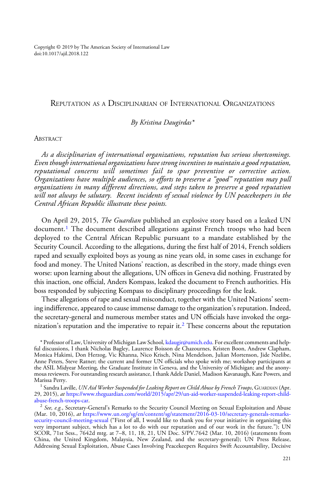Copyright © 2019 by The American Society of International Law doi:10.1017/ajil.2018.122

#### REPUTATION AS A DISCIPLINARIAN OF INTERNATIONAL ORGANIZATIONS

#### By Kristina Daugirdas\*

**ABSTRACT** 

As a disciplinarian of international organizations, reputation has serious shortcomings. Even though international organizations have strong incentives to maintain a good reputation, reputational concerns will sometimes fail to spur preventive or corrective action. Organizations have multiple audiences, so efforts to preserve a "good" reputation may pull organizations in many different directions, and steps taken to preserve a good reputation will not always be salutary. Recent incidents of sexual violence by UN peacekeepers in the Central African Republic illustrate these points.

On April 29, 2015, The Guardian published an explosive story based on a leaked UN document.<sup>1</sup> The document described allegations against French troops who had been deployed to the Central African Republic pursuant to a mandate established by the Security Council. According to the allegations, during the first half of 2014, French soldiers raped and sexually exploited boys as young as nine years old, in some cases in exchange for food and money. The United Nations' reaction, as described in the story, made things even worse: upon learning about the allegations, UN offices in Geneva did nothing. Frustrated by this inaction, one official, Anders Kompass, leaked the document to French authorities. His boss responded by subjecting Kompass to disciplinary proceedings for the leak.

These allegations of rape and sexual misconduct, together with the United Nations' seeming indifference, appeared to cause immense damage to the organization's reputation. Indeed, the secretary-general and numerous member states and UN officials have invoked the organization's reputation and the imperative to repair it.<sup>2</sup> These concerns about the reputation

\* Professor of Law, University of Michigan Law School, [kdaugir@umich.edu](mailto:kdaugir@umich.edu). For excellent comments and helpful discussions, I thank Nicholas Bagley, Laurence Boisson de Chazournes, Kristen Boon, Andrew Clapham, Monica Hakimi, Don Herzog, Vic Khanna, Nico Krisch, Nina Mendelson, Julian Mortenson, Jide Nzelibe, Anne Peters, Steve Ratner; the current and former UN officials who spoke with me; workshop participants at the ASIL Midyear Meeting, the Graduate Institute in Geneva, and the University of Michigan; and the anonymous reviewers. For outstanding research assistance, I thank Adele Daniel, Madison Kavanaugh, Kate Powers, and

Marissa Perry.<br><sup>1</sup> Sandra Laville, *UN Aid Worker Suspended for Leaking Report on Child Abuse by French Troops,* GUARDIAN (Apr. 29, 2015), at [https://www.theguardian.com/world/2015/apr/29/un-aid-worker-suspended-leaking-report-child-](https://www.theguardian.com/world/2015/apr/29/un-aid-worker-suspended-leaking-report-child-abuse-french-troops-car)

[abuse-french-troops-car](https://www.theguardian.com/world/2015/apr/29/un-aid-worker-suspended-leaking-report-child-abuse-french-troops-car).<br><sup>2</sup> See, e.g., Secretary-General's Remarks to the Security Council Meeting on Sexual Exploitation and Abuse (Mar. 10, 2016), at [https://www.un.org/sg/en/content/sg/statement/2016-03-10/secretary-generals-remarks](https://www.un.org/sg/en/content/sg/statement/2016-03-10/secretary-generals-remarks-security-council-meeting-sexual)[security-council-meeting-sexual](https://www.un.org/sg/en/content/sg/statement/2016-03-10/secretary-generals-remarks-security-council-meeting-sexual) ("First of all, I would like to thank you for your initiative in organizing this very important subject, which has a lot to do with our reputation and of our work in the future."); UN SCOR, 71st Sess., 7642d mtg. at 7–8, 11, 18, 21, UN Doc. S/PV.7642 (Mar. 10, 2016) (statements from China, the United Kingdom, Malaysia, New Zealand, and the secretary-general); UN Press Release, Addressing Sexual Exploitation, Abuse Cases Involving Peacekeepers Requires Swift Accountability, Decisive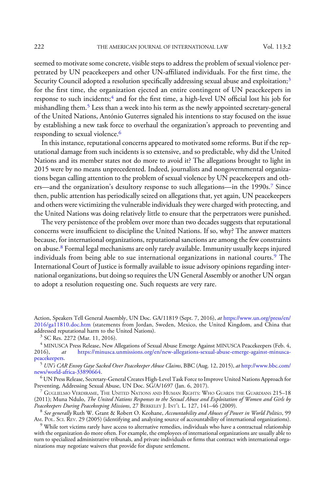seemed to motivate some concrete, visible steps to address the problem of sexual violence perpetrated by UN peacekeepers and other UN-affiliated individuals. For the first time, the Security Council adopted a resolution specifically addressing sexual abuse and exploitation;<sup>3</sup> for the first time, the organization ejected an entire contingent of UN peacekeepers in response to such incidents;<sup>4</sup> and for the first time, a high-level UN official lost his job for mishandling them.<sup>5</sup> Less than a week into his term as the newly appointed secretary-general of the United Nations, António Guterres signaled his intentions to stay focused on the issue by establishing a new task force to overhaul the organization's approach to preventing and responding to sexual violence.<sup>6</sup>

In this instance, reputational concerns appeared to motivated some reforms. But if the reputational damage from such incidents is so extensive, and so predictable, why did the United Nations and its member states not do more to avoid it? The allegations brought to light in 2015 were by no means unprecedented. Indeed, journalists and nongovernmental organizations began calling attention to the problem of sexual violence by UN peacekeepers and others—and the organization's desultory response to such allegations—in the 1990s.<sup>7</sup> Since then, public attention has periodically seized on allegations that, yet again, UN peacekeepers and others were victimizing the vulnerable individuals they were charged with protecting, and the United Nations was doing relatively little to ensure that the perpetrators were punished.

The very persistence of the problem over more than two decades suggests that reputational concerns were insufficient to discipline the United Nations. If so, why? The answer matters because, for international organizations, reputational sanctions are among the few constraints on abuse.<sup>8</sup> Formal legal mechanisms are only rarely available. Immunity usually keeps injured individuals from being able to sue international organizations in national courts.<sup>9</sup> The International Court of Justice is formally available to issue advisory opinions regarding international organizations, but doing so requires the UN General Assembly or another UN organ to adopt a resolution requesting one. Such requests are very rare.

Action, Speakers Tell General Assembly, UN Doc. GA/11819 (Sept. 7, 2016), at [https://www.un.org/press/en/](https://www.un.org/press/en/2016/ga11810.doc.htm) [2016/ga11810.doc.htm](https://www.un.org/press/en/2016/ga11810.doc.htm) (statements from Jordan, Sweden, Mexico, the United Kingdom, and China that addressed reputational harm to the United Nations). <sup>3</sup> SC Res. 2272 (Mar. 11, 2016).

<sup>4</sup> MINUSCA Press Release, New Allegations of Sexual Abuse Emerge Against MINUSCA Peacekeepers (Feb. 4, 2016),  $at$  https://minusca.unmissions.org/en/new-allegations-sexual-abuse-emerge-against-minusca-2016), at https://minusca.unmissions.org/en/new-allegations-sexual-abuse-emerge-against-minusca-<br>peacekeepers.

 $\sim$  <sup>5</sup> UN's CAR Envoy Gaye Sacked Over Peacekeeper Abuse Claims, BBC (Aug. 12, 2015), at [http://www.bbc.com/](http://www.bbc.com/news/world-africa-33890664)<br>news/world-africa-33890664.

 $^{6}$  UN Press Release, Secretary-General Creates High-Level Task Force to Improve United Nations Approach for Preventing, Addressing Sexual Abuse, UN Doc. SG/A/1697 (Jan. 6, 2017).

 $^7$  Guglielmo Verdirame, The United Nations and Human Rights: Who Guards the Guardians 215–18 (2011); Muna Ndulo, *The United Nations Responses to the Sexual Abuse and Exploitation of Women and Girls by*<br>Peacekeepers During Peacekeeping Missions, 27 BERKELEY J. INT'L L. 127, 141–46 (2009).

<sup>8</sup> See generally Ruth W. Grant & Robert O. Keohane, *Accountability and Abuses of Power in World Politics*, 99<br>AM. POL. SCI. REV. 29 (2005) (identifying and analyzing source of accountability of international organization

<sup>9</sup> While tort victims rarely have access to alternative remedies, individuals who have a contractual relationship with the organization do more often. For example, the employees of international organizations are usually able to turn to specialized administrative tribunals, and private individuals or firms that contract with international organizations may negotiate waivers that provide for dispute settlement.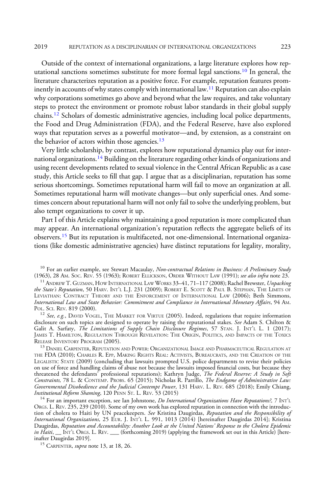#### 2019 REPUTATION AS A DISCIPLINARIAN OF INTERNATIONAL ORGANIZATIONS 223

Outside of the context of international organizations, a large literature explores how reputational sanctions sometimes substitute for more formal legal sanctions.<sup>10</sup> In general, the literature characterizes reputation as a positive force. For example, reputation features prominently in accounts of why states comply with international law.<sup>11</sup> Reputation can also explain why corporations sometimes go above and beyond what the law requires, and take voluntary steps to protect the environment or promote robust labor standards in their global supply chains.<sup>12</sup> Scholars of domestic administrative agencies, including local police departments, the Food and Drug Administration (FDA), and the Federal Reserve, have also explored ways that reputation serves as a powerful motivator—and, by extension, as a constraint on the behavior of actors within those agencies.<sup>13</sup>

Very little scholarship, by contrast, explores how reputational dynamics play out for international organizations.<sup>14</sup> Building on the literature regarding other kinds of organizations and using recent developments related to sexual violence in the Central African Republic as a case study, this Article seeks to fill that gap. I argue that as a disciplinarian, reputation has some serious shortcomings. Sometimes reputational harm will fail to move an organization at all. Sometimes reputational harm will motivate changes—but only superficial ones. And sometimes concern about reputational harm will not only fail to solve the underlying problem, but also tempt organizations to cover it up.

Part I of this Article explains why maintaining a good reputation is more complicated than may appear. An international organization's reputation reflects the aggregate beliefs of its observers.<sup>15</sup> But its reputation is multifaceted, not one-dimensional. International organizations (like domestic administrative agencies) have distinct reputations for legality, morality,

 $12$  See, e.g., DAVID VOGEL, THE MARKET FOR VIRTUE (2005). Indeed, regulations that require information disclosure on such topics are designed to operate by raising the reputational stakes. See Adam S. Chilton & Galit A. Sarfaty, *The Limitations of Supply Chain Disclosure Regimes*, 57 STAN. J. INT'L L. 1 (2017); JAMES T. HAMILTON, REGULATION THROUGH REVELATION: THE ORIGIN, POLITICS, AND IMPACTS OF THE TOXICS RELEASE INVENTORY PROGRAM (2005).<br><sup>13</sup> Daniel Carpenter, Reputation and Power: Organizational Image and Pharmaceutical Regulation at

THE FDA (2010); CHARLES R. EPP, MAKING RIGHTS REAL: ACTIVISTS, BUREAUCRATS, AND THE CREATION OF THE LEGALISTIC STATE (2009) (concluding that lawsuits prompted U.S. police departments to revise their policies on use of force and handling claims of abuse not because the lawsuits imposed financial costs, but because they threatened the defendants' professional reputations); Kathryn Judge, The Federal Reserve: A Study in Soft Constraints, 78 L. & CONTEMP. PROBS. 65 (2015); Nicholas R. Parrillo, The Endgame of Administrative Law: Governmental Disobedience and the Judicial Contempt Power, 131 HARV. L. REV. 685 (2018); Emily Chiang, Institutional Reform Shaming, 120 PENN ST. L. REV. 53 (2015)

 $14$  For an important exception, see Ian Johnstone, *Do International Organizations Have Reputations*?, 7 INT'L ORGS. L. REV. 235, 239 (2010). Some of my own work has explored reputation in connection with the introduction of cholera to Haiti by UN peacekeepers. See Kristina Daugirdas, Reputation and the Responsibility of International Organizations, 25 EUR. J. INT'<sup>L</sup> L. 991, 1013 (2014) [hereinafter Daugirdas 2014]; Kristina Daugirdas, Reputation and Accountability: Another Look at the United Nations' Response to the Cholera Epidemic *in Haiti*,  $\Box$  INT'L ORGS. L. REV.  $\Box$  (forthcoming 2019) (applying the framework set out in this Article) [here-<br>inafter Daugirdas 2019].

 $15$  CARPENTER, supra note 13, at 18, 26.

 $^{10}$  For an earlier example, see Stewart Macaulay, *Non-contractual Relations in Business: A Preliminary Study* (1963), 28 Am. Soc. Rev. 55 (1963); ROBERT ELLICKSON, ORDER WITHOUT LAW (1991); see also infra note 23.

 $^{11}$  Andrew T. Guzman, How International Law Works 33–41, 71–117 (2008); Rachel Brewster, *Unpacking* t*he State's Reputation*, 50 Harv. Int'l L.J. 231 (2009); ROBERT E. SCOTT & PAUL B. Stephan, The Limits of LEVIATHAN: CONTRACT THEORY AND THE ENFORCEMENT OF INTERNATIONAL LAW (2006); Beth Simmons, International Law and State Behavior: Commitment and Compliance in International Monetary Affairs, 94 Am.<br>POL. SCI. REV. 819 (2000).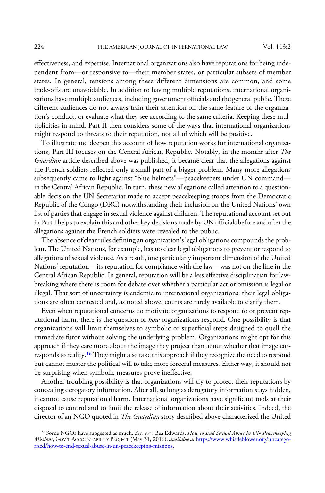effectiveness, and expertise. International organizations also have reputations for being independent from—or responsive to—their member states, or particular subsets of member states. In general, tensions among these different dimensions are common, and some trade-offs are unavoidable. In addition to having multiple reputations, international organizations have multiple audiences, including government officials and the general public. These different audiences do not always train their attention on the same feature of the organization's conduct, or evaluate what they see according to the same criteria. Keeping these multiplicities in mind, Part II then considers some of the ways that international organizations might respond to threats to their reputation, not all of which will be positive.

To illustrate and deepen this account of how reputation works for international organizations, Part III focuses on the Central African Republic. Notably, in the months after The Guardian article described above was published, it became clear that the allegations against the French soldiers reflected only a small part of a bigger problem. Many more allegations subsequently came to light against "blue helmets"—peacekeepers under UN command in the Central African Republic. In turn, these new allegations called attention to a questionable decision the UN Secretariat made to accept peacekeeping troops from the Democratic Republic of the Congo (DRC) notwithstanding their inclusion on the United Nations' own list of parties that engage in sexual violence against children. The reputational account set out in Part I helps to explain this and other key decisions made by UN officials before and after the allegations against the French soldiers were revealed to the public.

The absence of clear rules defining an organization's legal obligations compounds the problem. The United Nations, for example, has no clear legal obligations to prevent or respond to allegations of sexual violence. As a result, one particularly important dimension of the United Nations' reputation—its reputation for compliance with the law—was not on the line in the Central African Republic. In general, reputation will be a less effective disciplinarian for lawbreaking where there is room for debate over whether a particular act or omission is legal or illegal. That sort of uncertainty is endemic to international organizations: their legal obligations are often contested and, as noted above, courts are rarely available to clarify them.

Even when reputational concerns do motivate organizations to respond to or prevent reputational harm, there is the question of how organizations respond. One possibility is that organizations will limit themselves to symbolic or superficial steps designed to quell the immediate furor without solving the underlying problem. Organizations might opt for this approach if they care more about the image they project than about whether that image corresponds to reality.<sup>16</sup> They might also take this approach if they recognize the need to respond but cannot muster the political will to take more forceful measures. Either way, it should not be surprising when symbolic measures prove ineffective.

Another troubling possibility is that organizations will try to protect their reputations by concealing derogatory information. After all, so long as derogatory information stays hidden, it cannot cause reputational harm. International organizations have significant tools at their disposal to control and to limit the release of information about their activities. Indeed, the director of an NGO quoted in *The Guardian* story described above characterized the United

<sup>&</sup>lt;sup>16</sup> Some NGOs have suggested as much. See, e.g., Bea Edwards, How to End Sexual Abuse in UN Peacekeeping Missions, GOV'T ACCOUNTABILITY PROJECT (May 31, 2016), *available at [https://www.whistleblower.org/uncatego](https://www.whistleblower.org/uncategorized/how-to-end-sexual-abuse-in-un-peacekeeping-missions)*[rized/how-to-end-sexual-abuse-in-un-peacekeeping-missions](https://www.whistleblower.org/uncategorized/how-to-end-sexual-abuse-in-un-peacekeeping-missions).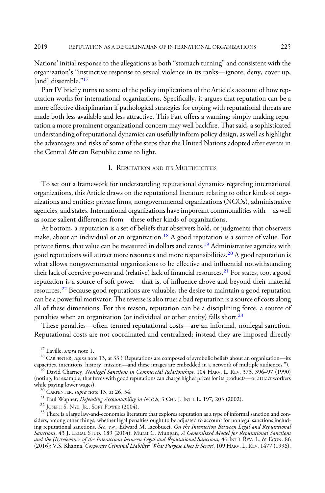Nations' initial response to the allegations as both "stomach turning" and consistent with the organization's "instinctive response to sexual violence in its ranks—ignore, deny, cover up, [and] dissemble."<sup>17</sup>

Part IV briefly turns to some of the policy implications of the Article's account of how reputation works for international organizations. Specifically, it argues that reputation can be a more effective disciplinarian if pathological strategies for coping with reputational threats are made both less available and less attractive. This Part offers a warning: simply making reputation a more prominent organizational concern may well backfire. That said, a sophisticated understanding of reputational dynamics can usefully inform policy design, as well as highlight the advantages and risks of some of the steps that the United Nations adopted after events in the Central African Republic came to light.

#### I. REPUTATION AND ITS MULTIPLICITIES

To set out a framework for understanding reputational dynamics regarding international organizations, this Article draws on the reputational literature relating to other kinds of organizations and entities: private firms, nongovernmental organizations (NGOs), administrative agencies, and states. International organizations have important commonalities with—as well as some salient differences from—these other kinds of organizations.

At bottom, a reputation is a set of beliefs that observers hold, or judgments that observers make, about an individual or an organization.<sup>18</sup> A good reputation is a source of value. For private firms, that value can be measured in dollars and cents.<sup>19</sup> Administrative agencies with good reputations will attract more resources and more responsibilities.<sup>20</sup> A good reputation is what allows nongovernmental organizations to be effective and influential notwithstanding their lack of coercive powers and (relative) lack of financial resources.<sup>21</sup> For states, too, a good reputation is a source of soft power—that is, of influence above and beyond their material resources.<sup>22</sup> Because good reputations are valuable, the desire to maintain a good reputation can be a powerful motivator. The reverse is also true: a bad reputation is a source of costs along all of these dimensions. For this reason, reputation can be a disciplining force, a source of penalties when an organization (or individual or other entity) falls short.<sup>23</sup>

These penalties—often termed reputational costs—are an informal, nonlegal sanction. Reputational costs are not coordinated and centralized; instead they are imposed directly

<sup>17</sup> Laville, *supra* note 1.<br><sup>18</sup> CARPENTER, *supra* note 13, at 33 ("Reputations are composed of symbolic beliefs about an organization—its capacities, intentions, history, mission—and these images are embedded in a net

<sup>19</sup> David Charney, *Nonlegal Sanctions in Commercial Relationships*, 104 HARV. L. REV. 373, 396–97 (1990) (noting, for example, that firms with good reputations can charge higher prices for its products—or attract workers

<sup>20</sup> CARPENTER, *supra* note 13, at 26, 54.<br><sup>21</sup> Paul Wapner, *Defending Accountability in NGOs*, 3 CHI. J. INT'L L. 197, 203 (2002).<br><sup>22</sup> JOSEPH S. NYE, JR., SOFT POWER (2004).<br><sup>23</sup> There is a large law-and-economics lit siders, among other things, whether legal penalties ought to be adjusted to account for nonlegal sanctions including reputational sanctions. See, e.g., Edward M. Iacobucci, *On the Interaction Between Legal and Reputational* Sanctions, 43 J. LEGAL STUD. 189 (2014); Murat C. Mungan, *A Generalized Model for Reputational Sanctions* and the (Ir)relevance of the Interactions between Legal and Reputational Sanctions, 46 INT'<sup>L</sup> REV. L. & ECON. 86 (2016); V.S. Khanna, Corporate Criminal Liability: What Purpose Does It Serve?, 109 HARV. L. REV. 1477 (1996).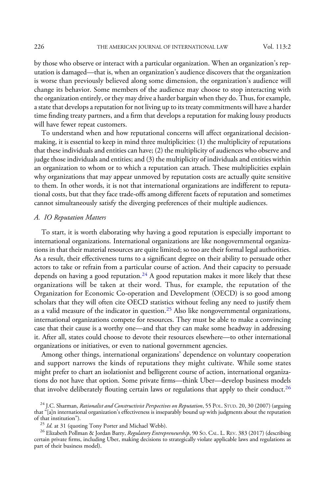by those who observe or interact with a particular organization. When an organization's reputation is damaged—that is, when an organization's audience discovers that the organization is worse than previously believed along some dimension, the organization's audience will change its behavior. Some members of the audience may choose to stop interacting with the organization entirely, or they may drive a harder bargain when they do. Thus, for example, a state that develops a reputation for not living up to its treaty commitments will have a harder time finding treaty partners, and a firm that develops a reputation for making lousy products will have fewer repeat customers.

To understand when and how reputational concerns will affect organizational decisionmaking, it is essential to keep in mind three multiplicities: (1) the multiplicity of reputations that these individuals and entities can have; (2) the multiplicity of audiences who observe and judge those individuals and entities; and (3) the multiplicity of individuals and entities within an organization to whom or to which a reputation can attach. These multiplicities explain why organizations that may appear unmoved by reputation costs are actually quite sensitive to them. In other words, it is not that international organizations are indifferent to reputational costs, but that they face trade-offs among different facets of reputation and sometimes cannot simultaneously satisfy the diverging preferences of their multiple audiences.

#### A. IO Reputation Matters

To start, it is worth elaborating why having a good reputation is especially important to international organizations. International organizations are like nongovernmental organizations in that their material resources are quite limited; so too are their formal legal authorities. As a result, their effectiveness turns to a significant degree on their ability to persuade other actors to take or refrain from a particular course of action. And their capacity to persuade depends on having a good reputation.<sup>24</sup> A good reputation makes it more likely that these organizations will be taken at their word. Thus, for example, the reputation of the Organization for Economic Co-operation and Development (OECD) is so good among scholars that they will often cite OECD statistics without feeling any need to justify them as a valid measure of the indicator in question.<sup>25</sup> Also like nongovernmental organizations, international organizations compete for resources. They must be able to make a convincing case that their cause is a worthy one—and that they can make some headway in addressing it. After all, states could choose to devote their resources elsewhere—to other international organizations or initiatives, or even to national government agencies.

Among other things, international organizations' dependence on voluntary cooperation and support narrows the kinds of reputations they might cultivate. While some states might prefer to chart an isolationist and belligerent course of action, international organizations do not have that option. Some private firms—think Uber—develop business models that involve deliberately flouting certain laws or regulations that apply to their conduct.<sup>26</sup>

 $^{24}$  J.C. Sharman, *Rationalist and Constructivist Perspectives on Reputation*, 55 P01. STUD. 20, 30 (2007) (arguing that "[a]n international organization's effectiveness is inseparably bound up with judgments about the reputation of that institution").<br><sup>25</sup> Id. at 31 (quoting Tony Porter and Michael Webb).<br><sup>26</sup> Elizabeth Pollman & Jordan Barry, *Regulatory Entrepreneurship*, 90 So. CAL. L. REV. 383 (2017) (describing

certain private firms, including Uber, making decisions to strategically violate applicable laws and regulations as part of their business model).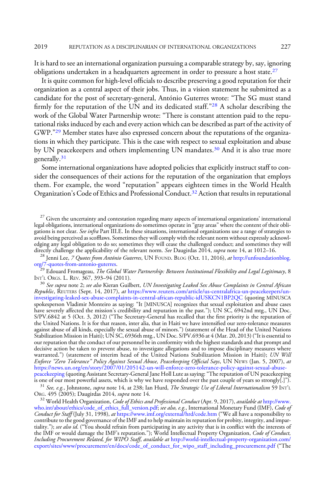It is hard to see an international organization pursuing a comparable strategy by, say, ignoring obligations undertaken in a headquarters agreement in order to pressure a host state.<sup>27</sup>

It is quite common for high-level officials to describe preserving a good reputation for their organization as a central aspect of their jobs. Thus, in a vision statement he submitted as a candidate for the post of secretary-general, António Guterres wrote: "The SG must stand firmly for the reputation of the UN and its dedicated staff."<sup>28</sup> A scholar describing the work of the Global Water Partnership wrote: "There is constant attention paid to the reputational risks induced by each and every action which can be described as part of the activity of GWP."<sup>29</sup> Member states have also expressed concern about the reputations of the organizations in which they participate. This is the case with respect to sexual exploitation and abuse by UN peacekeepers and others implementing UN mandates.<sup>30</sup> And it is also true more generally.<sup>31</sup>

Some international organizations have adopted policies that explicitly instruct staff to consider the consequences of their actions for the reputation of the organization that employs them. For example, the word "reputation" appears eighteen times in the World Health Organization's Code of Ethics and Professional Conduct.<sup>32</sup> Action that results in reputational

<sup>27</sup> Given the uncertainty and contestation regarding many aspects of international organizations' international legal obligations, international organizations do sometimes operate in "gray areas" where the content of their obligations is not clear. See infra Part III.E. In these situations, international organizations use a range of strategies to avoid being perceived as scofflaws. Sometimes they will comply with the relevant norm without expressly acknowledging any legal obligation to do so; sometimes they will cease the challenged conduct; and sometimes they will

directly challenge the applicability of the relevant norm. *See* Daugirdas 2014, *supra* note 14, at 1012–16.<br><sup>28</sup> Jenni Lee, 7 *Quotes from António Guterres*, UN FOUND. BLOG (Oct. 11, 2016), *at* [http://unfoundationblog.](http://unfoundationblog.org/7-quotes-from-antonio-guterres)<br>

<sup>29</sup> Edouard Fromageau, *The Global Water Partnership: Between Institutional Flexibility and Legal Legitimacy*, 8<br>In<sup>-</sup>ri Orgs. L. Rev. 367, 393–94 (2011).

 $^{\rm 30}$  See supra note 2; see also Kieran Guilbert, UN Investigating Leaked Sex Abuse Complaints in Central African Republic, REUTERS (Sept. 14, 2017), at [https://www.reuters.com/article/us-centralafrica-un-peacekeepers/un](https://www.reuters.com/article/us-centralafrica-un-peacekeepers/un-investigating-leaked-sex-abuse-complaints-in-central-african-republic-idUSKCN1BP2QC)[investigating-leaked-sex-abuse-complaints-in-central-african-republic-idUSKCN1BP2QC](https://www.reuters.com/article/us-centralafrica-un-peacekeepers/un-investigating-leaked-sex-abuse-complaints-in-central-african-republic-idUSKCN1BP2QC) (quoting MINUSCA spokesperson Vladimir Monteiro as saying: "It [MINUSCA] recognizes that sexual exploitation and abuse cases have severely affected the mission's credibility and reputation in the past."); UN SC, 6942nd mtg., UN Doc. S/PV.6842 at 5 (Oct. 3, 2012) ("The Secretary-General has recalled that the first priority is the reputation of the United Nations. It is for that reason, inter alia, that in Haiti we have intensified our zero-tolerance measures against abuse of all kinds, especially the sexual abuse of minors.") (statement of the Head of the United Nations Stabilization Mission in Haiti); UN SC, 6936th mtg., UN Doc. S/PV.6936 at 4 (Mar. 20, 2013) ("It is essential to our reputation that the conduct of our personnel be in conformity with the highest standards and that prompt and decisive action be taken to prevent abuse, to investigate allegations and to impose disciplinary measures where warranted.") (statement of interim head of the United Nations Stabilization Mission in Haiti); UN Will Enforce "Zero Tolerance" Policy Against Sexual Abuse, Peacekeeping Official Says, UN NEWS (Jan. 5, 2007), at [https://news.un.org/en/story/2007/01/205142-un-will-enforce-zero-tolerance-policy-against-sexual-abuse](https://news.un.org/en/story/2007/01/205142-un-will-enforce-zero-tolerance-policy-against-sexual-abuse-peacekeeping)[peacekeeping](https://news.un.org/en/story/2007/01/205142-un-will-enforce-zero-tolerance-policy-against-sexual-abuse-peacekeeping) (quoting Assistant Secretary-General Jane Holl Lute as saying: "The reputation of UN peacekeeping<br>is one of our most powerful assets, which is why we have responded over the past couple of years so strongly[.]

<sup>31</sup> See, e.g., Johnstone, *supra* note 14, at 238; Ian Hurd, *The Strategic Use of Liberal Internationalism* 59 INT'L ORG. 495 (2005); Daugirdas 2014, *supra* note 14.

<sup>32</sup> World Health Organization, *Code of Ethics and Professional Conduct* (Apr. 9, 2017), *available at* [http://www.](http://www.who.int/about/ethics/code_of_ethics_full_version.pdf) [who.int/about/ethics/code\\_of\\_ethics\\_full\\_version.pdf;](http://www.who.int/about/ethics/code_of_ethics_full_version.pdf) see also, e.g., International Monetary Fund (IMF), Code of Conduct for Staff (July 31, 1998), at <https://www.imf.org/external/hrd/code.htm> ("We all have a responsibility to contribute to the good governance of the IMF and to help maintain its reputation for probity, integrity, and impartiality."); *see also id*. ("You should refrain from participating in any activity that is in conflict with the interests of the IMF or would damage the IMF's reputation."); World Intellectual Property Organization, Code of Conduct, Including Procurement Related, for WIPO Staff, available at [http://world-intellectual-property-organization.com/](http://world-intellectual-property-organization.com/export/sites/www/procurement/en/docs/code_of_conduct_for_wipo_staff_including_procurement.pdf) [export/sites/www/procurement/en/docs/code\\_of\\_conduct\\_for\\_wipo\\_staff\\_including\\_procurement.pdf](http://world-intellectual-property-organization.com/export/sites/www/procurement/en/docs/code_of_conduct_for_wipo_staff_including_procurement.pdf) ("The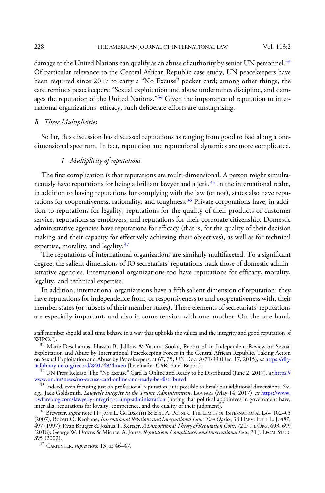damage to the United Nations can qualify as an abuse of authority by senior UN personnel.<sup>33</sup> Of particular relevance to the Central African Republic case study, UN peacekeepers have been required since 2017 to carry a "No Excuse" pocket card; among other things, the card reminds peacekeepers: "Sexual exploitation and abuse undermines discipline, and damages the reputation of the United Nations."<sup>34</sup> Given the importance of reputation to international organizations' efficacy, such deliberate efforts are unsurprising.

#### B. Three Multiplicities

So far, this discussion has discussed reputations as ranging from good to bad along a onedimensional spectrum. In fact, reputation and reputational dynamics are more complicated.

#### 1. Multiplicity of reputations

The first complication is that reputations are multi-dimensional. A person might simultaneously have reputations for being a brilliant lawyer and a jerk.<sup>35</sup> In the international realm, in addition to having reputations for complying with the law (or not), states also have reputations for cooperativeness, rationality, and toughness.<sup>36</sup> Private corporations have, in addition to reputations for legality, reputations for the quality of their products or customer service, reputations as employers, and reputations for their corporate citizenship. Domestic administrative agencies have reputations for efficacy (that is, for the quality of their decision making and their capacity for effectively achieving their objectives), as well as for technical expertise, morality, and legality.<sup>37</sup>

The reputations of international organizations are similarly multifaceted. To a significant degree, the salient dimensions of IO secretariats' reputations track those of domestic administrative agencies. International organizations too have reputations for efficacy, morality, legality, and technical expertise.

In addition, international organizations have a fifth salient dimension of reputation: they have reputations for independence from, or responsiveness to and cooperativeness with, their member states (or subsets of their member states). These elements of secretariats' reputations are especially important, and also in some tension with one another. On the one hand,

<sup>35</sup> Indeed, even focusing just on professional reputation, it is possible to break out additional dimensions. See, e.g., Jack Goldsmith, Lawyerly Integrity in the Trump Administration, LAWFARE (May 14, 2017), at [https://www.](https://www.lawfareblog.com/lawyerly-integrity-trump-administration) [lawfareblog.com/lawyerly-integrity-trump-administration](https://www.lawfareblog.com/lawyerly-integrity-trump-administration) (noting that political appointees in government have, inter alia, reputations for loyalty, competence, and the quality of their judgment).

staff member should at all time behave in a way that upholds the values and the integrity and good reputation of

WIPO.").<br><sup>33</sup> Marie Deschamps, Hassan B. Jalllow & Yasmin Sooka, Report of an Independent Review on Sexual Exploitation and Abuse by International Peacekeeping Forces in the Central African Republic, Taking Action on Sexual Exploitation and Abuse by Peacekeepers, at 67, 75, UN Doc. A/71/99 (Dec. 17, 2015), at [https://dig](https://digitallibrary.un.org/record/840749/?ln=en)[itallibrary.un.org/record/840749/?ln=en](https://digitallibrary.un.org/record/840749/?ln=en) [hereinafter CAR Panel Report].

 $34$  UN Press Release, The "No Excuse" Card Is Online and Ready to be Distributed (June 2, 2017), *at* [https://](https://www.un.int/news/no-excuse-card-online-and-ready-be-distributed)<br>www.un.int/news/no-excuse-card-online-and-ready-be-distributed.

 $^{36}$  Brewster, *supra* note 11; JACK L. GOLDSMITH & ERIC A. POSNER, THE LIMITS OF INTERNATIONAL LAW 102–03 (2007), Robert Ó. Keohane, *International Relations and International Law: Two Optics*, 38 HARV. INT'L L. J. 487, 497 (1997); Ryan Brutger & Joshua T. Kertzer, A Dispositional Theory of Reputation Costs, 72 INT'L ORG. 693, 699 (2018); George W. Downs & Michael A. Jones, *Reputation, Compliance, and International Law,* 31 J. LEGAL STUD.<br>S95 (2002).

 $37$  CARPENTER, supra note 13, at 46–47.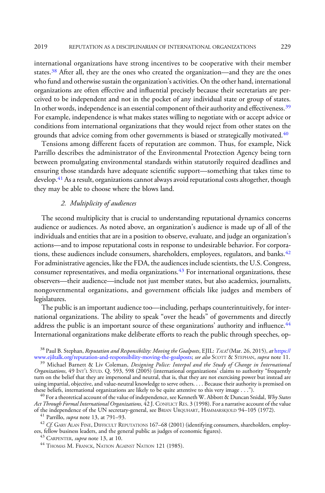international organizations have strong incentives to be cooperative with their member states.<sup>38</sup> After all, they are the ones who created the organization—and they are the ones who fund and otherwise sustain the organization's activities. On the other hand, international organizations are often effective and influential precisely because their secretariats are perceived to be independent and not in the pocket of any individual state or group of states. In other words, independence is an essential component of their authority and effectiveness.<sup>39</sup> For example, independence is what makes states willing to negotiate with or accept advice or conditions from international organizations that they would reject from other states on the grounds that advice coming from other governments is biased or strategically motivated.<sup>40</sup>

Tensions among different facets of reputation are common. Thus, for example, Nick Parrillo describes the administrator of the Environmental Protection Agency being torn between promulgating environmental standards within statutorily required deadlines and ensuring those standards have adequate scientific support—something that takes time to develop.<sup>41</sup> As a result, organizations cannot always avoid reputational costs altogether, though they may be able to choose where the blows land.

#### 2. Multiplicity of audiences

The second multiplicity that is crucial to understanding reputational dynamics concerns audience or audiences. As noted above, an organization's audience is made up of all of the individuals and entities that are in a position to observe, evaluate, and judge an organization's actions—and to impose reputational costs in response to undesirable behavior. For corporations, these audiences include consumers, shareholders, employees, regulators, and banks.<sup>42</sup> For administrative agencies, like the FDA, the audiences include scientists, the U.S. Congress, consumer representatives, and media organizations.<sup>43</sup> For international organizations, these observers—their audience—include not just member states, but also academics, journalists, nongovernmental organizations, and government officials like judges and members of legislatures.

The public is an important audience too—including, perhaps counterintuitively, for international organizations. The ability to speak "over the heads" of governments and directly address the public is an important source of these organizations' authority and influence.<sup>44</sup> International organizations make deliberate efforts to reach the public through speeches, op-

these beliefs, international organizations are likely to be quite attentive to this very image . . .").<br><sup>40</sup> For a theoretical account of the value of independence, see Kenneth W. Abbott & Duncan Snidal, *Why States* Act Through Formal International Organizations, 42 J. CONFLICT RES. 3 (1998). For a narrative account of the value of the independence of the UN secretary-general, see BRIAN URQUHART, HAMMARSKJOLD 94–105 (1972).

<sup>41</sup> Parrillo, *supra* note 13, at 791–93.<br><sup>42</sup> Cf. GARY ALAN FINE, DIFFICULT REPUTATIONS 167–68 (2001) (identifying consumers, shareholders, employees, fellow business leaders, and the general public as judges of economic figures).

<sup>&</sup>lt;sup>38</sup> Paul B. Stephan, *Reputation and Responsibility: Moving the Goalposts*, EJIL: *TALK!* (Mar. 26, 2015), *at* [https://](https://www.ejiltalk.org/reputation-and-responsibility-moving-the-goalposts)<br>www.ejiltalk.org/reputation-and-responsibility-moving-the-goalposts; *see also* SCOTT & STEPHAN, *su* [www.ejiltalk.org/reputation-and-responsibility-moving-the-goalposts;](https://www.ejiltalk.org/reputation-and-responsibility-moving-the-goalposts) see also SCOTT & STEPHAN, supra note 11.<br><sup>39</sup> Michael Barnett & Liv Coleman, *Designing Police: Interpol and the Study of Change in International* 

Organizations, 49 INT'<sup>L</sup> STUD. Q. 593, 598 (2005) (international organizations' claims to authority "frequently turn on the belief that they are impersonal and neutral, that is, that they are not exercising power but instead are using impartial, objective, and value-neutral knowledge to serve others. . . . Because their authority is premised on

 $^{43}$  Carpenter, *supra* note 13, at 10.<br> $^{44}$  Thomas M. Franck, Nation Against Nation 121 (1985).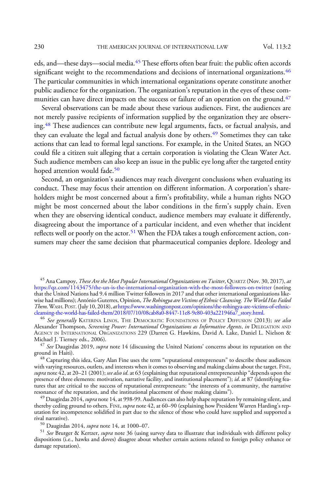eds, and—these days—social media.<sup>45</sup> These efforts often bear fruit: the public often accords significant weight to the recommendations and decisions of international organizations.<sup>46</sup> The particular communities in which international organizations operate constitute another public audience for the organization. The organization's reputation in the eyes of these communities can have direct impacts on the success or failure of an operation on the ground.<sup>47</sup>

Several observations can be made about these various audiences. First, the audiences are not merely passive recipients of information supplied by the organization they are observing.<sup>48</sup> These audiences can contribute new legal arguments, facts, or factual analysis, and they can evaluate the legal and factual analysis done by others.<sup>49</sup> Sometimes they can take actions that can lead to formal legal sanctions. For example, in the United States, an NGO could file a citizen suit alleging that a certain corporation is violating the Clean Water Act. Such audience members can also keep an issue in the public eye long after the targeted entity hoped attention would fade.<sup>50</sup>

Second, an organization's audiences may reach divergent conclusions when evaluating its conduct. These may focus their attention on different information. A corporation's shareholders might be most concerned about a firm's profitability, while a human rights NGO might be most concerned about the labor conditions in the firm's supply chain. Even when they are observing identical conduct, audience members may evaluate it differently, disagreeing about the importance of a particular incident, and even whether that incident reflects well or poorly on the actor.<sup>51</sup> When the FDA takes a tough enforcement action, consumers may cheer the same decision that pharmaceutical companies deplore. Ideology and

<sup>45</sup> Ana Campoy, *These Are the Most Popular International Organizations on Twitter*, QUARTZ (Nov. 30, 2017), *at* <https://qz.com/1143475/the-un-is-the-international-organization-with-the-most-followers-on-twitter> (noting that the United Nations had 9.4 million Twitter followers in 2017 and that other international organizations likewise had millions); António Guterres, Opinion, The Rohingya are Victims of Ethnic Cleansing. The World Has Failed Them.WASH. POST. (July 10, 2018), at [https://www.washingtonpost.com/opinions/the-rohingya-are-victims-of-ethnic-](https://www.washingtonpost.com/opinions/the-rohingya-are-victims-of-ethnic-cleansing-the-world-has-failed-them/2018/07/10/08cab8a0-8447-11e8-9e80-403a221946a7_story.html)

<sup>46</sup> See generally KATERINA LINOS, THE DEMOCRATIC FOUNDATIONS OF POLICY DIFFUSION (2013); see also Alexander Thompson, *Screening Power: International Organizations as Informative Agents, in* DELEGATION AND AGENCY IN INTERNATIONAL ORGANIZATIONS 229 (Darren G. Hawkins, David A. Lake, Daniel L. Nielson & Michael J. Tierney eds., 2006).

<sup>47</sup> See Daugirdas 2019, *supra* note 14 (discussing the United Nations' concerns about its reputation on the ground in Haiti).

<sup>48</sup> Capturing this idea, Gary Alan Fine uses the term "reputational entrepreneurs" to describe these audiences with varying resources, outlets, and interests when it comes to observing and making claims about the target. FINE, supra note 42, at 20-21 (2001); see also id. at 63 (explaining that reputational entrepreneurship "depends upon the presence of three elements: motivation, narrative facility, and institutional placement"); id. at 87 (identifying features that are critical to the success of reputational entrepreneurs: "the interests of a community, the narrative resonance of the reputation, and the institutional placement of those making claims").

 $^{49}$  Daugirdas 2014, *supra* note 14, at 998-99. Audiences can also help shape reputation by remaining silent, and thereby ceding ground to others. FINE, *supra* note 42, at 60–90 (explaining how President Warren Harding's rep-<br>utation for incompetence solidified in part due to the silence of those who could have supplied and supported rival narrative).<br><sup>50</sup> Daugirdas 2014, *supra* note 14, at 1000–07.<br><sup>51</sup> *See* Brutger & Kertzer, *supra* note 36 (using survey data to illustrate that individuals with different policy

dispositions (i.e., hawks and doves) disagree about whether certain actions related to foreign policy enhance or damage reputation).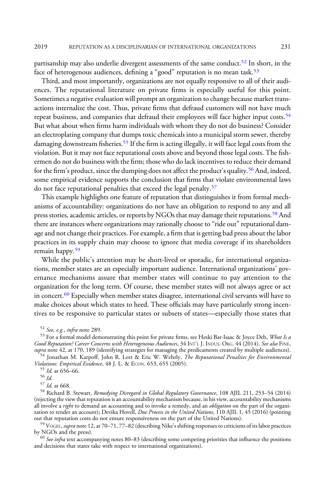partisanship may also underlie divergent assessments of the same conduct.<sup>52</sup> In short, in the face of heterogenous audiences, defining a "good" reputation is no mean task.<sup>53</sup>

Third, and most importantly, organizations are not equally responsive to all of their audiences. The reputational literature on private firms is especially useful for this point. Sometimes a negative evaluation will prompt an organization to change because market transactions internalize the cost. Thus, private firms that defraud customers will not have much repeat business, and companies that defraud their employees will face higher input costs.<sup>54</sup> But what about when firms harm individuals with whom they do not do business? Consider an electroplating company that dumps toxic chemicals into a municipal storm sewer, thereby damaging downstream fisheries.<sup>55</sup> If the firm is acting illegally, it will face legal costs from the violation. But it may not face reputational costs above and beyond those legal costs. The fishermen do not do business with the firm; those who do lack incentives to reduce their demand for the firm's product, since the dumping does not affect the product's quality.<sup>56</sup> And, indeed, some empirical evidence supports the conclusion that firms that violate environmental laws do not face reputational penalties that exceed the legal penalty.<sup>57</sup>

This example highlights one feature of reputation that distinguishes it from formal mechanisms of accountability: organizations do not have an obligation to respond to any and all press stories, academic articles, or reports by NGOs that may damage their reputations.<sup>58</sup> And there are instances where organizations may rationally choose to "ride out" reputational damage and not change their practices. For example, a firm that is getting bad press about the labor practices in its supply chain may choose to ignore that media coverage if its shareholders remain happy.<sup>59</sup>

While the public's attention may be short-lived or sporadic, for international organizations, member states are an especially important audience. International organizations' governance mechanisms assure that member states will continue to pay attention to the organization for the long term. Of course, these member states will not always agree or act in concert.<sup>60</sup> Especially when member states disagree, international civil servants will have to make choices about which states to heed. These officials may have particularly strong incentives to be responsive to particular states or subsets of states—especially those states that

<sup>52</sup> See, e.g., infra note 289.<br><sup>53</sup> For a formal model demonstrating this point for private firms, see Heski Bar-Isaac & Joyce Deb, *What Is a* Good Reputation? Career Concerns with Heterogeneous Audiences, 34 INT'<sup>L</sup> J. INDUS. ORG. 44 (2014). See also FINE, supra note 42, at 170, 189 (identifying strategies for managing the predicaments created by multiple audiences).

<sup>54</sup> Jonathan M. Karpoff, John R. Lott & Eric W. Wehrly, *The Reputational Penalties for Environmental* Violations: Empirical Evidence, 48 J. L. & ECON. 653, 655 (2005).<br><sup>55</sup> Id. at 656–66.<br><sup>56</sup> Id.

57 Id. at 668.<br><sup>58</sup> Richard B. Stewart, *Remedying Disregard in Global Regulatory Governance*, 108 AJIL 211, 253–54 (2014) (rejecting the view that reputation is an accountability mechanism because, in his view, accountability mechanisms all involve a *right* to demand an accounting and to invoke a remedy, and an *obligation* on the part of the organization to render an account); Devika Hovell, *Due Process in the United Nations*, 110 AJIL 1, 45 (2016) (pointing

out that reputation costs do not ensure responsiveness on the part of the United Nations).<br><sup>59</sup> VOGEL, *supra* note 12, at 70–71, 77–82 (describing Nike's shifting responses to criticisms of its labor practices<br>by NGOs an

 $60$  See infra text accompanying notes 80–83 (describing some competing priorities that influence the positions and decisions that states take with respect to international organizations).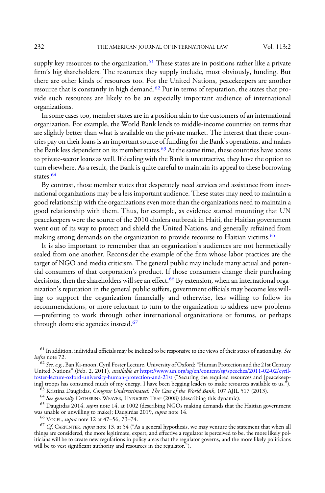supply key resources to the organization.<sup>61</sup> These states are in positions rather like a private firm's big shareholders. The resources they supply include, most obviously, funding. But there are other kinds of resources too. For the United Nations, peacekeepers are another resource that is constantly in high demand.<sup>62</sup> Put in terms of reputation, the states that provide such resources are likely to be an especially important audience of international organizations.

In some cases too, member states are in a position akin to the customers of an international organization. For example, the World Bank lends to middle-income countries on terms that are slightly better than what is available on the private market. The interest that these countries pay on their loans is an important source of funding for the Bank's operations, and makes the Bank less dependent on its member states.<sup>63</sup> At the same time, these countries have access to private-sector loans as well. If dealing with the Bank is unattractive, they have the option to turn elsewhere. As a result, the Bank is quite careful to maintain its appeal to these borrowing states.<sup>64</sup>

By contrast, those member states that desperately need services and assistance from international organizations may be a less important audience. These states may need to maintain a good relationship with the organizations even more than the organizations need to maintain a good relationship with them. Thus, for example, as evidence started mounting that UN peacekeepers were the source of the 2010 cholera outbreak in Haiti, the Haitian government went out of its way to protect and shield the United Nations, and generally refrained from making strong demands on the organization to provide recourse to Haitian victims.<sup>65</sup>

It is also important to remember that an organization's audiences are not hermetically sealed from one another. Reconsider the example of the firm whose labor practices are the target of NGO and media criticism. The general public may include many actual and potential consumers of that corporation's product. If those consumers change their purchasing decisions, then the shareholders will see an effect.<sup>66</sup> By extension, when an international organization's reputation in the general public suffers, government officials may become less willing to support the organization financially and otherwise, less willing to follow its recommendations, or more reluctant to turn to the organization to address new problems —preferring to work through other international organizations or forums, or perhaps through domestic agencies instead.<sup>67</sup>

United Nations" (Feb. 2, 2011), available at [https://www.un.org/sg/en/content/sg/speeches/2011-02-02/cyril](https://www.un.org/sg/en/content/sg/speeches/2011-02-02/cyril-foster-lecture-oxford-university-human-protection-and-21st)[foster-lecture-oxford-university-human-protection-and-21st](https://www.un.org/sg/en/content/sg/speeches/2011-02-02/cyril-foster-lecture-oxford-university-human-protection-and-21st) ("Securing the required resources and [peacekeep-ing] troops has consumed much of my energy. I have been begging leaders to make resources available to us.").

 $^{63}$ Kristina Daugirdas, Congress Underestimated: The Case of the World Bank, 107 AJIL 517 (2013).<br>  $^{64}$  See generally CATHERINE WEAVER, HYPOCRISY TRAP (2008) (describing this dynamic).

<sup>65</sup> Daugirdas 2014, *supra* note 14, at 1002 (describing NGOs making demands that the Haitian government was unable or unwilling to make); Daugirdas 2019, *supra* note 14. <sup>66</sup> VOGEL, *supra* note 12 at 47–56, 73–74.

<sup>67</sup> Cf. CARPENTER, supra note 13, at 54 ("As a general hypothesis, we may venture the statement that when all things are considered, the more legitimate, expert, and effective a regulator is perceived to be, the more likely politicians will be to create new regulations in policy areas that the regulator governs, and the more likely politicians will be to vest significant authority and resources in the regulator.").

<sup>&</sup>lt;sup>61</sup> In addition, individual officials may be inclined to be responsive to the views of their states of nationality. See infra note 72. i*nfra* note 72.<br><sup>62</sup> *See, e.g.*, Ban Ki-moon, Cyril Foster Lecture, University of Oxford: "Human Protection and the 21st Century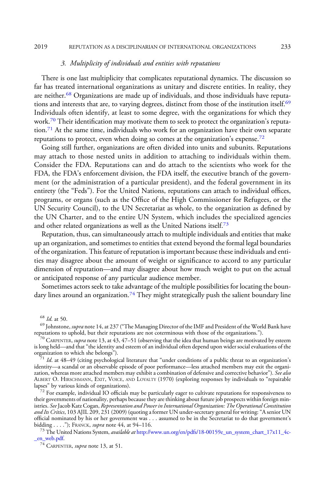#### 2019 REPUTATION AS A DISCIPLINARIAN OF INTERNATIONAL ORGANIZATIONS 233

#### 3. Multiplicity of individuals and entities with reputations

There is one last multiplicity that complicates reputational dynamics. The discussion so far has treated international organizations as unitary and discrete entities. In reality, they are neither.<sup>68</sup> Organizations are made up of individuals, and those individuals have reputations and interests that are, to varying degrees, distinct from those of the institution itself.<sup>69</sup> Individuals often identify, at least to some degree, with the organizations for which they work.<sup>70</sup> Their identification may motivate them to seek to protect the organization's reputation.<sup>71</sup> At the same time, individuals who work for an organization have their own separate reputations to protect, even when doing so comes at the organization's expense.<sup>72</sup>

Going still further, organizations are often divided into units and subunits. Reputations may attach to those nested units in addition to attaching to individuals within them. Consider the FDA. Reputations can and do attach to the scientists who work for the FDA, the FDA's enforcement division, the FDA itself, the executive branch of the government (or the administration of a particular president), and the federal government in its entirety (the "Feds"). For the United Nations, reputations can attach to individual offices, programs, or organs (such as the Office of the High Commissioner for Refugees, or the UN Security Council), to the UN Secretariat as whole, to the organization as defined by the UN Charter, and to the entire UN System, which includes the specialized agencies and other related organizations as well as the United Nations itself.<sup>73</sup>

Reputation, thus, can simultaneously attach to multiple individuals and entities that make up an organization, and sometimes to entities that extend beyond the formal legal boundaries of the organization. This feature of reputation is important because these individuals and entities may disagree about the amount of weight or significance to accord to any particular dimension of reputation—and may disagree about how much weight to put on the actual or anticipated response of any particular audience member.

Sometimes actors seek to take advantage of the multiple possibilities for locating the boundary lines around an organization.<sup>74</sup> They might strategically push the salient boundary line

<sup>68</sup> Id. at 50.<br><sup>69</sup> Johnstone, *supra* note 14, at 237 ("The Managing Director of the IMF and President of the World Bank have reputations to uphold, but their reputations are not coterminous with those of the organizati

<sup>70</sup> CARPENTER, *supra* note 13, at 43, 47–51 (observing that the idea that human beings are motivated by esteem is long held—and that "the identity and esteem of an individual often depend upon wider social evaluations of the

 $\frac{71}{1}$  Id. at 48–49 (citing psychological literature that "under conditions of a public threat to an organization's identity—a scandal or an observable episode of poor performance—less attached members may exit the organization, whereas more attached members may exhibit a combination of defensive and corrective behavior"). See also ALBERT O. HIRSCHMANN, EXIT, VOICE, AND LOYALTY (1970) (exploring responses by individuals to "repairable lapses" by various kinds of organizations).

 $^{72}$  For example, individual IO officials may be particularly eager to cultivate reputations for responsiveness to their governments of nationality, perhaps because they are thinking about future job prospects within foreign ministries. See Jacob Katz Cogan, Representation and Power in International Organization: The Operational Constitution and Its Critics, 103 AJIL 209, 231 (2009) (quoting a former UN under-secretary general for writing: "A senior UN official nominated by his or her government was . . . assumed to be in the Secretariat to do that government's bidding . . . ."); FRANCK, *supra* note 44, at 94–116.

<sup>73</sup> The United Nations System, *available at* [http://www.un.org/en/pdfs/18-00159e\\_un\\_system\\_chart\\_17x11\\_4c-](http://www.un.org/en/pdfs/18-00159e_un_system_chart_17x11_4c_en_web.pdf)<br>\_en\_web.pdf.

 $^{74}$  CARPENTER, *supra* note 13, at 51.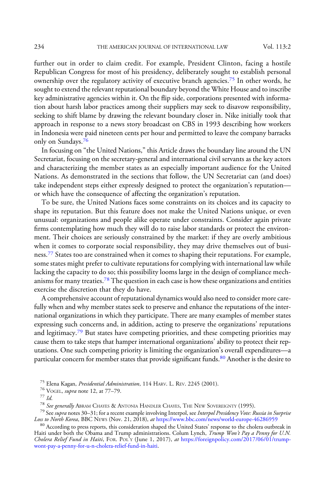further out in order to claim credit. For example, President Clinton, facing a hostile Republican Congress for most of his presidency, deliberately sought to establish personal ownership over the regulatory activity of executive branch agencies.<sup>75</sup> In other words, he sought to extend the relevant reputational boundary beyond the White House and to inscribe key administrative agencies within it. On the flip side, corporations presented with information about harsh labor practices among their suppliers may seek to disavow responsibility, seeking to shift blame by drawing the relevant boundary closer in. Nike initially took that approach in response to a news story broadcast on CBS in 1993 describing how workers in Indonesia were paid nineteen cents per hour and permitted to leave the company barracks only on Sundays.<sup>76</sup>

In focusing on "the United Nations," this Article draws the boundary line around the UN Secretariat, focusing on the secretary-general and international civil servants as the key actors and characterizing the member states as an especially important audience for the United Nations. As demonstrated in the sections that follow, the UN Secretariat can (and does) take independent steps either expressly designed to protect the organization's reputation or which have the consequence of affecting the organization's reputation.

To be sure, the United Nations faces some constraints on its choices and its capacity to shape its reputation. But this feature does not make the United Nations unique, or even unusual: organizations and people alike operate under constraints. Consider again private firms contemplating how much they will do to raise labor standards or protect the environment. Their choices are seriously constrained by the market: if they are overly ambitious when it comes to corporate social responsibility, they may drive themselves out of business.<sup>77</sup> States too are constrained when it comes to shaping their reputations. For example, some states might prefer to cultivate reputations for complying with international law while lacking the capacity to do so; this possibility looms large in the design of compliance mechanisms for many treaties.<sup>78</sup> The question in each case is how these organizations and entities exercise the discretion that they do have.

A comprehensive account of reputational dynamics would also need to consider more carefully when and why member states seek to preserve and enhance the reputations of the international organizations in which they participate. There are many examples of member states expressing such concerns and, in addition, acting to preserve the organizations' reputations and legitimacy.<sup>79</sup> But states have competing priorities, and these competing priorities may cause them to take steps that hamper international organizations' ability to protect their reputations. One such competing priority is limiting the organization's overall expenditures—a particular concern for member states that provide significant funds.<sup>80</sup> Another is the desire to

<sup>77</sup> Id.<br><sup>78</sup> See generally ABRAM CHAYES & ANTONIA HANDLER CHAYES, THE NEW SOVEREIGNTY (1995).<br><sup>79</sup> See *supra* notes 30–31; for a recent example involving Interpol, see *Interpol Presidency Vote: Russia in Surprise*<br>Loss Loss to North Korea, BBC News (Nov. 21, 2018), at <https://www.bbc.com/news/world-europe-46286959>  $^{80}$  According to press reports, this consideration shaped the United States' response to the cholera outbreak in

Haiti under both the Obama and Trump administrations. Colum Lynch, *Trump Won't Pay a Penny for U.N*. Cholera Relief Fund in Haiti, FOR. POL'<sup>Y</sup> (June 1, 2017), at [https://foreignpolicy.com/2017/06/01/trump](https://foreignpolicy.com/2017/06/01/trump-wont-pay-a-penny-for-u-n-cholera-relief-fund-in-haiti)[wont-pay-a-penny-for-u-n-cholera-relief-fund-in-haiti.](https://foreignpolicy.com/2017/06/01/trump-wont-pay-a-penny-for-u-n-cholera-relief-fund-in-haiti)

<sup>&</sup>lt;sup>75</sup> Elena Kagan, *Presidential Administration*, 114 HARV. L. REV. 2245 (2001).<br><sup>76</sup> VOGEL, *supra* note 12, at 77–79.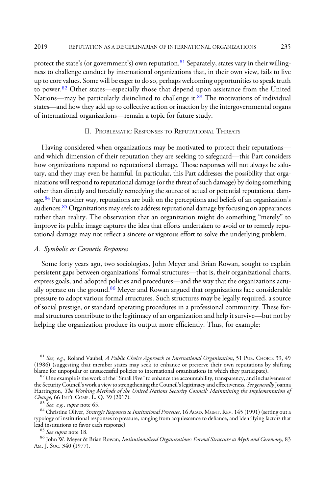protect the state's (or government's) own reputation.<sup>81</sup> Separately, states vary in their willingness to challenge conduct by international organizations that, in their own view, fails to live up to core values. Some will be eager to do so, perhaps welcoming opportunities to speak truth to power.<sup>82</sup> Other states—especially those that depend upon assistance from the United Nations—may be particularly disinclined to challenge it.<sup>83</sup> The motivations of individual states—and how they add up to collective action or inaction by the intergovernmental organs of international organizations—remain a topic for future study.

#### II. PROBLEMATIC RESPONSES TO REPUTATIONAL THREATS

Having considered when organizations may be motivated to protect their reputations and which dimension of their reputation they are seeking to safeguard—this Part considers how organizations respond to reputational damage. Those responses will not always be salutary, and they may even be harmful. In particular, this Part addresses the possibility that organizations will respond to reputational damage (or the threat of such damage) by doing something other than directly and forcefully remedying the source of actual or potential reputational damage.<sup>84</sup> Put another way, reputations are built on the perceptions and beliefs of an organization's audiences.85 Organizations may seek to address reputational damage by focusing on appearances rather than reality. The observation that an organization might do something "merely" to improve its public image captures the idea that efforts undertaken to avoid or to remedy reputational damage may not reflect a sincere or vigorous effort to solve the underlying problem.

#### A. Symbolic or Cosmetic Responses

Some forty years ago, two sociologists, John Meyer and Brian Rowan, sought to explain persistent gaps between organizations' formal structures—that is, their organizational charts, express goals, and adopted policies and procedures—and the way that the organizations actually operate on the ground.<sup>86</sup> Meyer and Rowan argued that organizations face considerable pressure to adopt various formal structures. Such structures may be legally required, a source of social prestige, or standard operating procedures in a professional community. These formal structures contribute to the legitimacy of an organization and help it survive—but not by helping the organization produce its output more efficiently. Thus, for example:

 $81$  See, e.g., Roland Vaubel, A Public Choice Approach to International Organization, 51 PUB. CHOICE 39, 49 (1986) (suggesting that member states may seek to enhance or preserve their own reputations by shifting

 $b<sup>82</sup>$  One example is the work of the "Small Five" to enhance the accountability, transparency, and inclusiveness of the Security Council's work a view to strengthening the Council's legitimacy and effectiveness. See generally Joanna Harrington, The Working Methods of the United Nations Security Council: Maintaining the Implementation of Change, 66 Int'l COMP. L. Q. 39 (2017).<br><sup>83</sup> See, e.g., supra note 65. 84 Christine Oliver, *Strategic Responses to Institutional Processes*, 16 ACAD. MGMT. REV. 145 (1991) (setting out a

typology of institutional responses to pressure, ranging from acquiescence to defiance, and identifying factors that

<sup>85</sup> See supra note 18.<br><sup>86</sup> John W. Meyer & Brian Rowan, *Institutionalized Organizations: Formal Structure as Myth and Ceremony*, 83 AM. J. SOC. 340 (1977).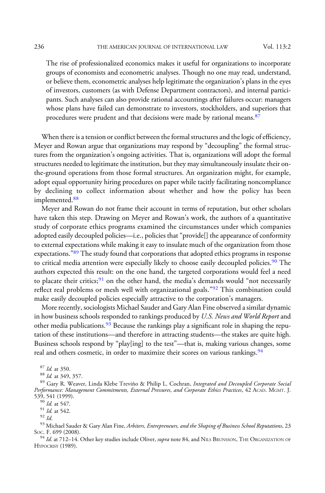The rise of professionalized economics makes it useful for organizations to incorporate groups of economists and econometric analyses. Though no one may read, understand, or believe them, econometric analyses help legitimate the organization's plans in the eyes of investors, customers (as with Defense Department contractors), and internal participants. Such analyses can also provide rational accountings after failures occur: managers whose plans have failed can demonstrate to investors, stockholders, and superiors that procedures were prudent and that decisions were made by rational means.<sup>87</sup>

When there is a tension or conflict between the formal structures and the logic of efficiency, Meyer and Rowan argue that organizations may respond by "decoupling" the formal structures from the organization's ongoing activities. That is, organizations will adopt the formal structures needed to legitimate the institution, but they may simultaneously insulate their onthe-ground operations from those formal structures. An organization might, for example, adopt equal opportunity hiring procedures on paper while tacitly facilitating noncompliance by declining to collect information about whether and how the policy has been implemented.<sup>88</sup>

Meyer and Rowan do not frame their account in terms of reputation, but other scholars have taken this step. Drawing on Meyer and Rowan's work, the authors of a quantitative study of corporate ethics programs examined the circumstances under which companies adopted easily decoupled policies—i.e., policies that "provide[] the appearance of conformity to external expectations while making it easy to insulate much of the organization from those expectations."<sup>89</sup> The study found that corporations that adopted ethics programs in response to critical media attention were especially likely to choose easily decoupled policies.<sup>90</sup> The authors expected this result: on the one hand, the targeted corporations would feel a need to placate their critics; $91$  on the other hand, the media's demands would "not necessarily reflect real problems or mesh well with organizational goals."<sup>92</sup> This combination could make easily decoupled policies especially attractive to the corporation's managers.

More recently, sociologists Michael Sauder and Gary Alan Fine observed a similar dynamic in how business schools responded to rankings produced by U.S. News and World Report and other media publications.<sup>93</sup> Because the rankings play a significant role in shaping the reputation of these institutions—and therefore in attracting students—the stakes are quite high. Business schools respond by "play[ing] to the test"—that is, making various changes, some real and others cosmetic, in order to maximize their scores on various rankings.<sup>94</sup>

 $^{94}$  Id. at 712–14. Other key studies include Oliver, supra note 84, and N11.5 BRUNSSON, THE ORGANIZATION OF HYPOCRISY (1989).

<sup>&</sup>lt;sup>87</sup> Id. at 350.<br><sup>88</sup> Id. at 349, 357.<br><sup>89</sup> Gary R. Weaver, Linda Klebe Treviño & Philip L. Cochran, *Integrated and Decoupled Corporate Social* Performance: Management Commitments, External Pressures, and Corporate Ethics Practices, 42 ACAD. MGMT. J.<br>539, 541 (1999).

<sup>&</sup>lt;sup>90</sup> Id. at 547.<br><sup>91</sup> Id. at 542.<br><sup>92</sup> Id. 93 Michael Sauder & Gary Alan Fine, *Arbiters, Entrepreneurs, and the Shaping of Business School Reputations, 23* SOC. F. 699 (2008).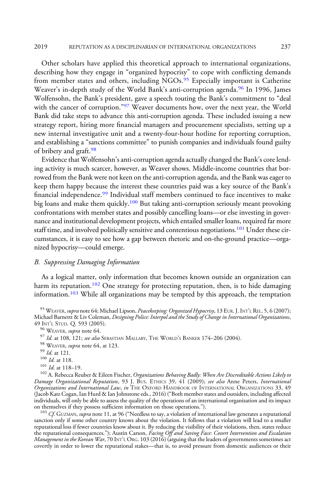#### 2019 REPUTATION AS A DISCIPLINARIAN OF INTERNATIONAL ORGANIZATIONS 237

Other scholars have applied this theoretical approach to international organizations, describing how they engage in "organized hypocrisy" to cope with conflicting demands from member states and others, including NGOs.<sup>95</sup> Especially important is Catherine Weaver's in-depth study of the World Bank's anti-corruption agenda.<sup>96</sup> In 1996, James Wolfensohn, the Bank's president, gave a speech touting the Bank's commitment to "deal with the cancer of corruption."<sup>97</sup> Weaver documents how, over the next year, the World Bank did take steps to advance this anti-corruption agenda. These included issuing a new strategy report, hiring more financial managers and procurement specialists, setting up a new internal investigative unit and a twenty-four-hour hotline for reporting corruption, and establishing a "sanctions committee" to punish companies and individuals found guilty of bribery and graft.<sup>98</sup>

Evidence that Wolfensohn's anti-corruption agenda actually changed the Bank's core lending activity is much scarcer, however, as Weaver shows. Middle-income countries that borrowed from the Bank were not keen on the anti-corruption agenda, and the Bank was eager to keep them happy because the interest these countries paid was a key source of the Bank's financial independence.<sup>99</sup> Individual staff members continued to face incentives to make big loans and make them quickly.<sup>100</sup> But taking anti-corruption seriously meant provoking confrontations with member states and possibly cancelling loans—or else investing in governance and institutional development projects, which entailed smaller loans, required far more staff time, and involved politically sensitive and contentious negotiations.<sup>101</sup> Under these circumstances, it is easy to see how a gap between rhetoric and on-the-ground practice—organized hypocrisy—could emerge.

#### B. Suppressing Damaging Information

As a logical matter, only information that becomes known outside an organization can harm its reputation.<sup>102</sup> One strategy for protecting reputation, then, is to hide damaging information.<sup>103</sup> While all organizations may be tempted by this approach, the temptation

<sup>96</sup> WEAVER, *supra* note 64.<br><sup>97</sup> Id. at 108, 121; *see also* SEBASTIAN MALLABY, THE WORLD'S BANKER 174–206 (2004).<br><sup>98</sup> WEAVER, *supra* note 64, at 123.<br><sup>99</sup> Id. at 121.<br><sup>100</sup> Id. at 118–19.<br><sup>101</sup> Id. at 118–19.<br><sup>102</sup> A Damage Organizational Reputation, 93 J. BUS. ETHICS 39, 41 (2009); see also Anne Peters, International Organizations and International Law, in THE OXFORD HANDBOOK OF INTERNATIONAL ORGANIZATIONS 33, 49 (Jacob Katz Cogan, Ian Hurd & Ian Johnstone eds., 2016) ("Both member states and outsiders, including affected individuals, will only be able to assess the quality of the operations of an international organization and its impact

 $103$  Cf. GUZMAN, supra note 11, at 96 ("Needless to say, a violation of international law generates a reputational sanction only if some other country knows about the violation. It follows that a violation will lead to a smaller reputational loss if fewer countries know about it. By reducing the visibility of their violations, then, states reduce the reputational consequences."); Austin Carson, Facing Off and Saving Face: Covert Intervention and Escalation *Management in the Korean War*, 70 INT'L ORG. 103 (2016) (arguing that the leaders of governments sometimes act covertly in order to lower the reputational stakes—that is, to avoid pressure from domestic audiences or their

<sup>&</sup>lt;sup>95</sup> WEAVER, supra note 64; Michael Lipson, Peacekeeping: Organized Hypocrisy, 13 EUR. J. INT'L REL. 5, 6 (2007); Michael Barnettt & Liv Coleman, *Designing Police: Interpol and the Study of Change in International Organizations,*<br>49 Int<sup>2</sup>L Stud. Q. 593 (2005).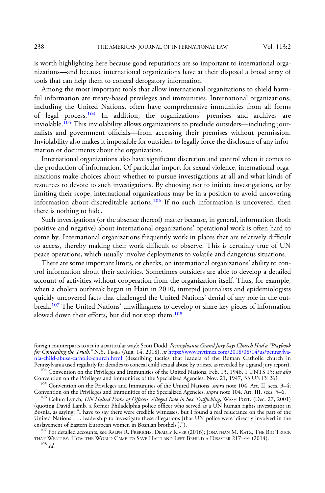is worth highlighting here because good reputations are so important to international organizations—and because international organizations have at their disposal a broad array of tools that can help them to conceal derogatory information.

Among the most important tools that allow international organizations to shield harmful information are treaty-based privileges and immunities. International organizations, including the United Nations, often have comprehensive immunities from all forms of legal process.<sup>104</sup> In addition, the organizations' premises and archives are inviolable.<sup>105</sup> This inviolability allows organizations to preclude outsiders—including journalists and government officials—from accessing their premises without permission. Inviolability also makes it impossible for outsiders to legally force the disclosure of any information or documents about the organization.

International organizations also have significant discretion and control when it comes to the production of information. Of particular import for sexual violence, international organizations make choices about whether to pursue investigations at all and what kinds of resources to devote to such investigations. By choosing not to initiate investigations, or by limiting their scope, international organizations may be in a position to avoid uncovering information about discreditable actions.<sup>106</sup> If no such information is uncovered, then there is nothing to hide.

Such investigations (or the absence thereof) matter because, in general, information (both positive and negative) about international organizations' operational work is often hard to come by. International organizations frequently work in places that are relatively difficult to access, thereby making their work difficult to observe. This is certainly true of UN peace operations, which usually involve deployments to volatile and dangerous situations.

There are some important limits, or checks, on international organizations' ability to control information about their activities. Sometimes outsiders are able to develop a detailed account of activities without cooperation from the organization itself. Thus, for example, when a cholera outbreak began in Haiti in 2010, intrepid journalists and epidemiologists quickly uncovered facts that challenged the United Nations' denial of any role in the outbreak.107 The United Nations' unwillingness to develop or share key pieces of information slowed down their efforts, but did not stop them.<sup>108</sup>

foreign counterparts to act in a particular way); Scott Dodd, *Pennsylvania Grand Jury Says Church Had a "Playbook* for Concealing the Truth," N.Y. TIMES (Aug. 14, 2018), at [https://www.nytimes.com/2018/08/14/us/pennsylva](https://www.nytimes.com/2018/08/14/us/pennsylvania-child-abuse-catholic-church.html)[nia-child-abuse-catholic-church.html](https://www.nytimes.com/2018/08/14/us/pennsylvania-child-abuse-catholic-church.html) (describing tactics that leaders of the Roman Catholic church in Pennsylvania used regularly for decades to conceal child sexual abuse by priests, as revealed by a grand jury report).

 $\frac{104}{2}$  Convention on the Privileges and Immunities of the United Nations, Feb. 13, 1946, 1 UNTS 15; see also<br>Convention on the Privileges and Immunities of the Specialized Agencies, Nov. 21, 1947, 33 UNTS 261.

<sup>105</sup> Convention on the Privileges and Immunities of the United Nations, *supra* note 104, Art. II, secs. 3–4;<br>Convention on the Privileges and Immunities of the Specialized Agencies, *supra* note 104, Art. III, secs. 5–6

<sup>106</sup> Colum Lynch, UN Halted Probe of Officers' Alleged Role in Sex Trafficking, WASH POST. (Dec. 27, 2001) (quoting David Lamb, a former Philadelphia police officer who served as a UN human rights investigator in Bosnia, as saying: "I have to say there were credible witnesses, but I found a real reluctance on the part of the United Nations . . . leadership to investigate these allegations [that UN police were 'directly involved in the enslavement of Eastern European women in Bosnian brothels'].").

<sup>107</sup> For detailed accounts, see RALPH R. FRERICHS, DEADLY RIVER (2016); JONATHAN M. KATZ, THE BIG TRUCK THAT WENT BY: HOW THE WORLD CAME TO SAVE HAITI AND LEFT BEHIND A DISASTER 217–44 (2014). <sup>108</sup> Id.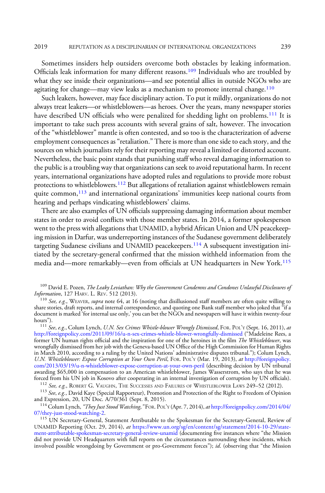#### 2019 REPUTATION AS A DISCIPLINARIAN OF INTERNATIONAL ORGANIZATIONS 239

Sometimes insiders help outsiders overcome both obstacles by leaking information. Officials leak information for many different reasons.<sup>109</sup> Individuals who are troubled by what they see inside their organizations—and see potential allies in outside NGOs who are agitating for change—may view leaks as a mechanism to promote internal change.<sup>110</sup>

Such leakers, however, may face disciplinary action. To put it mildly, organizations do not always treat leakers—or whistleblowers—as heroes. Over the years, many newspaper stories have described UN officials who were penalized for shedding light on problems.<sup>111</sup> It is important to take such press accounts with several grains of salt, however. The invocation of the "whistleblower" mantle is often contested, and so too is the characterization of adverse employment consequences as"retaliation." There is more than one side to each story, and the sources on which journalists rely for their reporting may reveal a limited or distorted account. Nevertheless, the basic point stands that punishing staff who reveal damaging information to the public is a troubling way that organizations can seek to avoid reputational harm. In recent years, international organizations have adopted rules and regulations to provide more robust protections to whistleblowers.<sup>112</sup> But allegations of retaliation against whistleblowers remain quite common,<sup>113</sup> and international organizations' immunities keep national courts from hearing and perhaps vindicating whistleblowers' claims.

There are also examples of UN officials suppressing damaging information about member states in order to avoid conflicts with those member states. In 2014, a former spokesperson went to the press with allegations that UNAMID, a hybrid African Union and UN peacekeeping mission in Darfur, was underreporting instances of the Sudanese government deliberately targeting Sudanese civilians and UNAMID peacekeepers.<sup>114</sup> A subsequent investigation initiated by the secretary-general confirmed that the mission withheld information from the media and—more remarkably—even from officials at UN headquarters in New York.<sup>115</sup>

111 See, e.g., Colum Lynch, U.N. Sex Crimes Whistle-blower Wrongly Dismissed, FOR. POL'Y (Sept. 16, 2011), at <http://foreignpolicy.com/2011/09/16/u-n-sex-crimes-whistle-blower-wrongfully-dismissed> ("Madeleine Rees, a former UN human rights official and the inspiration for one of the heroines in the film The Whistleblower, was wrongfully dismissed from her job with the Geneva-based UN Office of the High Commission for Human Rights in March 2010, according to a ruling by the United Nations' administrative disputes tribunal."); Colum Lynch, U.N. Whistleblower: Expose Corruption at Your Own Peril, FOR. POL'<sup>Y</sup> (Mar. 19, 2013), at [http://foreignpolicy.](http://foreignpolicy.com/2013/03/19/u-n-whistleblower-expose-corruption-at-your-own-peril) [com/2013/03/19/u-n-whistleblower-expose-corruption-at-your-own-peril](http://foreignpolicy.com/2013/03/19/u-n-whistleblower-expose-corruption-at-your-own-peril) (describing decision by UN tribunal awarding \$65,000 in compensation to an American whistleblower, James Wasserstrom, who says that he was forced from his UN job in Kosovo after cooperating in an internal investigation of corruption by UN officials).

<sup>112</sup> See, e.g., ROBERT G. VAUGHN, THE SUCCESSES AND FAILURES OF WHISTLEBLOWER LAWS 249-52 (2012).<br><sup>113</sup> See, e.g., David Kaye (Special Rapporteur), Promotion and Protection of the Right to Freedom of Opinion and Expressi

<sup>114</sup> Colum Lynch, "They Just Stood Watching," FOR. POL'Y (Apr. 7, 2014), at [http://foreignpolicy.com/2014/04/](http://foreignpolicy.com/2014/04/07/they-just-stood-watching-2)07/they-just-stood-watching-2.

<sup>115</sup> UN Secretary-General, Statement Attributable to the Spokesman for the Secretary-General, Review of UNAMID Reporting (Oct. 29, 2014), *at* https://www.un.org/sg/en/content/sg/statement/2014-10-29/state-<br>[ment-attributable-spokesman-secretary-general-review-unamid](https://www.un.org/sg/en/content/sg/statement/2014-10-29/statement-attributable-spokesman-secretary-general-review-unamid) (documenting five instances where "the Mission did not provide UN Headquarters with full reports on the circumstances surrounding these incidents, which involved possible wrongdoing by Government or pro-Government forces"); id. (observing that "the Mission

 $109$  David E. Pozen, *The Leaky Leviathan: Why the Government Condemns and Condones Unlawful Disclosures of Information*, 127 Harv. L. Rev. 512 (2013).

 $110$  See, e.g., WEAVER, supra note 64, at 16 (noting that disillusioned staff members are often quite willing to share stories, draft reports, and internal correspondence, and quoting one Bank staff member who joked that "if a document is marked 'for internal use only,' you can bet the NGOs and newspapers will have it within twenty-four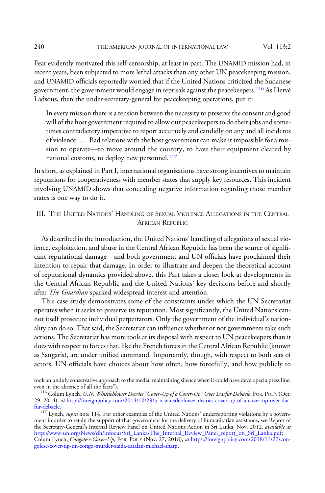Fear evidently motivated this self-censorship, at least in part. The UNAMID mission had, in recent years, been subjected to more lethal attacks than any other UN peacekeeping mission, and UNAMID officials reportedly worried that if the United Nations criticized the Sudanese government, the government would engage in reprisals against the peacekeepers.<sup>116</sup> As Hervé Ladsous, then the under-secretary-general for peacekeeping operations, put it:

In every mission there is a tension between the necessity to preserve the consent and good will of the host government required to allow our peacekeepers to do their jobs and sometimes contradictory imperative to report accurately and candidly on any and all incidents of violence. . . . Bad relations with the host government can make it impossible for a mission to operate—to move around the country, to have their equipment cleared by national customs, to deploy new personnel. $117$ 

In short, as explained in Part I, international organizations have strong incentives to maintain reputations for cooperativeness with member states that supply key resources. This incident involving UNAMID shows that concealing negative information regarding those member states is one way to do it.

### III. THE UNITED NATIONS' HANDLING OF SEXUAL VIOLENCE ALLEGATIONS IN THE CENTRAL AFRICAN REPUBLIC

As described in the introduction, the United Nations' handling of allegations of sexual violence, exploitation, and abuse in the Central African Republic has been the source of significant reputational damage—and both government and UN officials have proclaimed their intention to repair that damage. In order to illustrate and deepen the theoretical account of reputational dynamics provided above, this Part takes a closer look at developments in the Central African Republic and the United Nations' key decisions before and shortly after *The Guardian* sparked widespread interest and attention.

This case study demonstrates some of the constraints under which the UN Secretariat operates when it seeks to preserve its reputation. Most significantly, the United Nations cannot itself prosecute individual perpetrators. Only the government of the individual's nationality can do so. That said, the Secretariat can influence whether or not governments take such actions. The Secretariat has more tools at its disposal with respect to UN peacekeepers than it does with respect to forces that, like the French forces in the Central African Republic (known as Sangaris), are under unified command. Importantly, though, with respect to both sets of actors, UN officials have choices about how often, how forcefully, and how publicly to

took an unduly conservative approach to the media, maintaining silence when it could have developed a press line,

<sup>&</sup>lt;sup>116</sup> Colum Lynch, U.N. Whistleblower Decries "Cover-Up of a Cover-Up" Over Darfur Debacle, FOR. POL'Y (Oct. 29, 2014), at http://foreignpolicy.com/2014/10/29/u-n-whistleblower-decries-cover-up-of-a-cover-up-over-dar-<br>fur-debacle.

 $117$  Lynch, supra note 114. For other examples of the United Nations' underreporting violations by a government in order to retain the support of that government for the delivery of humanitarian assistance, see Report of the Secretary-General's Internal Review Panel on United Nations Action in Sri Lanka, Nov. 2012, available at [http://www.un.org/News/dh/infocus/Sri\\_Lanka/The\\_Internal\\_Review\\_Panel\\_report\\_on\\_Sri\\_Lanka.pdf](http://www.un.org/News/dh/infocus/Sri_Lanka/The_Internal_Review_Panel_report_on_Sri_Lanka.pdf); Colum Lynch, Congolese Cover-Up, FOR. POL'Y (Nov. 27, 2018), at [https://foreignpolicy.com/2018/11/27/con](https://foreignpolicy.com/2018/11/27/congolese-cover-up-un-congo-murder-zaida-catalan-michael-sharp)[golese-cover-up-un-congo-murder-zaida-catalan-michael-sharp.](https://foreignpolicy.com/2018/11/27/congolese-cover-up-un-congo-murder-zaida-catalan-michael-sharp)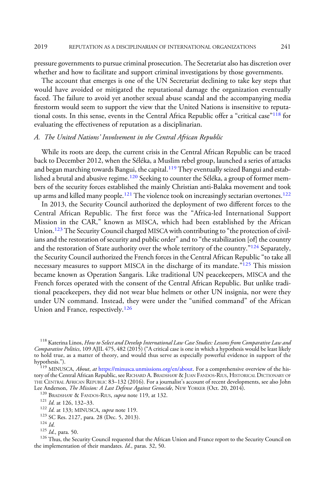pressure governments to pursue criminal prosecution. The Secretariat also has discretion over whether and how to facilitate and support criminal investigations by those governments.

The account that emerges is one of the UN Secretariat declining to take key steps that would have avoided or mitigated the reputational damage the organization eventually faced. The failure to avoid yet another sexual abuse scandal and the accompanying media firestorm would seem to support the view that the United Nations is insensitive to reputational costs. In this sense, events in the Central Africa Republic offer a "critical case"<sup>118</sup> for evaluating the effectiveness of reputation as a disciplinarian.

#### A. The United Nations' Involvement in the Central African Republic

While its roots are deep, the current crisis in the Central African Republic can be traced back to December 2012, when the Séléka, a Muslim rebel group, launched a series of attacks and began marching towards Bangui, the capital.<sup>119</sup> They eventually seized Bangui and established a brutal and abusive regime.<sup>120</sup> Seeking to counter the Séléka, a group of former members of the security forces established the mainly Christian anti-Balaka movement and took up arms and killed many people.<sup>121</sup> The violence took on increasingly sectarian overtones.<sup>122</sup>

In 2013, the Security Council authorized the deployment of two different forces to the Central African Republic. The first force was the "Africa-led International Support Mission in the CAR," known as MISCA, which had been established by the African Union.<sup>123</sup> The Security Council charged MISCA with contributing to "the protection of civilians and the restoration of security and public order" and to "the stabilization [of] the country and the restoration of State authority over the whole territory of the country."<sup>124</sup> Separately, the Security Council authorized the French forces in the Central African Republic "to take all necessary measures to support MISCA in the discharge of its mandate.<sup>"125</sup> This mission became known as Operation Sangaris. Like traditional UN peacekeepers, MISCA and the French forces operated with the consent of the Central African Republic. But unlike traditional peacekeepers, they did not wear blue helmets or other UN insignia, nor were they under UN command. Instead, they were under the "unified command" of the African Union and France, respectively.<sup>126</sup>

 $^{118}$  Katerina Linos, How to Select and Develop International Law Case Studies: Lessons from Comparative Law and Comparative Politics, 109 AJIL 475, 482 (2015) ("A critical case is one in which a hypothesis would be least likely to hold true, as a matter of theory, and would thus serve as especially powerful evidence in support of the hypothesis.").

<sup>119</sup> MINUSCA, About, at <https://minusca.unmissions.org/en/about>. For a comprehensive overview of the history of the Central African Republic, see RICHARD A. BRADSHAW & JUAN FANDOS-RIUS, HISTORICAL DICTIONARY OF THE CENTRAL AFRICAN REPUBLIC 83-132 (2016). For a journalist's account of recent developments, see also John Lee Anderson, *The Mission: A Last Defense Against Genocide*, NEW YORKER (Oct. 20, 2014).

<sup>120</sup> BRADSHAW & FANDOS-RIUS, *supra* note 119, at 132.<br><sup>121</sup> *Id.* at 126, 132–33.<br><sup>122</sup> *Id.* at 133; MINUSCA, *supra* note 119.<br><sup>123</sup> SC Res. 2127, para. 28 (Dec. 5, 2013).<br><sup>124</sup> *Id.*<br><sup>125</sup> *Id.*, para. 50.<br><sup>126</sup> Thus the implementation of their mandates. Id., paras. 32, 50.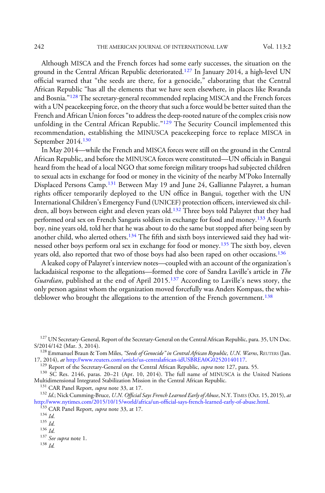Although MISCA and the French forces had some early successes, the situation on the ground in the Central African Republic deteriorated.<sup>127</sup> In January 2014, a high-level UN official warned that "the seeds are there, for a genocide," elaborating that the Central African Republic "has all the elements that we have seen elsewhere, in places like Rwanda and Bosnia."<sup>128</sup> The secretary-general recommended replacing MISCA and the French forces with a UN peacekeeping force, on the theory that such a force would be better suited than the French and African Union forces "to address the deep-rooted nature of the complex crisis now unfolding in the Central African Republic."<sup>129</sup> The Security Council implemented this recommendation, establishing the MINUSCA peacekeeping force to replace MISCA in September 2014.<sup>130</sup>

In May 2014—while the French and MISCA forces were still on the ground in the Central African Republic, and before the MINUSCA forces were constituted—UN officials in Bangui heard from the head of a local NGO that some foreign military troops had subjected children to sexual acts in exchange for food or money in the vicinity of the nearby M'Poko Internally Displaced Persons Camp.<sup>131</sup> Between May 19 and June 24, Gallianne Palayret, a human rights officer temporarily deployed to the UN office in Bangui, together with the UN International Children's Emergency Fund (UNICEF) protection officers, interviewed six children, all boys between eight and eleven years old.<sup>132</sup> Three boys told Palayret that they had performed oral sex on French Sangaris soldiers in exchange for food and money.<sup>133</sup> A fourth boy, nine years old, told her that he was about to do the same but stopped after being seen by another child, who alerted others.<sup>134</sup> The fifth and sixth boys interviewed said they had witnessed other boys perform oral sex in exchange for food or money.<sup>135</sup> The sixth boy, eleven years old, also reported that two of those boys had also been raped on other occasions.<sup>136</sup>

A leaked copy of Palayret's interview notes—coupled with an account of the organization's lackadaisical response to the allegations—formed the core of Sandra Laville's article in The Guardian, published at the end of April 2015.<sup>137</sup> According to Laville's news story, the only person against whom the organization moved forcefully was Anders Kompass, the whistleblower who brought the allegations to the attention of the French government.<sup>138</sup>

 $^{127}$  UN Secretary-General, Report of the Secretary-General on the Central African Republic, para. 35, UN Doc.  $S/2014/142$  (Mar. 3, 2014).

<sup>128</sup> Emmanuel Braun & Tom Miles, "Seeds of Genocide" in Central African Republic, U.N. Warns, REUTERS (Jan.

17, 2014), *at* [http://www.reuters.com/article/us-centralafrican-idUSBREA0G02520140117.](http://www.reuters.com/article/us-centralafrican-idUSBREA0G02520140117)<br><sup>129</sup> Report of the Secretary-General on the Central African Republic, *supra* note 127, para. 55.<br><sup>130</sup> SC Res. 2146, paras. 20–21 (A

<sup>131</sup> CAR Panel Report, *supra* note 33, at 17.<br><sup>132</sup> Id.; Nick Cumming-Bruce, *U.N. Official Says French Learned Early of Abuse*, N.Y. TIMES (Oct. 15, 2015), *at* [http://www.nytimes.com/2015/10/15/world/africa/un-of](http://www.nytimes.com/2015/10/15/world/africa/un-official-says-french-learned-early-of-abuse.html)ficial-says-french-learned-early-of-abuse.html.<br><sup>133</sup> CAR Panel Report, *supra* note 33, at 17.<br><sup>134</sup> Id

<sup>135</sup> Id.<br><sup>136</sup> Id.<br><sup>137</sup> See supra note 1.<br><sup>138</sup> Id.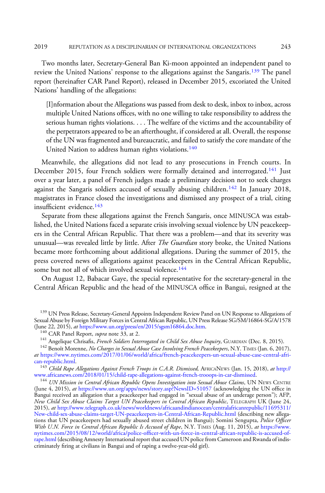Two months later, Secretary-General Ban Ki-moon appointed an independent panel to review the United Nations' response to the allegations against the Sangaris.<sup>139</sup> The panel report (hereinafter CAR Panel Report), released in December 2015, excoriated the United Nations' handling of the allegations:

[I]nformation about the Allegations was passed from desk to desk, inbox to inbox, across multiple United Nations offices, with no one willing to take responsibility to address the serious human rights violations. . . . The welfare of the victims and the accountability of the perpetrators appeared to be an afterthought, if considered at all. Overall, the response of the UN was fragmented and bureaucratic, and failed to satisfy the core mandate of the United Nation to address human rights violations.<sup>140</sup>

Meanwhile, the allegations did not lead to any prosecutions in French courts. In December 2015, four French soldiers were formally detained and interrogated.<sup>141</sup> Just over a year later, a panel of French judges made a preliminary decision not to seek charges against the Sangaris soldiers accused of sexually abusing children.<sup>142</sup> In January 2018, magistrates in France closed the investigations and dismissed any prospect of a trial, citing insufficient evidence.<sup>143</sup>

Separate from these allegations against the French Sangaris, once MINUSCA was established, the United Nations faced a separate crisis involving sexual violence by UN peacekeepers in the Central African Republic. That there was a problem—and that its severity was unusual—was revealed little by little. After *The Guardian* story broke, the United Nations became more forthcoming about additional allegations. During the summer of 2015, the press covered news of allegations against peacekeepers in the Central African Republic, some but not all of which involved sexual violence.<sup>144</sup>

On August 12, Babacar Gaye, the special representative for the secretary-general in the Central African Republic and the head of the MINUSCA office in Bangui, resigned at the

<sup>139</sup> UN Press Release, Secretary-General Appoints Independent Review Panel on UN Response to Allegations of Sexual Abuse by Foreign Military Forces in Central African Republic, UN Press Release SG/SM/16864-SG/A/1578 (June 22, 2015), *at* https://www.un.org/press/en/2015/sgsm16864.doc.htm.

<sup>140</sup> CAR Panel Report, *supra* note 33, at 2.<br><sup>141</sup> Angelique Chrisafis, *French Soldiers Interrogated in Child Sex Abuse Inquiry*, GUARDIAN (Dec. 8, 2015).<br><sup>142</sup> Benoît Morenne, *No Charges in Sexual Abuse Case Involvin* at [https://www.nytimes.com/2017/01/06/world/africa/french-peacekeepers-un-sexual-abuse-case-central-afri](https://www.nytimes.com/2017/01/06/world/africa/french-peacekeepers-un-sexual-abuse-case-central-african-republic.html)[can-republic.html](https://www.nytimes.com/2017/01/06/world/africa/french-peacekeepers-un-sexual-abuse-case-central-african-republic.html).<br><sup>143</sup> Child Rape Allegations Against French Troops in C.A.R. Dismissed, AFRICANEWS (Jan. 15, 2018), at [http://](http://www.africanews.com/2018/01/15/child-rape-allegations-against-french-trooops-in-car-dismissed)

[www.africanews.com/2018/01/15/child-rape-allegations-against-french-trooops-in-car-dismissed](http://www.africanews.com/2018/01/15/child-rape-allegations-against-french-trooops-in-car-dismissed).<br><sup>144</sup> *UN Mission in Central African Republic Opens Investigation into Sexual Abuse Claims*, UN NEWS CENTRE

(June 4, 2015), at <https://www.un.org/apps/news/story.asp?NewsID=51057> (acknowledging the UN office in Bangui received an allegation that a peacekeeper had engaged in "sexual abuse of an underage person"); AFP, New Child Sex Abuse Claims Target UN Peacekeepers in Central African Republic, TELEGRAPH UK (June 24, 2015), at [http://www.telegraph.co.uk/news/worldnews/africaandindianocean/centralafricanrepublic/11695311/](http://www.telegraph.co.uk/news/worldnews/africaandindianocean/centralafricanrepublic/11695311/New-child-sex-abuse-claims-target-UN-peacekeepers-in-Central-African-Republic.html) [New-child-sex-abuse-claims-target-UN-peacekeepers-in-Central-African-Republic.html](http://www.telegraph.co.uk/news/worldnews/africaandindianocean/centralafricanrepublic/11695311/New-child-sex-abuse-claims-target-UN-peacekeepers-in-Central-African-Republic.html) (describing new allegations that UN peacekeepers had sexually abused street children in Bangui); Somini Sengupta, *Police Officer* With U.N. Force in Central African Republic Is Accused of Rape, N.Y. TIMES (Aug. 11, 2015), at [https://www.](https://www.nytimes.com/2015/08/12/world/africa/police-officer-with-un-force-in-central-african-republic-is-accused-of-rape.html) nytimes.com/2015/08/12/world/africa/police-offi[cer-with-un-force-in-central-african-republic-is-accused-of](https://www.nytimes.com/2015/08/12/world/africa/police-officer-with-un-force-in-central-african-republic-is-accused-of-rape.html)[rape.html](https://www.nytimes.com/2015/08/12/world/africa/police-officer-with-un-force-in-central-african-republic-is-accused-of-rape.html) (describing Amnesty International report that accused UN police from Cameroon and Rwanda of indiscriminately firing at civilians in Bangui and of raping a twelve-year-old girl).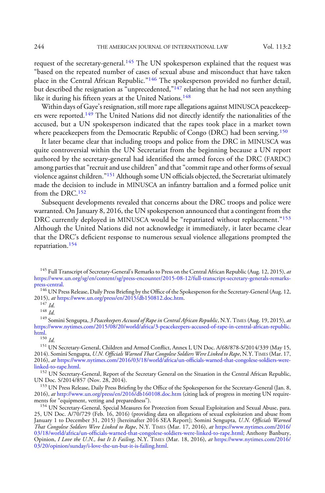request of the secretary-general.<sup>145</sup> The UN spokesperson explained that the request was "based on the repeated number of cases of sexual abuse and misconduct that have taken place in the Central African Republic."<sup>146</sup> The spokesperson provided no further detail, but described the resignation as "unprecedented," $147$  relating that he had not seen anything like it during his fifteen years at the United Nations.<sup>148</sup>

Within days of Gaye's resignation, still more rape allegations against MINUSCA peacekeepers were reported.<sup>149</sup> The United Nations did not directly identify the nationalities of the accused, but a UN spokesperson indicated that the rapes took place in a market town where peacekeepers from the Democratic Republic of Congo (DRC) had been serving.<sup>150</sup>

It later became clear that including troops and police from the DRC in MINUSCA was quite controversial within the UN Secretariat from the beginning because a UN report authored by the secretary-general had identified the armed forces of the DRC (FARDC) among parties that "recruit and use children" and that "commit rape and other forms of sexual violence against children."<sup>151</sup> Although some UN officials objected, the Secretariat ultimately made the decision to include in MINUSCA an infantry battalion and a formed police unit from the DRC.<sup>152</sup>

Subsequent developments revealed that concerns about the DRC troops and police were warranted. On January 8, 2016, the UN spokesperson announced that a contingent from the DRC currently deployed in MINUSCA would be "repatriated without replacement."<sup>153</sup> Although the United Nations did not acknowledge it immediately, it later became clear that the DRC's deficient response to numerous sexual violence allegations prompted the repatriation.<sup>154</sup>

<sup>146</sup> UN Press Release, Daily Press Briefing by the Office of the Spokesperson for the Secretary-General (Aug. 12, 2015), *at* https://www.un.org/press/en/2015/db150812.doc.htm.

2015), and the senal of the senal of the senal of the senal of Rape in Central African Republic, N.Y. TIMES (Aug. 19, 2015), at  $^{149}$  Somini Sengupta, *3 Peacekeepers Accused of Rape in Central African Republic*, N.Y. T [https://www.nytimes.com/2015/08/20/world/africa/3-peacekeepers-accused-of-rape-in-central-african-republic.](https://www.nytimes.com/2015/08/20/world/africa/3-peacekeepers-accused-of-rape-in-central-african-republic.html)

[html](https://www.nytimes.com/2015/08/20/world/africa/3-peacekeepers-accused-of-rape-in-central-african-republic.html).<br><sup>150</sup> Id. 151 UN Secretary-General, Children and Armed Conflict, Annex I, UN Doc. A/68/878-S/2014/339 (May 15, 2014). Somini Sengupta, U.N. Officials Warned That Congolese Soldiers Were Linked to Rape, N.Y. TIMES (Mar. 17, 2016), at [https://www.nytimes.com/2016/03/18/world/africa/un-of](https://www.nytimes.com/2016/03/18/world/africa/un-officials-warned-that-congolese-soldiers-were-linked-to-rape.html)ficials-warned-that-congolese-soldiers-were-<br>linked-to-rape.html.

 $^{152}$  UN Secretary-General, Report of the Secretary General on the Situation in the Central African Republic,<br>UN Doc. S/2014/857 (Nov. 28, 2014).

UN Doc. S/2014/857 (Nov. 28, 2014).<br><sup>153</sup> UN Press Release, Daily Press Briefing by the Office of the Spokesperson for the Secretary-General (Jan. 8, 2016), at <http://www.un.org/press/en/2016/db160108.doc.htm> (citing lack of progress in meeting UN requirements for "equipment, vetting and preparedness").

<sup>154</sup> UN Secretary-General, Special Measures for Protection from Sexual Exploitation and Sexual Abuse, para. 25, UN Doc. A/70/729 (Feb. 16, 2016) (providing data on allegations of sexual exploitation and abuse from January 1 to December 31, 2015) [hereinafter 2016 SEA Report]; Somini Sengupta, U.N. Officials Warned That Congolese Soldiers Were Linked to Rape, N.Y. TIMES (Mar. 17, 2016), at [https://www.nytimes.com/2016/](https://www.nytimes.com/2016/03/18/world/africa/un-officials-warned-that-congolese-soldiers-were-linked-to-rape.html) 03/18/world/africa/un-offi[cials-warned-that-congolese-soldiers-were-linked-to-rape.html](https://www.nytimes.com/2016/03/18/world/africa/un-officials-warned-that-congolese-soldiers-were-linked-to-rape.html); Anthony Banbury, Opinion, I Love the U.N., but It Is Failing, N.Y. TIMES (Mar. 18, 2016), at [https://www.nytimes.com/2016/](https://www.nytimes.com/2016/03/20/opinion/sunday/i-love-the-un-but-it-is-failing.html) [03/20/opinion/sunday/i-love-the-un-but-it-is-failing.html.](https://www.nytimes.com/2016/03/20/opinion/sunday/i-love-the-un-but-it-is-failing.html)

<sup>&</sup>lt;sup>145</sup> Full Transcript of Secretary-General's Remarks to Press on the Central African Republic (Aug. 12, 2015), at [https://www.un.org/sg/en/content/sg/press-encounter/2015-08-12/full-transcript-secretary-generals-remarks-](https://www.un.org/sg/en/content/sg/press-encounter/2015-08-12/full-transcript-secretary-generals-remarks-press-central)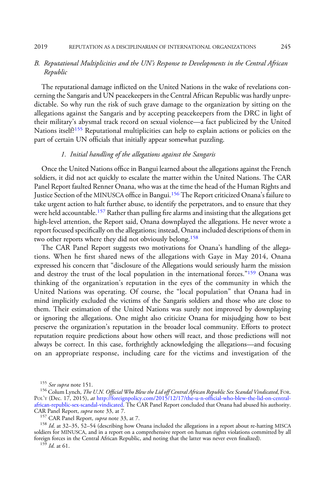#### 2019 REPUTATION AS A DISCIPLINARIAN OF INTERNATIONAL ORGANIZATIONS 245

#### B. Reputational Multiplicities and the UN's Response to Developments in the Central African Republic

The reputational damage inflicted on the United Nations in the wake of revelations concerning the Sangaris and UN peacekeepers in the Central African Republic was hardly unpredictable. So why run the risk of such grave damage to the organization by sitting on the allegations against the Sangaris and by accepting peacekeepers from the DRC in light of their military's abysmal track record on sexual violence—a fact publicized by the United Nations itself?<sup>155</sup> Reputational multiplicities can help to explain actions or policies on the part of certain UN officials that initially appear somewhat puzzling.

#### 1. Initial handling of the allegations against the Sangaris

Once the United Nations office in Bangui learned about the allegations against the French soldiers, it did not act quickly to escalate the matter within the United Nations. The CAR Panel Report faulted Renner Onana, who was at the time the head of the Human Rights and Justice Section of the MINUSCA office in Bangui.<sup>156</sup> The Report criticized Onana's failure to take urgent action to halt further abuse, to identify the perpetrators, and to ensure that they were held accountable.<sup>157</sup> Rather than pulling fire alarms and insisting that the allegations get high-level attention, the Report said, Onana downplayed the allegations. He never wrote a report focused specifically on the allegations; instead, Onana included descriptions of them in two other reports where they did not obviously belong.<sup>158</sup>

The CAR Panel Report suggests two motivations for Onana's handling of the allegations. When he first shared news of the allegations with Gaye in May 2014, Onana expressed his concern that "disclosure of the Allegations would seriously harm the mission and destroy the trust of the local population in the international forces."<sup>159</sup> Onana was thinking of the organization's reputation in the eyes of the community in which the United Nations was operating. Of course, the "local population" that Onana had in mind implicitly excluded the victims of the Sangaris soldiers and those who are close to them. Their estimation of the United Nations was surely not improved by downplaying or ignoring the allegations. One might also criticize Onana for misjudging how to best preserve the organization's reputation in the broader local community. Efforts to protect reputation require predictions about how others will react, and those predictions will not always be correct. In this case, forthrightly acknowledging the allegations—and focusing on an appropriate response, including care for the victims and investigation of the

soldiers for MINUSCA, and in a report on a comprehensive report on human rights violations committed by all foreign forces in the Central African Republic, and noting that the latter was never even finalized).<br><sup>159</sup> *Id.* at 61.

<sup>&</sup>lt;sup>155</sup> See supra note 151.

<sup>&</sup>lt;sup>156</sup> Colum Lynch, *The U.N. Official Who Blew the Lid off Central African Republic Sex Scandal Vindicated*, FOR. POL'<sup>Y</sup> (Dec. 17, 2015), at [http://foreignpolicy.com/2015/12/17/the-u-n-of](http://foreignpolicy.com/2015/12/17/the-u-n-official-who-blew-the-lid-on-central-african-republic-sex-scandal-vindicated)ficial-who-blew-the-lid-on-central[african-republic-sex-scandal-vindicated.](http://foreignpolicy.com/2015/12/17/the-u-n-official-who-blew-the-lid-on-central-african-republic-sex-scandal-vindicated) The CAR Panel Report concluded that Onana had abused his authority. CAR Panel Report, *supra* note 33, at 7.<br><sup>157</sup> CAR Panel Report, *supra* note 33, at 7.<br><sup>158</sup> Id. at 32–35, 52–54 (describing how Onana included the allegations in a report about re-hatting MISCA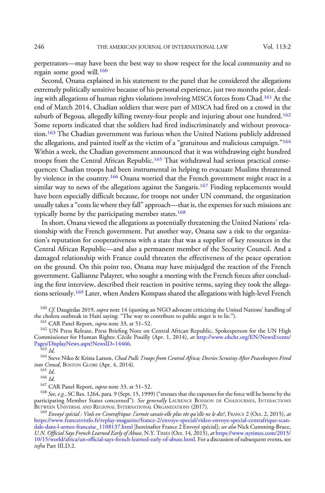perpetrators—may have been the best way to show respect for the local community and to regain some good will.<sup>160</sup>

Second, Onana explained in his statement to the panel that he considered the allegations extremely politically sensitive because of his personal experience, just two months prior, dealing with allegations of human rights violations involving MISCA forces from Chad.<sup>161</sup> At the end of March 2014, Chadian soldiers that were part of MISCA had fired on a crowd in the suburb of Begoua, allegedly killing twenty-four people and injuring about one hundred.<sup>162</sup> Some reports indicated that the soldiers had fired indiscriminately and without provocation.<sup>163</sup> The Chadian government was furious when the United Nations publicly addressed the allegations, and painted itself as the victim of a "gratuitous and malicious campaign."<sup>164</sup> Within a week, the Chadian government announced that it was withdrawing eight hundred troops from the Central African Republic.<sup>165</sup> That withdrawal had serious practical consequences: Chadian troops had been instrumental in helping to evacuate Muslims threatened by violence in the country.<sup>166</sup> Onana worried that the French government might react in a similar way to news of the allegations against the Sangaris.<sup>167</sup> Finding replacements would have been especially difficult because, for troops not under UN command, the organization usually takes a"costs lie where they fall"approach—that is, the expenses for such missions are typically borne by the participating member states.<sup>168</sup>

In short, Onana viewed the allegations as potentially threatening the United Nations' relationship with the French government. Put another way, Onana saw a risk to the organization's reputation for cooperativeness with a state that was a supplier of key resources in the Central African Republic—and also a permanent member of the Security Council. And a damaged relationship with France could threaten the effectiveness of the peace operation on the ground. On this point too, Onana may have misjudged the reaction of the French government. Gallianne Palayret, who sought a meeting with the French forces after concluding the first interview, described their reaction in positive terms, saying they took the allegations seriously.<sup>169</sup> Later, when Anders Kompass shared the allegations with high-level French

<sup>160</sup> *Cf.* Daugirdas 2019, *supra* note 14 (quoting an NGO advocate criticizing the United Nations' handling of the cholera outbreak in Haiti saying: "The way to contribute to public anger is to lie.").

<sup>161</sup> CAR Panel Report, *supra* note 33, at 51–52.<br><sup>162</sup> UN Press Release, Press Briefing Note on Central African Republic, Spokesperson for the UN High Commissioner for Human Rights: Cécile Pouilly (Apr. 1, 2014), at [http://www.ohchr.org/EN/NewsEvents/](http://www.ohchr.org/EN/NewsEvents/Pages/DisplayNews.aspx?NewsID=14466)<br>Pages/DisplayNews.aspx?NewsID=14466.

<sup>163</sup> Id.<br><sup>164</sup> Steve Niko & Krista Larson, *Chad Pulls Troops from Central Africa; Decries Scrutiny After Peacekeepers Fired into Crowd*, BOSTON GLOBE (Apr. 4, 2014).<br><sup>165</sup> Id.

166 Id.<br><sup>167</sup> CAR Panel Report, *supra* note 33, at 51–52.<br><sup>168</sup> See, e.g., SC Res. 1264, para. 9 (Sept. 15, 1999) ("stresses that the expenses for the force will be borne by the participating Member States concerned"). See generally LAURENCE BOISSON DE CHAZOURNES, INTERACTIONS<br>BETWEEN UNIVERSAL AND REGIONAL INTERNATIONAL ORGANIZATIONS (2017).

 $^{169}$  Envoyé spécial : Viols en Centrafrique: l'armée savait-elle plus tôt qu'elle ne le dit?, FRANCE 2 (Oct. 2, 2015), at [https://www.francetvinfo.fr/replay-magazine/france-2/envoye-special/video-envoye-special-centrafrique-scan](https://www.francetvinfo.fr/replay-magazine/france-2/envoye-special/video-envoye-special-centrafrique-scandale-dans-l-armee-francaise_1108137.html)[dale-dans-l-armee-francaise\\_1108137.html](https://www.francetvinfo.fr/replay-magazine/france-2/envoye-special/video-envoye-special-centrafrique-scandale-dans-l-armee-francaise_1108137.html) [hereinafter France 2 Envoyé spécial]; *see also* Nick Cumming-Bruce, U.N. Official Says French Learned Early of Abuse, N.Y. TIMES (Oct. 14, 2015), at [https://www.nytimes.com/2015/](https://www.nytimes.com/2015/10/15/world/africa/un-official-says-french-learned-early-of-abuse.html) 10/15/world/africa/un-offi[cial-says-french-learned-early-of-abuse.html.](https://www.nytimes.com/2015/10/15/world/africa/un-official-says-french-learned-early-of-abuse.html) For a discussion of subsequent events, see infra Part III.D.2.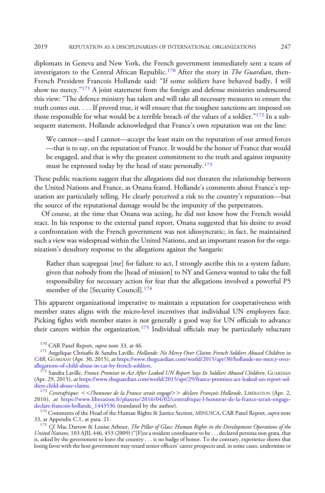diplomats in Geneva and New York, the French government immediately sent a team of investigators to the Central African Republic.<sup>170</sup> After the story in *The Guardian*, then-French President Francois Hollande said: "If some soldiers have behaved badly, I will show no mercy."<sup>171</sup> A joint statement from the foreign and defense ministries underscored this view: "The defence ministry has taken and will take all necessary measures to ensure the truth comes out. . . . If proved true, it will ensure that the toughest sanctions are imposed on those responsible for what would be a terrible breach of the values of a soldier."<sup>172</sup> In a subsequent statement, Hollande acknowledged that France's own reputation was on the line:

We cannot—and I cannot—accept the least stain on the reputation of our armed forces —that is to say, on the reputation of France. It would be the honor of France that would be engaged, and that is why the greatest commitment to the truth and against impunity must be expressed today by the head of state personally.<sup>173</sup>

These public reactions suggest that the allegations did not threaten the relationship between the United Nations and France, as Onana feared. Hollande's comments about France's reputation are particularly telling. He clearly perceived a risk to the country's reputation—but the source of the reputational damage would be the impunity of the perpetrators.

Of course, at the time that Onana was acting, he did not know how the French would react. In his response to the external panel report, Onana suggested that his desire to avoid a confrontation with the French government was not idiosyncratic; in fact, he maintained such a view was widespread within the United Nations, and an important reason for the organization's desultory response to the allegations against the Sangaris:

Rather than scapegoat [me] for failure to act, I strongly ascribe this to a system failure, given that nobody from the [head of mission] to NY and Geneva wanted to take the full responsibility for necessary action for fear that the allegations involved a powerful P5 member of the [Security Council].<sup>174</sup>

This apparent organizational imperative to maintain a reputation for cooperativeness with member states aligns with the micro-level incentives that individual UN employees face. Picking fights with member states is not generally a good way for UN officials to advance their careers within the organization.<sup>175</sup> Individual officials may be particularly reluctant

<sup>&</sup>lt;sup>170</sup> CAR Panel Report, *supra* note 33, at 46.<br><sup>171</sup> Angelique Chrisafis & Sandra Laville, *Hollande: No Mercy Over Claims French Soldiers Abused Children in* CAR, GUARDIAN (Apr. 30, 2015), at [https://www.theguardian.com/world/2015/apr/30/hollande-no-mercy-over](https://www.theguardian.com/world/2015/apr/30/hollande-no-mercy-over-allegations-of-child-abuse-in-car-by-french-soldiers)[allegations-of-child-abuse-in-car-by-french-soldiers.](https://www.theguardian.com/world/2015/apr/30/hollande-no-mercy-over-allegations-of-child-abuse-in-car-by-french-soldiers)<br><sup>172</sup> Sandra Laville, *France Promises to Act After Leaked UN Report Says Its Soldiers Abused Children*, GUARDIAN

<sup>(</sup>Apr. 29, 2015), *at* https://www.theguardian.com/world/2015/apr/29/france-promises-act-leaked-un-report-sol-<br>diers-child-abuse-claims.

 $^{173}$  Centrafrique: <<*l'honneur de la France serait engagé>> déclare François Hollande*, LIBÉRATION (Apr. 2, 2016), at [https://www.liberation.fr/planete/2016/04/02/centrafrique-l-honneur-de-la-france-serait-engage](https://www.liberation.fr/planete/2016/04/02/centrafrique-l-honneur-de-la-france-serait-engage-declare-francois-hollande_1443536)[declare-francois-hollande\\_1443536](https://www.liberation.fr/planete/2016/04/02/centrafrique-l-honneur-de-la-france-serait-engage-declare-francois-hollande_1443536) (translated by the author).

<sup>&</sup>lt;sup>174</sup> Comments of the Head of the Human Rights & Justice Section, MINUSCA, CAR Panel Report, *supra* note 33, at Appendix C.1, at para. 21.

<sup>&</sup>lt;sup>175</sup> Cf. Mac Darrow & Louise Arbour, The Pillar of Glass: Human Rights in the Development Operations of the United Nations, 103 AJIL 446, 453 (2009) ("[F]or a resident coordinator to be... declared persona non grata, that is, asked by the government to leave the country . . . is no badge of honor. To the contrary, experience shows that losing favor with the host government may retard senior officers'career prospects and, in some cases, undermine or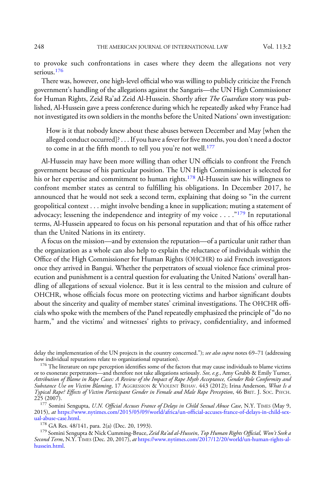to provoke such confrontations in cases where they deem the allegations not very serious.<sup>176</sup>

There was, however, one high-level official who was willing to publicly criticize the French government's handling of the allegations against the Sangaris—the UN High Commissioner for Human Rights, Zeid Ra'ad Zeid Al-Hussein. Shortly after *The Guardian* story was published, Al-Hussein gave a press conference during which he repeatedly asked why France had not investigated its own soldiers in the months before the United Nations' own investigation:

How is it that nobody knew about these abuses between December and May [when the alleged conduct occurred]? . . . If you have a fever for five months, you don't need a doctor to come in at the fifth month to tell you you're not well.<sup>177</sup>

Al-Hussein may have been more willing than other UN officials to confront the French government because of his particular position. The UN High Commissioner is selected for his or her expertise and commitment to human rights.<sup>178</sup> Al-Hussein saw his willingness to confront member states as central to fulfilling his obligations. In December 2017, he announced that he would not seek a second term, explaining that doing so "in the current geopolitical context . . . might involve bending a knee in supplication; muting a statement of advocacy; lessening the independence and integrity of my voice  $\dots$ ."<sup>179</sup> In reputational terms, Al-Hussein appeared to focus on his personal reputation and that of his office rather than the United Nations in its entirety.

A focus on the mission—and by extension the reputation—of a particular unit rather than the organization as a whole can also help to explain the reluctance of individuals within the Office of the High Commissioner for Human Rights (OHCHR) to aid French investigators once they arrived in Bangui. Whether the perpetrators of sexual violence face criminal prosecution and punishment is a central question for evaluating the United Nations' overall handling of allegations of sexual violence. But it is less central to the mission and culture of OHCHR, whose officials focus more on protecting victims and harbor significant doubts about the sincerity and quality of member states' criminal investigations. The OHCHR officials who spoke with the members of the Panel repeatedly emphasized the principle of "do no harm," and the victims' and witnesses' rights to privacy, confidentiality, and informed

delay the implementation of the UN projects in the country concerned."); see also supra notes 69-71 (addressing how individual reputations relate to organizational reputation).

<sup>&</sup>lt;sup>176</sup> The literature on rape perception identifies some of the factors that may cause individuals to blame victims or to exonerate perpetrators—and therefore not take allegations seriously. See, e.g., Amy Grubb & Emily Turner, Attribution of Blame in Rape Cases: A Review of the Impact of Rape Myth Acceptance, Gender Role Conformity and Substance Use on Victim Blaming, 17 AGGRESSION & VIOLENT BEHAV. 443 (2012); Irina Anderson, What Is a Typical Rape? Effects of Victim Participant Gender in Female and Male Rape Perception, 46 BRIT. J. SOC. PSYCH.<br>225 (2007).

<sup>&</sup>lt;sup>177</sup> Somini Sengupta, U.N. Official Accuses France of Delays in Child Sexual Abuse Case, N.Y. TIMES (May 9, 2015), at [https://www.nytimes.com/2015/05/09/world/africa/un-of](https://www.nytimes.com/2015/05/09/world/africa/un-official-accuses-france-of-delays-in-child-sexual-abuse-case.html)ficial-accuses-france-of-delays-in-child-sex-

<sup>&</sup>lt;sup>178</sup> GA Res. 48/141, para. 2(a) (Dec. 20, 1993).<br><sup>179</sup> Somini Sengupta & Nick Cumming-Bruce, *Zeid Ra'ad al-Hussein, Top Human Rights Official, Won't Seek a* Second Term, N.Y. TIMES (Dec. 20, 2017), at [https://www.nytimes.com/2017/12/20/world/un-human-rights-al](https://www.nytimes.com/2017/12/20/world/un-human-rights-al-hussein.html)[hussein.html](https://www.nytimes.com/2017/12/20/world/un-human-rights-al-hussein.html).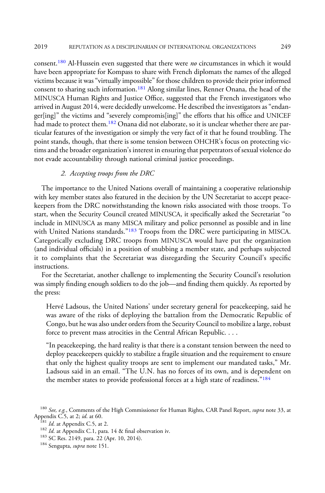consent.<sup>180</sup> Al-Hussein even suggested that there were *no* circumstances in which it would have been appropriate for Kompass to share with French diplomats the names of the alleged victims because it was "virtually impossible" for those children to provide their prior informed consent to sharing such information.<sup>181</sup> Along similar lines, Renner Onana, the head of the MINUSCA Human Rights and Justice Office, suggested that the French investigators who arrived in August 2014, were decidedly unwelcome. He described the investigators as "endanger[ing]" the victims and "severely compromis[ing]" the efforts that his office and UNICEF had made to protect them.<sup>182</sup> Onana did not elaborate, so it is unclear whether there are particular features of the investigation or simply the very fact of it that he found troubling. The point stands, though, that there is some tension between OHCHR's focus on protecting victims and the broader organization's interest in ensuring that perpetrators of sexual violence do not evade accountability through national criminal justice proceedings.

#### 2. Accepting troops from the DRC

The importance to the United Nations overall of maintaining a cooperative relationship with key member states also featured in the decision by the UN Secretariat to accept peacekeepers from the DRC notwithstanding the known risks associated with those troops. To start, when the Security Council created MINUSCA, it specifically asked the Secretariat "to include in MINUSCA as many MISCA military and police personnel as possible and in line with United Nations standards."<sup>183</sup> Troops from the DRC were participating in MISCA. Categorically excluding DRC troops from MINUSCA would have put the organization (and individual officials) in a position of snubbing a member state, and perhaps subjected it to complaints that the Secretariat was disregarding the Security Council's specific instructions.

For the Secretariat, another challenge to implementing the Security Council's resolution was simply finding enough soldiers to do the job—and finding them quickly. As reported by the press:

Hervé Ladsous, the United Nations' under secretary general for peacekeeping, said he was aware of the risks of deploying the battalion from the Democratic Republic of Congo, but he was also under orders from the Security Council to mobilize a large, robust force to prevent mass atrocities in the Central African Republic. . . .

"In peacekeeping, the hard reality is that there is a constant tension between the need to deploy peacekeepers quickly to stabilize a fragile situation and the requirement to ensure that only the highest quality troops are sent to implement our mandated tasks," Mr. Ladsous said in an email. "The U.N. has no forces of its own, and is dependent on the member states to provide professional forces at a high state of readiness."<sup>184</sup>

<sup>&</sup>lt;sup>180</sup> See, e.g., Comments of the High Commissioner for Human Rights, CAR Panel Report, *supra* note 33, at Appendix C.5, at 2; id. at 60.

<sup>&</sup>lt;sup>181</sup> Id. at Appendix C.5, at 2.<br><sup>182</sup> Id. at Appendix C.1, para. 14 & final observation iv.<br><sup>183</sup> SC Res. 2149, para. 22 (Apr. 10, 2014).<br><sup>184</sup> Sengupta, *supra* note 151.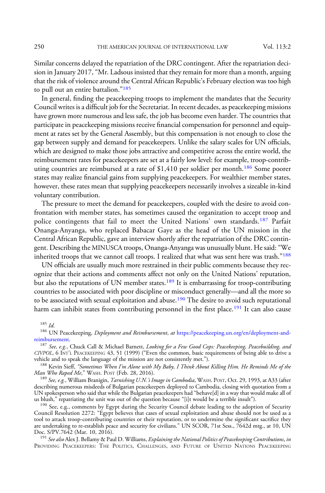Similar concerns delayed the repatriation of the DRC contingent. After the repatriation decision in January 2017, "Mr. Ladsous insisted that they remain for more than a month, arguing that the risk of violence around the Central African Republic's February election was too high to pull out an entire battalion."<sup>185</sup>

In general, finding the peacekeeping troops to implement the mandates that the Security Council writes is a difficult job for the Secretariat. In recent decades, as peacekeeping missions have grown more numerous and less safe, the job has become even harder. The countries that participate in peacekeeping missions receive financial compensation for personnel and equipment at rates set by the General Assembly, but this compensation is not enough to close the gap between supply and demand for peacekeepers. Unlike the salary scales for UN officials, which are designed to make those jobs attractive and competitive across the entire world, the reimbursement rates for peacekeepers are set at a fairly low level: for example, troop-contributing countries are reimbursed at a rate of \$1,410 per soldier per month.<sup>186</sup> Some poorer states may realize financial gains from supplying peacekeepers. For wealthier member states, however, these rates mean that supplying peacekeepers necessarily involves a sizeable in-kind voluntary contribution.

The pressure to meet the demand for peacekeepers, coupled with the desire to avoid confrontation with member states, has sometimes caused the organization to accept troop and police contingents that fail to meet the United Nations' own standards.<sup>187</sup> Parfait Onanga-Anyanga, who replaced Babacar Gaye as the head of the UN mission in the Central African Republic, gave an interview shortly after the repatriation of the DRC contingent. Describing the MINUSCA troops, Onanga-Anyanga was unusually blunt. He said:"We inherited troops that we cannot call troops. I realized that what was sent here was trash."<sup>188</sup>

UN officials are usually much more restrained in their public comments because they recognize that their actions and comments affect not only on the United Nations' reputation, but also the reputations of UN member states.<sup>189</sup> It is embarrassing for troop-contributing countries to be associated with poor discipline or misconduct generally—and all the more so to be associated with sexual exploitation and abuse.<sup>190</sup> The desire to avoid such reputational harm can inhibit states from contributing personnel in the first place.<sup>191</sup> It can also cause

<sup>185</sup> Id.<br><sup>186</sup> UN Peacekeeping, *Deployment and Reimbursement, at* https://peacekeeping.un.org/en/deployment-and-<br>reimbursement.

[reimbursement](https://peacekeeping.un.org/en/deployment-and-reimbursement).<br><sup>187</sup> See, e.g., Chuck Call & Michael Barnett, *Looking for a Few Good Cops: Peacekeeping, Peacebuilding, and* CIVPOL,6INT'<sup>L</sup> PEACEKEEPING 43, 51 (1999) ("Even the common, basic requirements of being able to drive a

vehicle and to speak the language of the mission are not consistently met.").<br><sup>188</sup> Kevin Sieff, *"Sometimes When I'm Alone with My Baby, I Think About Killing Him. He Reminds Me of the<br><i>Man Who Raped Me*," WASH. POST (Feb

<sup>189</sup> See, e.g., William Branigin, Tarnishing U.N.'s Image in Cambodia, WASH. POST, Oct. 29, 1993, at A33 (after describing numerous misdeeds of Bulgarian peacekeepers deployed to Cambodia, closing with quotation from a UN spokesperson who said that while the Bulgarian peacekeepers had "behave[d] in a way that would make all of

us blush," repatriating the unit was out of the question because "[i]t would be a terrible insult").<br><sup>190</sup> See, e.g., comments by Egypt during the Security Council debate leading to the adoption of Security Council Resolution 2272: "Egypt believes that cases of sexual exploitation and abuse should not be used as a tool to attack troop-contributing countries or their reputation, or to undermine the significant sacrifice they are undertaking to re-establish peace and security for civilians." UN SCOR, 71st Sess., 7642d mtg., at 10, UN Doc. S/PV.7642 (Mar. 10, 2016).

<sup>191</sup> See also Alex J. Bellamy & Paul D. Williams, Explaining the National Politics of Peacekeeping Contributions, in PROVIDING PEACEKEEPERS: THE POLITICS, CHALLENGES, AND FUTURE OF UNITED NATIONS PEACEKEEPING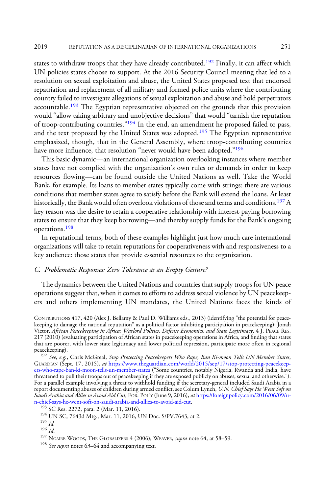states to withdraw troops that they have already contributed.<sup>192</sup> Finally, it can affect which UN policies states choose to support. At the 2016 Security Council meeting that led to a resolution on sexual exploitation and abuse, the United States proposed text that endorsed repatriation and replacement of all military and formed police units where the contributing country failed to investigate allegations of sexual exploitation and abuse and hold perpetrators accountable.<sup>193</sup> The Egyptian representative objected on the grounds that this provision would "allow taking arbitrary and unobjective decisions" that would "tarnish the reputation of troop-contributing countries."<sup>194</sup> In the end, an amendment he proposed failed to pass, and the text proposed by the United States was adopted.<sup>195</sup> The Egyptian representative emphasized, though, that in the General Assembly, where troop-contributing countries have more influence, that resolution "never would have been adopted."<sup>196</sup>

This basic dynamic—an international organization overlooking instances where member states have not complied with the organization's own rules or demands in order to keep resources flowing—can be found outside the United Nations as well. Take the World Bank, for example. Its loans to member states typically come with strings: there are various conditions that member states agree to satisfy before the Bank will extend the loans. At least historically, the Bank would often overlook violations of those and terms and conditions.<sup>197</sup> A key reason was the desire to retain a cooperative relationship with interest-paying borrowing states to ensure that they keep borrowing—and thereby supply funds for the Bank's ongoing operations.<sup>198</sup>

In reputational terms, both of these examples highlight just how much care international organizations will take to retain reputations for cooperativeness with and responsiveness to a key audience: those states that provide essential resources to the organization.

#### C. Problematic Responses: Zero Tolerance as an Empty Gesture?

The dynamics between the United Nations and countries that supply troops for UN peace operations suggest that, when it comes to efforts to address sexual violence by UN peacekeepers and others implementing UN mandates, the United Nations faces the kinds of

CONTRIBUTIONS 417, 420 (Alex J. Bellamy & Paul D. Williams eds., 2013) (identifying "the potential for peacekeeping to damage the national reputation" as a political factor inhibiting participation in peacekeeping); Jonah Victor, African Peacekeeping in Africa: Warlord Politics, Defense Economics, and State Legitimacy, 4 J. PEACE RES. 217 (2010) (evaluating participation of African states in peacekeeping operations in Africa, and finding that states that are poorer, with lower state legitimacy and lower political repression, participate more often in regional

<sup>&</sup>lt;sup>192</sup> See, e.g., Chris McGreal, Stop Protecting Peacekeepers Who Rape, Ban Ki-moon Tells UN Member States, GUARDIAN (Sept. 17, 2015), at [https://www.theguardian.com/world/2015/sep/17/stop-protecting-peacekeep](https://www.theguardian.com/world/2015/sep/17/stop-protecting-peacekeepers-who-rape-ban-ki-moon-tells-un-member-states)[ers-who-rape-ban-ki-moon-tells-un-member-states](https://www.theguardian.com/world/2015/sep/17/stop-protecting-peacekeepers-who-rape-ban-ki-moon-tells-un-member-states) ("Some countries, notably Nigeria, Rwanda and India, have threatened to pull their troops out of peacekeeping if they are exposed publicly on abuses, sexual and otherwise."). For a parallel example involving a threat to withhold funding if the secretary-general included Saudi Arabia in a report documenting abuses of children during armed conflict, see Colum Lynch, U.N. Chief Says He Went Soft on Saudi Arabia and Allies to Avoid Aid Cut, FOR. POL'<sup>Y</sup> (June 9, 2016), at [https://foreignpolicy.com/2016/06/09/u](https://foreignpolicy.com/2016/06/09/u-n-chief-says-he-went-soft-on-saudi-arabia-and-allies-to-avoid-aid-cut)[n-chief-says-he-went-soft-on-saudi-arabia-and-allies-to-avoid-aid-cut](https://foreignpolicy.com/2016/06/09/u-n-chief-says-he-went-soft-on-saudi-arabia-and-allies-to-avoid-aid-cut).<br><sup>193</sup> SC Res. 2272, para. 2 (Mar. 11, 2016).<br><sup>194</sup> UN SC, 7643d Mtg., Mar. 11, 2016, UN Doc. S/PV.7643, at 2.

<sup>&</sup>lt;sup>195</sup> Id.<br><sup>196</sup> Id.<br><sup>197</sup> NGAIRE WOODS, THE GLOBALIZERS 4 (2006); WEAVER, *supra* note 64, at 58–59. <sup>198</sup> See supra notes 63–64 and accompanying text.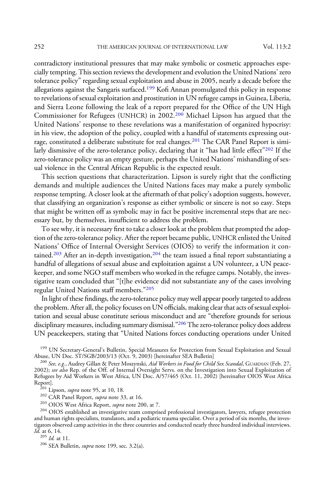contradictory institutional pressures that may make symbolic or cosmetic approaches especially tempting. This section reviews the development and evolution the United Nations'zero tolerance policy" regarding sexual exploitation and abuse in 2005, nearly a decade before the allegations against the Sangaris surfaced.<sup>199</sup> Kofi Annan promulgated this policy in response to revelations of sexual exploitation and prostitution in UN refugee camps in Guinea, Liberia, and Sierra Leone following the leak of a report prepared for the Office of the UN High Commissioner for Refugees (UNHCR) in 2002.<sup>200</sup> Michael Lipson has argued that the United Nations' response to these revelations was a manifestation of organized hypocrisy: in his view, the adoption of the policy, coupled with a handful of statements expressing outrage, constituted a deliberate substitute for real changes.<sup>201</sup> The CAR Panel Report is similarly dismissive of the zero-tolerance policy, declaring that it "has had little effect"<sup>202</sup> If the zero-tolerance policy was an empty gesture, perhaps the United Nations' mishandling of sexual violence in the Central African Republic is the expected result.

This section questions that characterization. Lipson is surely right that the conflicting demands and multiple audiences the United Nations faces may make a purely symbolic response tempting. A closer look at the aftermath of that policy's adoption suggests, however, that classifying an organization's response as either symbolic or sincere is not so easy. Steps that might be written off as symbolic may in fact be positive incremental steps that are necessary but, by themselves, insufficient to address the problem.

To see why, it is necessary first to take a closer look at the problem that prompted the adoption of the zero-tolerance policy. After the report became public, UNHCR enlisted the United Nations' Office of Internal Oversight Services (OIOS) to verify the information it contained.<sup>203</sup> After an in-depth investigation,<sup>204</sup> the team issued a final report substantiating a handful of allegations of sexual abuse and exploitation against a UN volunteer, a UN peacekeeper, and some NGO staff members who worked in the refugee camps. Notably, the investigative team concluded that "[t]he evidence did not substantiate any of the cases involving regular United Nations staff members."<sup>205</sup>

In light of these findings, the zero-tolerance policy may well appear poorly targeted to address the problem. After all, the policy focuses on UN officials, making clear that acts of sexual exploitation and sexual abuse constitute serious misconduct and are "therefore grounds for serious disciplinary measures, including summary dismissal."<sup>206</sup> The zero-tolerance policy does address UN peacekeepers, stating that "United Nations forces conducting operations under United

Report].<br><sup>201</sup> Lipson, *supra* note 95, at 10, 18.<br><sup>202</sup> CAR Panel Report, *supra* note 33, at 16.<br><sup>203</sup> OIOS West Africa Report, *supra* note 200, at 7.<br><sup>204</sup> OIOS established an investigative team comprised professional and human rights specialists, translators, and a pediatric trauma specialist. Over a period of six months, the investigators observed camp activities in the three countries and conducted nearly three hundred individual interviews.  $I\bar{d}$ . at 6, 14.<br><sup>205</sup> *Id.* at 11.

<sup>&</sup>lt;sup>199</sup> UN Secretary-General's Bulletin, Special Measures for Protection from Sexual Exploitation and Sexual Abuse, UN Doc. ST/SGB/2003/13 (Oct. 9, 2003) [hereinafter SEA Bulletin]

<sup>&</sup>lt;sup>200</sup> See, e.g., Audrey Gillan & Peter Moszynski, Aid Workers in Food for Child Sex Scandal, GUARDIAN (Feb. 27, 2002); see also Rep. of the Off. of Internal Oversight Servs. on the Investigation into Sexual Exploitation of Refugees by Aid Workers in West Africa, UN Doc. A/57/465 (Oct. 11, 2002) [hereinafter OIOS West Africa

 $206$  SEA Bulletin, *supra* note 199, sec. 3.2(a).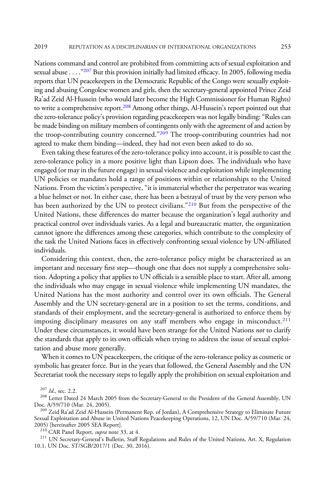Nations command and control are prohibited from committing acts of sexual exploitation and sexual abuse . . . . "207 But this provision initially had limited efficacy. In 2005, following media reports that UN peacekeepers in the Democratic Republic of the Congo were sexually exploiting and abusing Congolese women and girls, then the secretary-general appointed Prince Zeid Ra'ad Zeid Al-Hussein (who would later become the High Commissioner for Human Rights) to write a comprehensive report.<sup>208</sup> Among other things, Al-Hussein's report pointed out that the zero-tolerance policy's provision regarding peacekeepers was not legally binding: "Rules can be made binding on military members of contingents only with the agreement of and action by the troop-contributing country concerned."<sup>209</sup> The troop-contributing countries had not agreed to make them binding—indeed, they had not even been asked to do so.

Even taking these features of the zero-tolerance policy into account, it is possible to cast the zero-tolerance policy in a more positive light than Lipson does. The individuals who have engaged (or may in the future engage) in sexual violence and exploitation while implementing UN policies or mandates hold a range of positions within or relationships to the United Nations. From the victim's perspective, "it is immaterial whether the perpetrator was wearing a blue helmet or not. In either case, there has been a betrayal of trust by the very person who has been authorized by the UN to protect civilians."<sup>210</sup> But from the perspective of the United Nations, these differences do matter because the organization's legal authority and practical control over individuals varies. As a legal and bureaucratic matter, the organization cannot ignore the differences among these categories, which contribute to the complexity of the task the United Nations faces in effectively confronting sexual violence by UN-affiliated individuals.

Considering this context, then, the zero-tolerance policy might be characterized as an important and necessary first step—though one that does not supply a comprehensive solution. Adopting a policy that applies to UN officials is a sensible place to start. After all, among the individuals who may engage in sexual violence while implementing UN mandates, the United Nations has the most authority and control over its own officials. The General Assembly and the UN secretary-general are in a position to set the terms, conditions, and standards of their employment, and the secretary-general is authorized to enforce them by imposing disciplinary measures on any staff members who engage in misconduct.<sup>211</sup> Under these circumstances, it would have been strange for the United Nations not to clarify the standards that apply to its own officials when trying to address the issue of sexual exploitation and abuse more generally.

When it comes to UN peacekeepers, the critique of the zero-tolerance policy as cosmetic or symbolic has greater force. But in the years that followed, the General Assembly and the UN Secretariat took the necessary steps to legally apply the prohibition on sexual exploitation and

<sup>&</sup>lt;sup>207</sup> Id., sec. 2.2. <sup>208</sup> Letter Dated 24 March 2005 from the Secretary-General to the President of the General Assembly, UN Doc. *A/59/710* (Mar. 24, 2005).

<sup>&</sup>lt;sup>209</sup> Zeid Ra'ad Zeid Al-Hussein (Permanent Rep. of Jordan), A Comprehensive Strategy to Eliminate Future Sexual Exploitation and Abuse in United Nations Peacekeeping Operations, 12, UN Doc. A/59/710 (Mar. 24, 2005) [hereinafter 2005 SEA Report].

<sup>&</sup>lt;sup>210</sup> CAR Panel Report, *supra* note 33, at 4.<br><sup>211</sup> UN Secretary-General's Bulletin, Staff Regulations and Rules of the United Nations, Art. X, Regulation 10.1, UN Doc. ST/SGB/2017/1 (Dec. 30, 2016).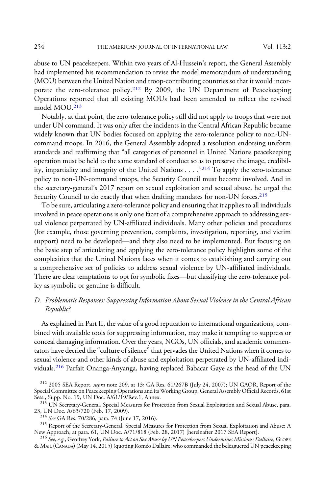abuse to UN peacekeepers. Within two years of Al-Hussein's report, the General Assembly had implemented his recommendation to revise the model memorandum of understanding (MOU) between the United Nation and troop-contributing countries so that it would incorporate the zero-tolerance policy.<sup>212</sup> By 2009, the UN Department of Peacekeeping Operations reported that all existing MOUs had been amended to reflect the revised model MOU.213

Notably, at that point, the zero-tolerance policy still did not apply to troops that were not under UN command. It was only after the incidents in the Central African Republic became widely known that UN bodies focused on applying the zero-tolerance policy to non-UNcommand troops. In 2016, the General Assembly adopted a resolution endorsing uniform standards and reaffirming that "all categories of personnel in United Nations peacekeeping operation must be held to the same standard of conduct so as to preserve the image, credibility, impartiality and integrity of the United Nations  $\ldots$ ."<sup>214</sup> To apply the zero-tolerance policy to non-UN-command troops, the Security Council must become involved. And in the secretary-general's 2017 report on sexual exploitation and sexual abuse, he urged the Security Council to do exactly that when drafting mandates for non-UN forces.<sup>215</sup>

To be sure, articulating a zero-tolerance policy and ensuring that it applies to all individuals involved in peace operations is only one facet of a comprehensive approach to addressing sexual violence perpetrated by UN-affiliated individuals. Many other policies and procedures (for example, those governing prevention, complaints, investigation, reporting, and victim support) need to be developed—and they also need to be implemented. But focusing on the basic step of articulating and applying the zero-tolerance policy highlights some of the complexities that the United Nations faces when it comes to establishing and carrying out a comprehensive set of policies to address sexual violence by UN-affiliated individuals. There are clear temptations to opt for symbolic fixes—but classifying the zero-tolerance policy as symbolic or genuine is difficult.

#### D. Problematic Responses: Suppressing Information About Sexual Violence in the Central African Republic?

As explained in Part II, the value of a good reputation to international organizations, combined with available tools for suppressing information, may make it tempting to suppress or conceal damaging information. Over the years, NGOs, UN officials, and academic commentators have decried the "culture of silence" that pervades the United Nations when it comes to sexual violence and other kinds of abuse and exploitation perpetrated by UN-affiliated individuals.<sup>216</sup> Parfait Onanga-Anyanga, having replaced Babacar Gaye as the head of the UN

<sup>216</sup> See, e.g., Geoffrey York, Failure to Act on Sex Abuse by UN Peacekeepers Undermines Missions: Dallaire, GLOBE & MAIL (CANADA) (May 14, 2015) (quoting Roméo Dallaire, who commanded the beleaguered UN peacekeeping

<sup>&</sup>lt;sup>212</sup> 2005 SEA Report, *supra* note 209, at 13; GA Res. 61/267B (July 24, 2007); UN GAOR, Report of the Special Committee on Peacekeeping Operations and its Working Group, General Assembly Official Records, 61st<br>Sess., Supp. No. 19, UN Doc. A/61/19/Rev.1, Annex.

<sup>&</sup>lt;sup>213</sup> UN Secretary-General, Special Measures for Protection from Sexual Exploitation and Sexual Abuse, para.<br>23, UN Doc. A/63/720 (Feb. 17, 2009).

<sup>&</sup>lt;sup>214</sup> See GA Res. 70/286, para. 74 (June 17, 2016). <sup>215</sup> Report of the Secretary-General, Special Measures for Protection from Sexual Exploitation and Abuse: A New Approach, at para. 61, UN Doc. A/71/818 (Feb. 28, 2017)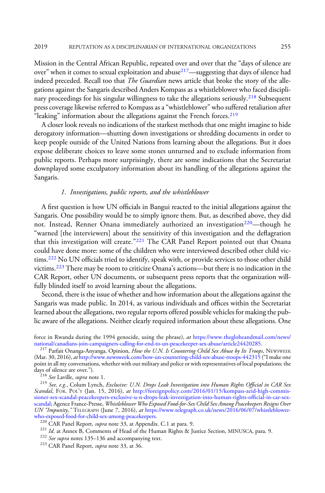Mission in the Central African Republic, repeated over and over that the "days of silence are over" when it comes to sexual exploitation and abuse<sup>217</sup>—suggesting that days of silence had indeed preceded. Recall too that *The Guardian* news article that broke the story of the allegations against the Sangaris described Anders Kompass as a whistleblower who faced disciplinary proceedings for his singular willingness to take the allegations seriously.<sup>218</sup> Subsequent press coverage likewise referred to Kompass as a"whistleblower" who suffered retaliation after "leaking" information about the allegations against the French forces.<sup>219</sup>

A closer look reveals no indications of the starkest methods that one might imagine to hide derogatory information—shutting down investigations or shredding documents in order to keep people outside of the United Nations from learning about the allegations. But it does expose deliberate choices to leave some stones unturned and to exclude information from public reports. Perhaps more surprisingly, there are some indications that the Secretariat downplayed some exculpatory information about its handling of the allegations against the Sangaris.

#### 1. Investigations, public reports, and the whistleblower

A first question is how UN officials in Bangui reacted to the initial allegations against the Sangaris. One possibility would be to simply ignore them. But, as described above, they did not. Instead, Renner Onana immediately authorized an investigation<sup>220</sup>—though he "warned [the interviewers] about the sensitivity of this investigation and the deflagration that this investigation will create."<sup>221</sup> The CAR Panel Report pointed out that Onana could have done more: some of the children who were interviewed described other child victims.222 No UN officials tried to identify, speak with, or provide services to those other child victims.<sup>223</sup> There may be room to criticize Onana's actions—but there is no indication in the CAR Report, other UN documents, or subsequent press reports that the organization willfully blinded itself to avoid learning about the allegations.

Second, there is the issue of whether and how information about the allegations against the Sangaris was made public. In 2014, as various individuals and offices within the Secretariat learned about the allegations, two regular reports offered possible vehicles for making the public aware of the allegations. Neither clearly required information about these allegations. One

force in Rwanda during the 1994 genocide, using the phrase), at [https://www.theglobeandmail.com/news/](https://www.theglobeandmail.com/news/national/canadians-join-campaigners-calling-for-end-to-un-peacekeeper-sex-abuse/article24420285)<br>national/canadians-join-campaigners-calling-for-end-to-un-peacekeeper-sex-abuse/article24420285.

<sup>&</sup>lt;sup>217</sup> Parfait Onanga-Anyanga, Opinion, How the U.N. Is Countering Child Sex Abuse by Its Troops, NEWSWEEK (Mar. 30, 2016), at <http://www.newsweek.com/how-un-countering-child-sex-abuse-troops-442315> ("I make one point in all my conversations, whether with our military and police or with representatives of local populations: the days of silence are over.").<br><sup>218</sup> See Laville, *supra* note 1.<br><sup>219</sup> See, e.g., Colum Lynch, *Exclusive: U.N. Drops Leak Investigation into Human Rights Official in CAR Sex* 

Scandal, FOR. POL'<sup>Y</sup> (Jan. 15, 2016), at [http://foreignpolicy.com/2016/01/15/kompass-zeid-high-commis-](http://foreignpolicy.com/2016/01/15/kompass-zeid-high-commissioner-sex-scandal-peacekeepers-exclusive-u-n-drops-leak-investigation-into-human-rights-official-in-car-sex-scandal)[sioner-sex-scandal-peacekeepers-exclusive-u-n-drops-leak-investigation-into-human-rights-of](http://foreignpolicy.com/2016/01/15/kompass-zeid-high-commissioner-sex-scandal-peacekeepers-exclusive-u-n-drops-leak-investigation-into-human-rights-official-in-car-sex-scandal)ficial-in-car-sex[scandal;](http://foreignpolicy.com/2016/01/15/kompass-zeid-high-commissioner-sex-scandal-peacekeepers-exclusive-u-n-drops-leak-investigation-into-human-rights-official-in-car-sex-scandal) Agence France-Presse, Whistleblower Who Exposed Food-for-Sex Child Sex Among Peacekeepers Resigns Over UN "Impunity," TELEGRAPH (June 7, 2016), at [https://www.telegraph.co.uk/news/2016/06/07/whistleblower](https://www.telegraph.co.uk/news/2016/06/07/whistleblower-who-exposed-food-for-child-sex-among-peacekeepers)[who-exposed-food-for-child-sex-among-peacekeepers.](https://www.telegraph.co.uk/news/2016/06/07/whistleblower-who-exposed-food-for-child-sex-among-peacekeepers)<br><sup>220</sup> CAR Panel Report, *supra* note 33, at Appendix. C.1 at para. 9.<br><sup>221</sup> Id. at Annex B, Comments of Head of the Human Rights & Justice Section, MINUSCA, para. 9.<br><sup>222</sup>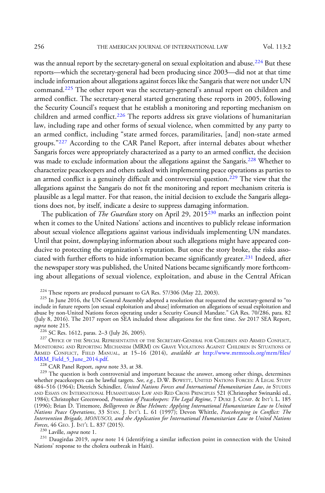was the annual report by the secretary-general on sexual exploitation and abuse.<sup>224</sup> But these reports—which the secretary-general had been producing since 2003—did not at that time include information about allegations against forces like the Sangaris that were not under UN command.<sup>225</sup> The other report was the secretary-general's annual report on children and armed conflict. The secretary-general started generating these reports in 2005, following the Security Council's request that he establish a monitoring and reporting mechanism on children and armed conflict.<sup>226</sup> The reports address six grave violations of humanitarian law, including rape and other forms of sexual violence, when committed by any party to an armed conflict, including "state armed forces, paramilitaries, [and] non-state armed groups."<sup>227</sup> According to the CAR Panel Report, after internal debates about whether Sangaris forces were appropriately characterized as a party to an armed conflict, the decision was made to exclude information about the allegations against the Sangaris.<sup>228</sup> Whether to characterize peacekeepers and others tasked with implementing peace operations as parties to an armed conflict is a genuinely difficult and controversial question.<sup>229</sup> The view that the allegations against the Sangaris do not fit the monitoring and report mechanism criteria is plausible as a legal matter. For that reason, the initial decision to exclude the Sangaris allegations does not, by itself, indicate a desire to suppress damaging information.

The publication of *The Guardian* story on April 29, 2015<sup>230</sup> marks an inflection point when it comes to the United Nations' actions and incentives to publicly release information about sexual violence allegations against various individuals implementing UN mandates. Until that point, downplaying information about such allegations might have appeared conducive to protecting the organization's reputation. But once the story broke, the risks associated with further efforts to hide information became significantly greater.<sup>231</sup> Indeed, after the newspaper story was published, the United Nations became significantly more forthcoming about allegations of sexual violence, exploitation, and abuse in the Central African

<sup>224</sup> These reports are produced pursuant to GA Res. 57/306 (May 22, 2003).<br><sup>225</sup> In June 2016, the UN General Assembly adopted a resolution that requested the secretary-general to "to include in future reports [on sexual exploitation and abuse] information on allegations of sexual exploitation and abuse by non-United Nations forces operating under a Security Council Mandate." GA Res. 70/286, para. 82 (July 8, 2016). The 2017 report on SEA included those allegations for the first time. *See* 2017 SEA Report, *supra* note 215.<br><sup>226</sup> SC Res. 1612, paras. 2–3 (July 26, 2005).

<sup>227</sup> OFFICE OF THE SPECIAL REPRESENTATIVE OF THE SECRETARY-GENERAL FOR CHILDREN AND ARMED CONFLICT, MONITORING AND REPORTING MECHANISM (MRM) ON GRAVE VIOLATIONS AGAINST CHILDREN IN SITUATIONS OF ARMED CONFLICT, FIELD MANUAL, at 15–16 (2014), *available at [http://www.mrmtools.org/mrm/](http://www.mrmtools.org/mrm/files/MRM_Field_5_June_2014.pdf)files/*<br>MRM\_Field\_5\_June\_2014.pdf.

<sup>228</sup> CAR Panel Report, *supra* note 33, at 38.  $\frac{229}{229}$  The question is both controversial and important because the answer, among other things, determines whether peacekeepers can be lawful targets. See, e.g., D.W. BOWETT, UNITED NATIONS FORCES: A LEGAL STUDY 484–516 (1964); Dietrich Schindler, United Nations Forces and International Humanitarian Law, in STUDIES AND ESSAYS ON INTERNATIONAL HUMANITARIAN LAW AND RED CROSS PRINCIPLES 521 (Christopher Swinarski ed., 1984); Christopher Greenwood, Protection of Peacekeepers: The Legal Regime, 7 DUKE J. COMP. & INT'L L. 185 (1996); Brian D. Tittemore, Belligerents in Blue Helmets: Applying International Humanitarian Law to United Nations Peace Operations, 33 STAN. J. INT'<sup>L</sup> L. 61 (1997); Devon Whittle, Peacekeeping in Conflict: The Intervention Brigade, MONUSCO, and the Application for International Humanitarian Law to United Nations

<sup>230</sup> Laville, *supra* note 1.<br><sup>231</sup> Daugirdas 2019, *supra* note 14 (identifying a similar inflection point in connection with the United Nations' response to the cholera outbreak in Haiti).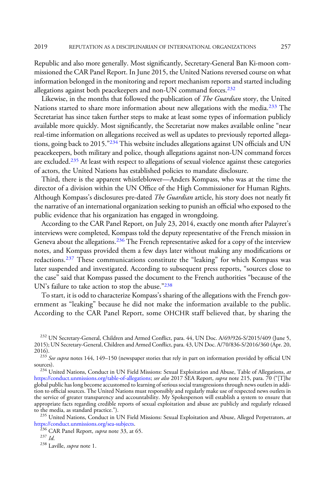Republic and also more generally. Most significantly, Secretary-General Ban Ki-moon commissioned the CAR Panel Report. In June 2015, the United Nations reversed course on what information belonged in the monitoring and report mechanism reports and started including allegations against both peacekeepers and non-UN command forces.<sup>232</sup>

Likewise, in the months that followed the publication of *The Guardian* story, the United Nations started to share more information about new allegations with the media.<sup>233</sup> The Secretariat has since taken further steps to make at least some types of information publicly available more quickly. Most significantly, the Secretariat now makes available online "near real-time information on allegations received as well as updates to previously reported allegations, going back to 2015.<sup>"234</sup> This website includes allegations against UN officials and UN peacekeepers, both military and police, though allegations against non-UN command forces are excluded.<sup>235</sup> At least with respect to allegations of sexual violence against these categories of actors, the United Nations has established policies to mandate disclosure.

Third, there is the apparent whistleblower—Anders Kompass, who was at the time the director of a division within the UN Office of the High Commissioner for Human Rights. Although Kompass's disclosures pre-dated *The Guardian* article, his story does not neatly fit the narrative of an international organization seeking to punish an official who exposed to the public evidence that his organization has engaged in wrongdoing.

According to the CAR Panel Report, on July 23, 2014, exactly one month after Palayret's interviews were completed, Kompass told the deputy representative of the French mission in Geneva about the allegations.<sup>236</sup> The French representative asked for a copy of the interview notes, and Kompass provided them a few days later without making any modifications or redactions.<sup>237</sup> These communications constitute the "leaking" for which Kompass was later suspended and investigated. According to subsequent press reports, "sources close to the case" said that Kompass passed the document to the French authorities "because of the UN's failure to take action to stop the abuse."<sup>238</sup>

To start, it is odd to characterize Kompass's sharing of the allegations with the French government as "leaking" because he did not make the information available to the public. According to the CAR Panel Report, some OHCHR staff believed that, by sharing the

<https://conduct.unmissions.org/sea-subjects>.<br><sup>236</sup> CAR Panel Report, *supra* note 33, at 65.<br><sup>237</sup> Id. <sup>238</sup> Laville, *supra* note 1.

<sup>&</sup>lt;sup>232</sup> UN Secretary-General, Children and Armed Conflict, para. 44, UN Doc. A/69/926-S/2015/409 (June 5, 2015); UN Secretary-General, Children and Armed Conflict, para. 43, UN Doc. A/70/836-S/2016/360 (Apr. 20,

 $^{233}$  See supra notes 144, 149-150 (newspaper stories that rely in part on information provided by official UN sources).

 $^{234}$  United Nations, Conduct in UN Field Missions: Sexual Exploitation and Abuse, Table of Allegations, at <https://conduct.unmissions.org/table-of-allegations>; see also 2017 SEA Report, supra note 215, para. 70 ("[T]he global public has long become accustomed to learning of serious social transgressions through news outlets in addi-<br>tion to official sources. The United Nations must responsibly and regularly make use of respected news out the service of greater transparency and accountability. My Spokesperson will establish a system to ensure that appropriate facts regarding credible reports of sexual exploitation and abuse are publicly and regularly released to the media, as standard practice.").<br><sup>235</sup> United Nations, Conduct in UN Field Missions: Sexual Exploitation and Abuse, Alleged Perpetrators, *at*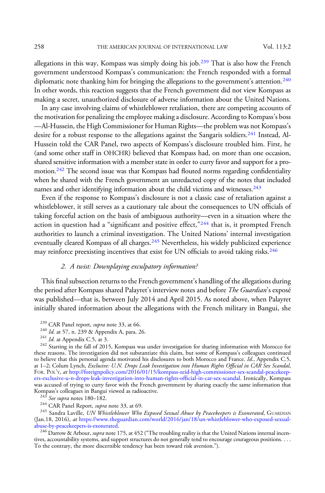allegations in this way, Kompass was simply doing his job.<sup>239</sup> That is also how the French government understood Kompass's communication: the French responded with a formal diplomatic note thanking him for bringing the allegations to the government's attention.<sup>240</sup> In other words, this reaction suggests that the French government did not view Kompass as making a secret, unauthorized disclosure of adverse information about the United Nations.

In any case involving claims of whistleblower retaliation, there are competing accounts of the motivation for penalizing the employee making a disclosure. According to Kompass's boss —Al-Hussein, the High Commissioner for Human Rights—the problem was not Kompass's desire for a robust response to the allegations against the Sangaris soldiers.<sup>241</sup> Instead, Al-Hussein told the CAR Panel, two aspects of Kompass's disclosure troubled him. First, he (and some other staff in OHCHR) believed that Kompass had, on more than one occasion, shared sensitive information with a member state in order to curry favor and support for a promotion.<sup>242</sup> The second issue was that Kompass had flouted norms regarding confidentiality when he shared with the French government an unredacted copy of the notes that included names and other identifying information about the child victims and witnesses.<sup>243</sup>

Even if the response to Kompass's disclosure is not a classic case of retaliation against a whistleblower, it still serves as a cautionary tale about the consequences to UN officials of taking forceful action on the basis of ambiguous authority—even in a situation where the action in question had a "significant and positive effect,"<sup>244</sup> that is, it prompted French authorities to launch a criminal investigation. The United Nations' internal investigation eventually cleared Kompass of all charges.<sup>245</sup> Nevertheless, his widely publicized experience may reinforce preexisting incentives that exist for UN officials to avoid taking risks.<sup>246</sup>

#### 2. A twist: Downplaying exculpatory information?

This final subsection returns to the French government's handling of the allegations during the period after Kompass shared Palayret's interview notes and before *The Guardian*'s exposé was published—that is, between July 2014 and April 2015. As noted above, when Palayret initially shared information about the allegations with the French military in Bangui, she

 $244$  CAR Panel Report, *supra* note 33, at 69.

<sup>245</sup> Sandra Laville, UN Whistleblower Who Exposed Sexual Abuse by Peacekeepers is Exonerated, GUARDIAN (Jan.18, 2016), at [https://www.theguardian.com/world/2016/jan/18/un-whistleblower-who-exposed-sexual-](https://www.theguardian.com/world/2016/jan/18/un-whistleblower-who-exposed-sexual-abuse-by-peacekeepers-is-exonerated)

<sup>246</sup> Darrow & Arbour, supra note 175, at 452 ("The troubling reality is that the United Nations internal incentives, accountability systems, and support structures do not generally tend to encourage courageous positions. . . . To the contrary, the more discernible tendency has been toward risk aversion.").

<sup>&</sup>lt;sup>239</sup> CAR Panel report, *supra* note 33, at 66.<br><sup>240</sup> *Id.* at 57, n. 239 & Appendix A, para. 26.<br><sup>241</sup> *Id.* at Appendix C.5, at 3.<br><sup>242</sup> Starting in the fall of 2015, Kompass was under investigation for sharing informati these reasons. The investigation did not substantiate this claim, but some of Kompass's colleagues continued to believe that this personal agenda motivated his disclosures to both Morocco and France. Id., Appendix C.5, at 1–2; Colum Lynch, Exclusive: U.N. Drops Leak Investigation into Human Rights Official in CAR Sex Scandal, FOR. POL'Y, at [http://foreignpolicy.com/2016/01/15/kompass-zeid-high-commissioner-sex-scandal-peacekeep](http://foreignpolicy.com/2016/01/15/kompass-zeid-high-commissioner-sex-scandal-peacekeepers-exclusive-u-n-drops-leak-investigation-into-human-rights-official-in-car-sex-scandal)[ers-exclusive-u-n-drops-leak-investigation-into-human-rights-of](http://foreignpolicy.com/2016/01/15/kompass-zeid-high-commissioner-sex-scandal-peacekeepers-exclusive-u-n-drops-leak-investigation-into-human-rights-official-in-car-sex-scandal)ficial-in-car-sex-scandal. Ironically, Kompass was accused of trying to curry favor with the French government by sharing exactly the same information that Kompass's colleagues in Bangui viewed as radioactive.<br><sup>243</sup> See supra notes 180–182.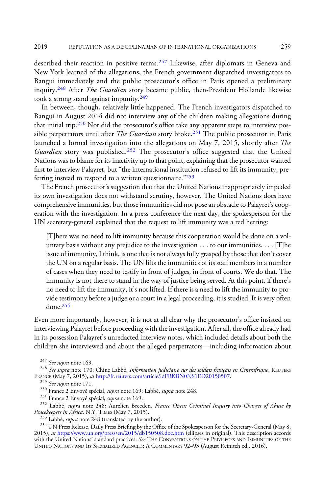described their reaction in positive terms.<sup>247</sup> Likewise, after diplomats in Geneva and New York learned of the allegations, the French government dispatched investigators to Bangui immediately and the public prosecutor's office in Paris opened a preliminary inquiry.<sup>248</sup> After *The Guardian* story became public, then-President Hollande likewise took a strong stand against impunity.<sup>249</sup>

In between, though, relatively little happened. The French investigators dispatched to Bangui in August 2014 did not interview any of the children making allegations during that initial trip.<sup>250</sup> Nor did the prosecutor's office take any apparent steps to interview possible perpetrators until after *The Guardian* story broke.<sup>251</sup> The public prosecutor in Paris launched a formal investigation into the allegations on May 7, 2015, shortly after The Guardian story was published.<sup>252</sup> The prosecutor's office suggested that the United Nations was to blame for its inactivity up to that point, explaining that the prosecutor wanted first to interview Palayret, but "the international institution refused to lift its immunity, preferring instead to respond to a written questionnaire."<sup>253</sup>

The French prosecutor's suggestion that that the United Nations inappropriately impeded its own investigation does not withstand scrutiny, however. The United Nations does have comprehensive immunities, but those immunities did not pose an obstacle to Palayret's cooperation with the investigation. In a press conference the next day, the spokesperson for the UN secretary-general explained that the request to lift immunity was a red herring:

[T]here was no need to lift immunity because this cooperation would be done on a voluntary basis without any prejudice to the investigation . . . to our immunities. . . . [T]he issue of immunity, I think, is one that is not always fully grasped by those that don't cover the UN on a regular basis. The UN lifts the immunities of its staff members in a number of cases when they need to testify in front of judges, in front of courts. We do that. The immunity is not there to stand in the way of justice being served. At this point, if there's no need to lift the immunity, it's not lifted. If there is a need to lift the immunity to provide testimony before a judge or a court in a legal proceeding, it is studied. It is very often done.<sup>254</sup>

Even more importantly, however, it is not at all clear why the prosecutor's office insisted on interviewing Palayret before proceeding with the investigation. After all, the office already had in its possession Palayret's unredacted interview notes, which included details about both the children she interviewed and about the alleged perpetrators—including information about

 $^{253}$  Labbé, *supra* note 248 (translated by the author).

<sup>254</sup> UN Press Release, Daily Press Briefing by the Office of the Spokesperson for the Secretary-General (May 8, 2015), at <https://www.un.org/press/en/2015/db150508.doc.htm> (ellipses in original). This description accords with the United Nations' standard practices. See THE CONVENTIONS ON THE PRIVILEGES AND IMMUNITIES OF THE UNITED NATIONS AND Its SPECIALIZED AGENCIES:ACOMMENTARY 92–93 (August Reinisch ed., 2016).

<sup>&</sup>lt;sup>247</sup> See supra note 169.<br><sup>248</sup> See supra note 170; Chine Labbé, *Information judiciaire sur des soldats français en Centrafrique*, REUTERS<br>FRANCE (May 7, 2015), *at* http://fr.reuters.com/article/idFRKBN0NS1ED20150507.

<sup>&</sup>lt;sup>249</sup> See supra note 171.<br><sup>250</sup> France 2 Envoyé spécial, *supra* note 169; Labbé, *supra* note 248.<br><sup>251</sup> France 2 Envoyé spécial, *supra* note 169.<br><sup>252</sup> Labbé, *supra* note 248; Aurelien Breeden, *France Opens Criminal I*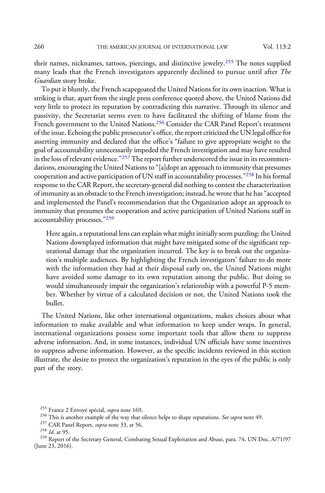their names, nicknames, tattoos, piercings, and distinctive jewelry.<sup>255</sup> The notes supplied many leads that the French investigators apparently declined to pursue until after The Guardian story broke.

To put it bluntly, the French scapegoated the United Nations for its own inaction. What is striking is that, apart from the single press conference quoted above, the United Nations did very little to protect its reputation by contradicting this narrative. Through its silence and passivity, the Secretariat seems even to have facilitated the shifting of blame from the French government to the United Nations.<sup>256</sup> Consider the CAR Panel Report's treatment of the issue. Echoing the public prosecutor's office, the report criticized the UN legal office for asserting immunity and declared that the office's "failure to give appropriate weight to the goal of accountability unnecessarily impeded the French investigation and may have resulted in the loss of relevant evidence."<sup>257</sup> The report further underscored the issue in its recommendations, encouraging the United Nations to "[a]dopt an approach to immunity that presumes cooperation and active participation of UN staff in accountability processes."<sup>258</sup> In his formal response to the CAR Report, the secretary-general did nothing to contest the characterization of immunity as an obstacle to the French investigation; instead, he wrote that he has"accepted and implemented the Panel's recommendation that the Organization adopt an approach to immunity that presumes the cooperation and active participation of United Nations staff in accountability processes."<sup>259</sup>

Here again, a reputational lens can explain what might initially seem puzzling: the United Nations downplayed information that might have mitigated some of the significant reputational damage that the organization incurred. The key is to break out the organization's multiple audiences. By highlighting the French investigators' failure to do more with the information they had at their disposal early on, the United Nations might have avoided some damage to its own reputation among the public. But doing so would simultaneously impair the organization's relationship with a powerful P-5 member. Whether by virtue of a calculated decision or not, the United Nations took the bullet.

The United Nations, like other international organizations, makes choices about what information to make available and what information to keep under wraps. In general, international organizations possess some important tools that allow them to suppress adverse information. And, in some instances, individual UN officials have some incentives to suppress adverse information. However, as the specific incidents reviewed in this section illustrate, the desire to protect the organization's reputation in the eyes of the public is only part of the story.

<sup>&</sup>lt;sup>255</sup> France 2 Envoyé spécial, supra note 169.

<sup>&</sup>lt;sup>256</sup> This is another example of the way that silence helps to shape reputations. *See supra* note 49.<br><sup>257</sup> CAR Panel Report, *supra* note 33, at 56.<br><sup>258</sup> Id. at 95.<br><sup>259</sup> Report of the Secretary General, Combating Sexu (June 23, 2016).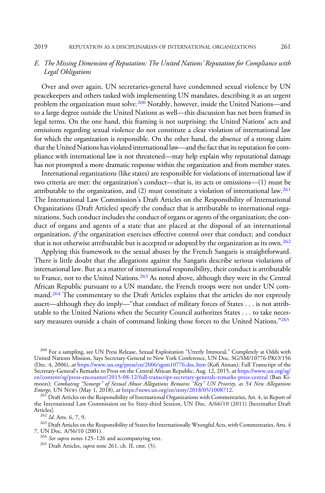#### 2019 REPUTATION AS A DISCIPLINARIAN OF INTERNATIONAL ORGANIZATIONS 261

#### E. The Missing Dimension of Reputation: The United Nations' Reputation for Compliance with Legal Obligations

Over and over again, UN secretaries-general have condemned sexual violence by UN peacekeepers and others tasked with implementing UN mandates, describing it as an urgent problem the organization must solve.<sup>260</sup> Notably, however, inside the United Nations—and to a large degree outside the United Nations as well—this discussion has not been framed in legal terms. On the one hand, this framing is not surprising: the United Nations' acts and omissions regarding sexual violence do not constitute a clear violation of international law for which the organization is responsible. On the other hand, the absence of a strong claim that the United Nations has violated international law—and the fact that its reputation for compliance with international law is not threatened—may help explain why reputational damage has not prompted a more dramatic response within the organization and from member states.

International organizations (like states) are responsible for violations of international law if two criteria are met: the organization's conduct—that is, its acts or omissions—(1) must be attributable to the organization, and  $(2)$  must constitute a violation of international law.<sup>261</sup> The International Law Commission's Draft Articles on the Responsibility of International Organizations (Draft Articles) specify the conduct that is attributable to international organizations. Such conduct includes the conduct of organs or agents of the organization; the conduct of organs and agents of a state that are placed at the disposal of an international organization, if the organization exercises effective control over that conduct; and conduct that is not otherwise attributable but is accepted or adopted by the organization as its own.<sup>262</sup>

Applying this framework to the sexual abuses by the French Sangaris is straightforward. There is little doubt that the allegations against the Sangaris describe serious violations of international law. But as a matter of international responsibility, their conduct is attributable to France, not to the United Nations.<sup>263</sup> As noted above, although they were in the Central African Republic pursuant to a UN mandate, the French troops were not under UN command.<sup>264</sup> The commentary to the Draft Articles explains that the articles do not expressly assert—although they do imply—"that conduct of military forces of States . . . is not attributable to the United Nations when the Security Council authorizes States . . . to take necessary measures outside a chain of command linking those forces to the United Nations."265

<sup>260</sup> For a sampling, see UN Press Release, Sexual Exploitation "Utterly Immoral," Completely at Odds with United Nations Mission, Says Secretary-General to New York Conference, UN Doc. SG/SM/10776-PKO/156 (Dec. 4, 2006), at <https://www.un.org/press/en/2006/sgsm10776.doc.htm> (Kofi Annan); Full Transcript of the Secretary-General's Remarks to Press on the Central African Republic, Aug. 12, 2015, at [https://www.un.org/sg/](https://www.un.org/sg/en/content/sg/press-encounter/2015-08-12/full-transcript-secretary-generals-remarks-press-central) [en/content/sg/press-encounter/2015-08-12/full-transcript-secretary-generals-remarks-press-central](https://www.un.org/sg/en/content/sg/press-encounter/2015-08-12/full-transcript-secretary-generals-remarks-press-central) (Ban Kimoon); Combating "Scourge" of Sexual Abuse Allegations Remains "Key" UN Priority, as 54 New Allegations

 $^{261}$  Draft Articles on the Responsibility of International Organizations with Commentaries, Art. 4, in Report of the International Law Commission on Its Sixty-third Session, UN Doc. A/66/10 (2011) [hereinafter Draft

Articles].<br><sup>262</sup> Id. Arts. 6, 7, 9.<br><sup>263</sup> Draft Articles on the Responsibility of States for Internationally Wrongful Acts, with Commentaries, Arts. 4<br>7, UN Doc. A/56/10 (2001).

 $264$  See supra notes 125–126 and accompanying text.

<sup>265</sup> Draft Articles, supra note 261, ch. II, cmt. (5).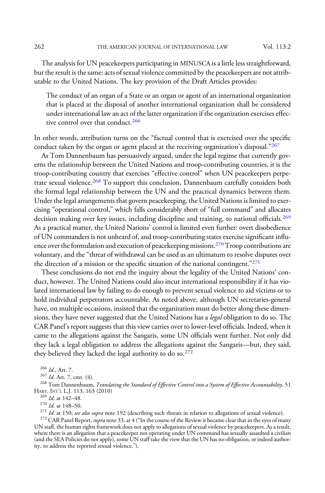262 THE AMERICAN JOURNAL OF INTERNATIONAL LAW Vol. 113:2

The analysis for UN peacekeepers participating in MINUSCA is a little less straightforward, but the result is the same: acts of sexual violence committed by the peacekeepers are not attributable to the United Nations. The key provision of the Draft Articles provides:

The conduct of an organ of a State or an organ or agent of an international organization that is placed at the disposal of another international organization shall be considered under international law an act of the latter organization if the organization exercises effective control over that conduct.<sup>266</sup>

In other words, attribution turns on the "factual control that is exercised over the specific conduct taken by the organ or agent placed at the receiving organization's disposal."267

As Tom Dannenbaum has persuasively argued, under the legal regime that currently governs the relationship between the United Nations and troop-contributing countries, it is the troop-contributing country that exercises "effective control" when UN peacekeepers perpetrate sexual violence.<sup>268</sup> To support this conclusion, Dannenbaum carefully considers both the formal legal relationship between the UN and the practical dynamics between them. Under the legal arrangements that govern peacekeeping, the United Nations is limited to exercising "operational control," which falls considerably short of "full command" and allocates decision making over key issues, including discipline and training, to national officials.<sup>269</sup> As a practical matter, the United Nations' control is limited even further: overt disobedience of UN commanders is not unheard of, and troop-contributing states exercise significant influence over the formulation and execution of peacekeeping missions.<sup>270</sup> Troop contributions are voluntary, and the "threat of withdrawal can be used as an ultimatum to resolve disputes over the direction of a mission or the specific situation of the national contingent." $271$ 

These conclusions do not end the inquiry about the legality of the United Nations' conduct, however. The United Nations could also incur international responsibility if it has violated international law by failing to do enough to prevent sexual violence to aid victims or to hold individual perpetrators accountable. As noted above, although UN secretaries-general have, on multiple occasions, insisted that the organization must do better along these dimensions, they have never suggested that the United Nations has a *legal* obligation to do so. The CAR Panel's report suggests that this view carries over to lower-level officials. Indeed, when it came to the allegations against the Sangaris, some UN officials went further. Not only did they lack a legal obligation to address the allegations against the Sangaris—but, they said, they believed they lacked the legal authority to do so. $272$ 

<sup>269</sup> *Id.* at 142–48.<br><sup>270</sup> *Id.* at 148–50.<br><sup>271</sup> *Id.* at 150; *see also supra* note 192 (describing such threats in relation to allegations of sexual violence).<br><sup>272</sup> CAR Panel Report, *supra* note 33, at 4 ("In the c UN staff, the human rights framework does not apply to allegations of sexual violence by peacekeepers. As a result, where there is an allegation that a peacekeeper not operating under UN command has sexually assaulted a civilian (and the SEA Policies do not apply), some UN staff take the view that the UN has no obligation, or indeed authority, to address the reported sexual violence.").

 $^{266}$  *Id.*, Art. 7.<br> $^{267}$  *Id.* Art. 7, cmt. (4).

<sup>&</sup>lt;sup>268</sup> Tom Dannenbaum, *Translating the Standard of Effective Control into a System of Effective Accountability*, 51<br>HARV. INT'L L.J. 113, 163 (2010)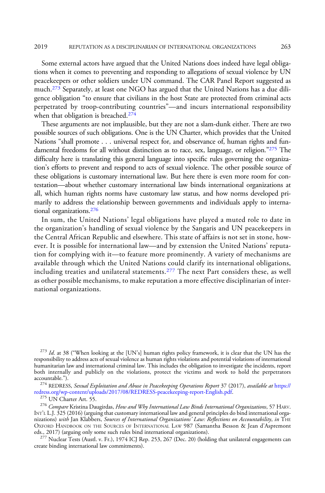Some external actors have argued that the United Nations does indeed have legal obligations when it comes to preventing and responding to allegations of sexual violence by UN peacekeepers or other soldiers under UN command. The CAR Panel Report suggested as much.<sup>273</sup> Separately, at least one NGO has argued that the United Nations has a due diligence obligation "to ensure that civilians in the host State are protected from criminal acts perpetrated by troop-contributing countries"—and incurs international responsibility when that obligation is breached.<sup>274</sup>

These arguments are not implausible, but they are not a slam-dunk either. There are two possible sources of such obligations. One is the UN Charter, which provides that the United Nations "shall promote . . . universal respect for, and observance of, human rights and fundamental freedoms for all without distinction as to race, sex, language, or religion."<sup>275</sup> The difficulty here is translating this general language into specific rules governing the organization's efforts to prevent and respond to acts of sexual violence. The other possible source of these obligations is customary international law. But here there is even more room for contestation—about whether customary international law binds international organizations at all, which human rights norms have customary law status, and how norms developed primarily to address the relationship between governments and individuals apply to international organizations.276

In sum, the United Nations' legal obligations have played a muted role to date in the organization's handling of sexual violence by the Sangaris and UN peacekeepers in the Central African Republic and elsewhere. This state of affairs is not set in stone, however. It is possible for international law—and by extension the United Nations' reputation for complying with it—to feature more prominently. A variety of mechanisms are available through which the United Nations could clarify its international obligations, including treaties and unilateral statements. $277$  The next Part considers these, as well as other possible mechanisms, to make reputation a more effective disciplinarian of international organizations.

 $^{274}$  REDRESS, Sexual Exploitation and Abuse in Peacekeeping Operations Report 37 (2017), available at [https://](https://redress.org/wp-content/uploads/2017/08/REDRESS-peacekeeping-report-English.pdf) [redress.org/wp-content/uploads/2017/08/REDRESS-peacekeeping-report-English.pdf.](https://redress.org/wp-content/uploads/2017/08/REDRESS-peacekeeping-report-English.pdf) <sup>275</sup> UN Charter Art. 55.

 $^{277}$  Nuclear Tests (Austl. v. Fr.), 1974 ICJ Rep. 253, 267 (Dec. 20) (holding that unilateral engagements can create binding international law commitments).

<sup>&</sup>lt;sup>273</sup> Id. at 38 ("When looking at the [UN's] human rights policy framework, it is clear that the UN has the responsibility to address acts of sexual violence as human rights violations and potential violations of international humanitarian law and international criminal law. This includes the obligation to investigate the incidents, report both internally and publicly on the violations, protect the victims and work to hold the perpetrators accountable.").

 $^{276}$  Compare Kristina Daugirdas, How and Why International Law Binds International Organizations, 57 HARV. INT'<sup>L</sup> L.J. 325 (2016) (arguing that customary international law and general principles do bind international organizations) *with* Jan Klabbers, *Sources of International Organizations' Law: Reflections on Accountability, in* THE OXFORD HANDBOOK ON THE SOURCES OF INTERNATIONAL LAW 987 (Samantha Besson & Jean d'Aspremont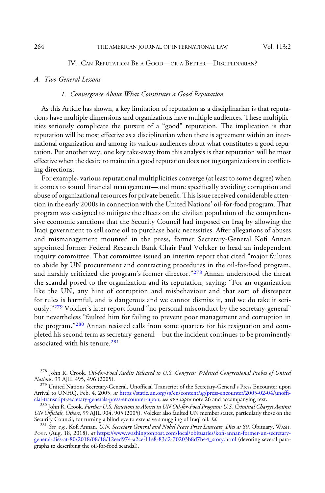#### IV. CAN REPUTATION BE A GOOD—OR A BETTER—DISCIPLINARIAN?

#### A. Two General Lessons

#### 1. Convergence About What Constitutes a Good Reputation

As this Article has shown, a key limitation of reputation as a disciplinarian is that reputations have multiple dimensions and organizations have multiple audiences. These multiplicities seriously complicate the pursuit of a "good" reputation. The implication is that reputation will be most effective as a disciplinarian when there is agreement within an international organization and among its various audiences about what constitutes a good reputation. Put another way, one key take-away from this analysis is that reputation will be most effective when the desire to maintain a good reputation does not tug organizations in conflicting directions.

For example, various reputational multiplicities converge (at least to some degree) when it comes to sound financial management—and more specifically avoiding corruption and abuse of organizational resources for private benefit. This issue received considerable attention in the early 2000s in connection with the United Nations' oil-for-food program. That program was designed to mitigate the effects on the civilian population of the comprehensive economic sanctions that the Security Council had imposed on Iraq by allowing the Iraqi government to sell some oil to purchase basic necessities. After allegations of abuses and mismanagement mounted in the press, former Secretary-General Kofi Annan appointed former Federal Research Bank Chair Paul Volcker to head an independent inquiry committee. That committee issued an interim report that cited "major failures to abide by UN procurement and contracting procedures in the oil-for-food program, and harshly criticized the program's former director."<sup>278</sup> Annan understood the threat the scandal posed to the organization and its reputation, saying: "For an organization like the UN, any hint of corruption and misbehaviour and that sort of disrespect for rules is harmful, and is dangerous and we cannot dismiss it, and we do take it seriously."<sup>279</sup> Volcker's later report found "no personal misconduct by the secretary-general" but nevertheless "faulted him for failing to prevent poor management and corruption in the program."<sup>280</sup> Annan resisted calls from some quarters for his resignation and completed his second term as secretary-general—but the incident continues to be prominently associated with his tenure.<sup>281</sup>

 $^{278}$  John R. Crook, Oil-for-Food Audits Released to U.S. Congress; Widened Congressional Probes of United Nations, 99 AJIL 495, 496 (2005).

<sup>&</sup>lt;sup>279</sup> United Nations Secretary-General, Unofficial Transcript of the Secretary-General's Press Encounter upon Arrival to UNHQ, Feb. 4, 2005, at [https://static.un.org/sg/en/content/sg/press-encounter/2005-02-04/unof](https://static.un.org/sg/en/content/sg/press-encounter/2005-02-04/unofficial-transcript-secretary-generals-press-encounter-upon)fi-<br>cial-transcript-secretary-generals-press-encounter-upon; see also supra note 26 and accompanying text.

 $^{280}$  John R. Crook, Further U.S. Reactions to Abuses in UN Oil-for-Food Program; U.S. Criminal Charges Against UN Officials, Others, 99 AJIL 904, 905 (2005). Volcker also faulted UN member states, particularly those on the Security Council, for turning a blind eye to extensive smuggling of Iraqi oil. Id.

<sup>&</sup>lt;sup>281</sup> See, e.g., Kofi Annan, U.N. Secretary General and Nobel Peace Prize Laureate, Dies at 80, Obituary, WASH. POST. (Aug. 18, 2018), at [https://www.washingtonpost.com/local/obituaries/ko](https://www.washingtonpost.com/local/obituaries/kofi-annan-former-un-secretary-general-dies-at-80/2018/08/18/12eed974-a2ce-11e8-83d2-70203b8d7b44_story.html)fi-annan-former-un-secretary[general-dies-at-80/2018/08/18/12eed974-a2ce-11e8-83d2-70203b8d7b44\\_story.html](https://www.washingtonpost.com/local/obituaries/kofi-annan-former-un-secretary-general-dies-at-80/2018/08/18/12eed974-a2ce-11e8-83d2-70203b8d7b44_story.html) (devoting several paragraphs to describing the oil-for-food scandal).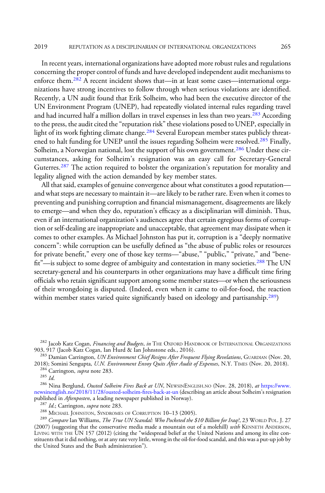#### 2019 REPUTATION AS A DISCIPLINARIAN OF INTERNATIONAL ORGANIZATIONS 265

In recent years, international organizations have adopted more robust rules and regulations concerning the proper control of funds and have developed independent audit mechanisms to enforce them.<sup>282</sup> A recent incident shows that—in at least some cases—international organizations have strong incentives to follow through when serious violations are identified. Recently, a UN audit found that Erik Solheim, who had been the executive director of the UN Environment Program (UNEP), had repeatedly violated internal rules regarding travel and had incurred half a million dollars in travel expenses in less than two years.<sup>283</sup> According to the press, the audit cited the "reputation risk" these violations posed to UNEP, especially in light of its work fighting climate change.<sup>284</sup> Several European member states publicly threatened to halt funding for UNEP until the issues regarding Solheim were resolved.<sup>285</sup> Finally, Solheim, a Norwegian national, lost the support of his own government.<sup>286</sup> Under these circumstances, asking for Solheim's resignation was an easy call for Secretary-General Guterres.<sup>287</sup> The action required to bolster the organization's reputation for morality and legality aligned with the action demanded by key member states.

All that said, examples of genuine convergence about what constitutes a good reputation and what steps are necessary to maintain it—are likely to be rather rare. Even when it comes to preventing and punishing corruption and financial mismanagement, disagreements are likely to emerge—and when they do, reputation's efficacy as a disciplinarian will diminish. Thus, even if an international organization's audiences agree that certain egregious forms of corruption or self-dealing are inappropriate and unacceptable, that agreement may dissipate when it comes to other examples. As Michael Johnston has put it, corruption is a "deeply normative concern": while corruption can be usefully defined as "the abuse of public roles or resources for private benefit," every one of those key terms—"abuse," "public," "private," and "benefit"—is subject to some degree of ambiguity and contestation in many societies.<sup>288</sup> The UN secretary-general and his counterparts in other organizations may have a difficult time firing officials who retain significant support among some member states—or when the seriousness of their wrongdoing is disputed. (Indeed, even when it came to oil-for-food, the reaction within member states varied quite significantly based on ideology and partisanship.<sup>289</sup>)

 $^{282}$  Jacob Katz Cogan, *Financing and Budgets, in* THE OXFORD HANDBOOK OF INTERNATIONAL ORGANIZATIONS 903, 917 (Jacob Katz Cogan, Ian Hurd & Ian Johnstone eds., 2016).

<sup>283</sup> Damian Carrington, *UN Environment Chief Resigns After Frequent Flying Revelations*, GUARDIAN (Nov. 20, 2018).<br>2018); Somini Sengupta, *U.N. Environment Envoy Quits After Audit of Expenses*, N.Y. TIMES (Nov. 20, 2018

<sup>284</sup> Carrington, *supra* note 283.<br><sup>285</sup> Id.<br><sup>286</sup> Nina Berglund, *Ousted Solheim Fires Back at UN*, NEWSINENGLISH.NO (Nov. 28, 2018), *at* [https://www.](https://www.newsinenglish.no/2018/11/28/ousted-solheim-fires-back-at-un) [newsinenglish.no/2018/11/28/ousted-solheim-](https://www.newsinenglish.no/2018/11/28/ousted-solheim-fires-back-at-un)fires-back-at-un (describing an article about Solheim's resignation<br>published in Aftenposten, a leading newspaper published in Norway).

<sup>287</sup> *Id*.; Carrington, *supra* note 283.<br><sup>288</sup> Michael Johnston, Syndromes of Corruption 10–13 (2005).<br><sup>289</sup> Compare Ian Williams, *The True UN Scandal: Who Pocketed the \$10 Billion for Iraq?*, 23 WORLD POL. J. 27 (2007) (suggesting that the conservative media made a mountain out of a molehill) with KENNETH ANDERSON, LIVING WITH THE UN 157 (2012) (citing the "widespread belief at the United Nations and among its elite constituents that it did nothing, or at any rate very little, wrong in the oil-for-food scandal, and this was a put-up job by the United States and the Bush administration").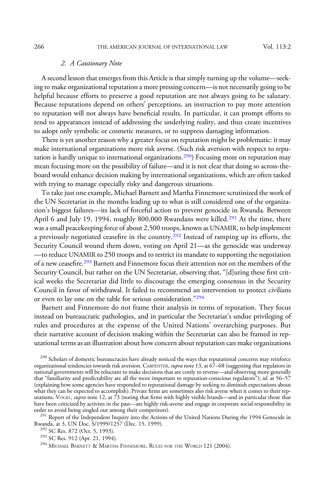#### 2. A Cautionary Note

A second lesson that emerges from this Article is that simply turning up the volume—seeking to make organizational reputation a more pressing concern—is not necessarily going to be helpful because efforts to preserve a good reputation are not always going to be salutary. Because reputations depend on others' perceptions, an instruction to pay more attention to reputation will not always have beneficial results. In particular, it can prompt efforts to tend to appearances instead of addressing the underlying reality, and thus create incentives to adopt only symbolic or cosmetic measures, or to suppress damaging information.

There is yet another reason why a greater focus on reputation might be problematic: it may make international organizations more risk averse. (Such risk aversion with respect to reputation is hardly unique to international organizations.<sup>290</sup>) Focusing more on reputation may mean focusing more on the possibility of failure—and it is not clear that doing so across-theboard would enhance decision making by international organizations, which are often tasked with trying to manage especially risky and dangerous situations.

To take just one example, Michael Barnett and Martha Finnemore scrutinized the work of the UN Secretariat in the months leading up to what is still considered one of the organization's biggest failures—its lack of forceful action to prevent genocide in Rwanda. Between April 6 and July 19, 1994, roughly 800,000 Rwandans were killed.<sup>291</sup> At the time, there was a small peacekeeping force of about 2,500 troops, known as UNAMIR, to help implement a previously negotiated ceasefire in the country.<sup>292</sup> Instead of ramping up its efforts, the Security Council wound them down, voting on April 21—as the genocide was underway —to reduce UNAMIR to 250 troops and to restrict its mandate to supporting the negotiation of a new ceasefire.<sup>293</sup> Barnett and Finnemore focus their attention not on the members of the Security Council, but rather on the UN Secretariat, observing that, "[d]uring these first critical weeks the Secretariat did little to discourage the emerging consensus in the Security Council in favor of withdrawal. It failed to recommend an intervention to protect civilians or even to lay one on the table for serious consideration."<sup>294</sup>

Barnett and Finnemore do not frame their analysis in terms of reputation. They focus instead on bureaucratic pathologies, and in particular the Secretariat's undue privileging of rules and procedures at the expense of the United Nations' overarching purposes. But their narrative account of decision making within the Secretariat can also be framed in reputational terms as an illustration about how concern about reputation can make organizations

<sup>291</sup> Report of the Independent Inquiry into the Actions of the United Nations During the 1994 Genocide in Rwanda, at 3, UN Doc. S/1999/1257 (Dec. 15, 1999).<br>
<sup>292</sup> SC Res. 872 (Oct. 5, 1993).<br>
<sup>293</sup> SC Res. 912 (Apr. 21,

<sup>&</sup>lt;sup>290</sup> Scholars of domestic bureaucracies have already noticed the ways that reputational concerns may reinforce organizational tendencies towards risk aversion. CARPENTER, supra note 13, at 67–68 (suggesting that regulators in national governments will be reluctant to make decisions that are costly to reverse—and observing more generally that "familiarity and predictability are all the more important to reputation-conscious regulators"); id. at 56–57 (explaining how some agencies have responded to reputational damage by seeking to diminish expectations about what they can be expected to accomplish). Private firms are sometimes also risk averse when it comes to their reputations. VOGEL, *supra* note 12, at 73 (noting that firms with highly visible brands—and in particular those that have been criticized by activists in the past—are highly risk-averse and engage in corporate social responsibility in order to avoid being singled out among their competitors).<br><sup>291</sup> Report of the Independent Inquiry into the Actions of the United Nations During the 1994 Genocide in

 $^{294}$  MICHAEL BARNETT & MARTHA FINNEMORE, RULES FOR THE WORLD 121 (2004).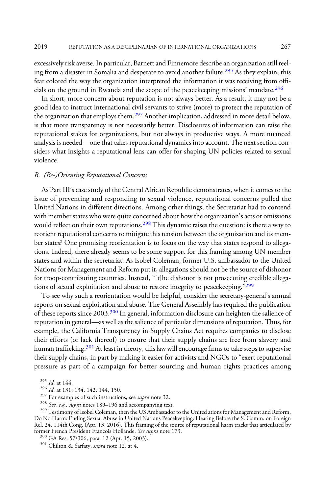excessively risk averse. In particular, Barnett and Finnemore describe an organization still reeling from a disaster in Somalia and desperate to avoid another failure.<sup>295</sup> As they explain, this fear colored the way the organization interpreted the information it was receiving from officials on the ground in Rwanda and the scope of the peacekeeping missions' mandate.<sup>296</sup>

In short, more concern about reputation is not always better. As a result, it may not be a good idea to instruct international civil servants to strive (more) to protect the reputation of the organization that employs them.<sup>297</sup> Another implication, addressed in more detail below, is that more transparency is not necessarily better. Disclosures of information can raise the reputational stakes for organizations, but not always in productive ways. A more nuanced analysis is needed—one that takes reputational dynamics into account. The next section considers what insights a reputational lens can offer for shaping UN policies related to sexual violence.

#### B. (Re-)Orienting Reputational Concerns

As Part III's case study of the Central African Republic demonstrates, when it comes to the issue of preventing and responding to sexual violence, reputational concerns pulled the United Nations in different directions. Among other things, the Secretariat had to contend with member states who were quite concerned about how the organization's acts or omissions would reflect on their own reputations.<sup>298</sup> This dynamic raises the question: is there a way to reorient reputational concerns to mitigate this tension between the organization and its member states? One promising reorientation is to focus on the way that states respond to allegations. Indeed, there already seems to be some support for this framing among UN member states and within the secretariat. As Isobel Coleman, former U.S. ambassador to the United Nations for Management and Reform put it, allegations should not be the source of dishonor for troop-contributing countries. Instead, "[t]he dishonor is not prosecuting credible allegations of sexual exploitation and abuse to restore integrity to peacekeeping."<sup>299</sup>

To see why such a reorientation would be helpful, consider the secretary-general's annual reports on sexual exploitation and abuse. The General Assembly has required the publication of these reports since 2003.<sup>300</sup> In general, information disclosure can heighten the salience of reputation in general—as well as the salience of particular dimensions of reputation. Thus, for example, the California Transparency in Supply Chains Act requires companies to disclose their efforts (or lack thereof) to ensure that their supply chains are free from slavery and human trafficking.<sup>301</sup> At least in theory, this law will encourage firms to take steps to supervise their supply chains, in part by making it easier for activists and NGOs to "exert reputational pressure as part of a campaign for better sourcing and human rights practices among

- 
- 
- 

<sup>&</sup>lt;sup>295</sup> *Id.* at 144.<br><sup>296</sup> *Id.* at 131, 134, 142, 144, 150.<br><sup>297</sup> For examples of such instructions, see *supra* note 32.<br><sup>298</sup> *See, e.g., supra* notes 189–196 and accompanying text.<br><sup>299</sup> Testimony of Isobel Coleman, th Do No Harm: Ending Sexual Abuse in United Nations Peacekeeping: Hearing Before the S. Comm. on Foreign Rel. 24, 114th Cong. (Apr. 13, 2016). This framing of the source of reputational harm tracks that articulated by former French President François Hollande. *See supra* note 173.<br><sup>300</sup> GA Res. 57/306, para. 12 (Apr. 15, 2003).<br><sup>301</sup> Chilton & Sarfaty, *supra* note 12, at 4.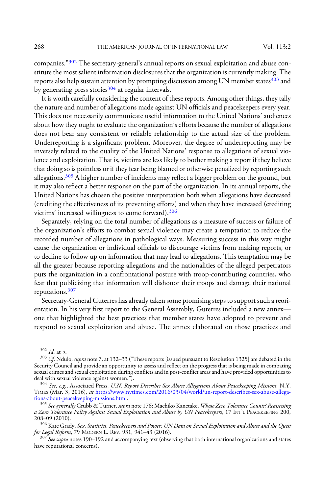companies."<sup>302</sup> The secretary-general's annual reports on sexual exploitation and abuse constitute the most salient information disclosures that the organization is currently making. The reports also help sustain attention by prompting discussion among UN member states $303$  and by generating press stories $304$  at regular intervals.

It is worth carefully considering the content of these reports. Among other things, they tally the nature and number of allegations made against UN officials and peacekeepers every year. This does not necessarily communicate useful information to the United Nations' audiences about how they ought to evaluate the organization's efforts because the number of allegations does not bear any consistent or reliable relationship to the actual size of the problem. Underreporting is a significant problem. Moreover, the degree of underreporting may be inversely related to the quality of the United Nations' response to allegations of sexual violence and exploitation. That is, victims are less likely to bother making a report if they believe that doing so is pointless or if they fear being blamed or otherwise penalized by reporting such allegations.<sup>305</sup> A higher number of incidents may reflect a bigger problem on the ground, but it may also reflect a better response on the part of the organization. In its annual reports, the United Nations has chosen the positive interpretation both when allegations have decreased (crediting the effectiveness of its preventing efforts) and when they have increased (crediting victims' increased willingness to come forward).<sup>306</sup>

Separately, relying on the total number of allegations as a measure of success or failure of the organization's efforts to combat sexual violence may create a temptation to reduce the recorded number of allegations in pathological ways. Measuring success in this way might cause the organization or individual officials to discourage victims from making reports, or to decline to follow up on information that may lead to allegations. This temptation may be all the greater because reporting allegations and the nationalities of the alleged perpetrators puts the organization in a confrontational posture with troop-contributing countries, who fear that publicizing that information will dishonor their troops and damage their national reputations.<sup>307</sup>

Secretary-General Guterres has already taken some promising steps to support such a reorientation. In his very first report to the General Assembly, Guterres included a new annex one that highlighted the best practices that member states have adopted to prevent and respond to sexual exploitation and abuse. The annex elaborated on those practices and

f*or Legal Reform*, 79 MODERN L. REV. 931, 941–43 (2016).<br><sup>307</sup> *See supra* notes 190–192 and accompanying text (observing that both international organizations and states

have reputational concerns).

 $\frac{302}{302}$  *Id.* at 5.<br> $\frac{303}{302}$  *Cf.* Ndulo, *supra* note 7, at 132–33 ("These reports [issued pursuant to Resolution 1325] are debated in the Security Council and provide an opportunity to assess and reflect on the progress that is being made in combating sexual crimes and sexual exploitation during conflicts and in post-conflict areas and have provided opportunities to deal with sexual violence against women.").

<sup>&</sup>lt;sup>304</sup> See, e.g., Associated Press, U.N. Report Describes Sex Abuse Allegations About Peacekeeping Missions, N.Y. TIMES (Mar. 3, 2016), at [https://www.nytimes.com/2016/03/04/world/un-report-describes-sex-abuse-allega](https://www.nytimes.com/2016/03/04/world/un-report-describes-sex-abuse-allegations-about-peacekeeping-missions.html)[tions-about-peacekeeping-missions.html](https://www.nytimes.com/2016/03/04/world/un-report-describes-sex-abuse-allegations-about-peacekeeping-missions.html).<br><sup>305</sup> See generally Grubb & Turner, *supra* note 176; Machiko Kanetake, *Whose Zero Tolerance Counts? Reassessing* 

a Zero Tolerance Policy Against Sexual Exploitation and Abuse by UN Peacekeepers, 17 INT'<sup>L</sup> PEACEKEEPING 200, 208–09 (2010).<br><sup>306</sup> Kate Grady, *Sex, Statistics, Peacekeepers and Power: UN Data on Sexual Exploitation and Abuse and the Quest*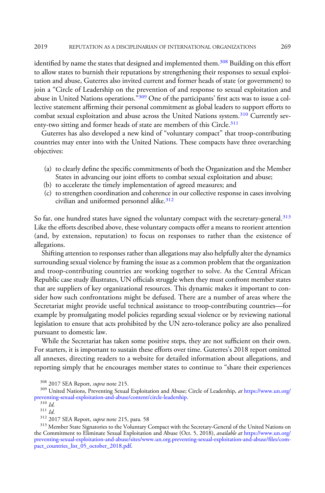identified by name the states that designed and implemented them.<sup>308</sup> Building on this effort to allow states to burnish their reputations by strengthening their responses to sexual exploitation and abuse, Guterres also invited current and former heads of state (or government) to join a "Circle of Leadership on the prevention of and response to sexual exploitation and abuse in United Nations operations."<sup>309</sup> One of the participants' first acts was to issue a collective statement affirming their personal commitment as global leaders to support efforts to combat sexual exploitation and abuse across the United Nations system.<sup>310</sup> Currently seventy-two sitting and former heads of state are members of this Circle.<sup>311</sup>

Guterres has also developed a new kind of "voluntary compact" that troop-contributing countries may enter into with the United Nations. These compacts have three overarching objectives:

- (a) to clearly define the specific commitments of both the Organization and the Member States in advancing our joint efforts to combat sexual exploitation and abuse;
- (b) to accelerate the timely implementation of agreed measures; and
- (c) to strengthen coordination and coherence in our collective response in cases involving civilian and uniformed personnel alike.<sup>312</sup>

So far, one hundred states have signed the voluntary compact with the secretary-general.<sup>313</sup> Like the efforts described above, these voluntary compacts offer a means to reorient attention (and, by extension, reputation) to focus on responses to rather than the existence of allegations.

Shifting attention to responses rather than allegations may also helpfully alter the dynamics surrounding sexual violence by framing the issue as a common problem that the organization and troop-contributing countries are working together to solve. As the Central African Republic case study illustrates, UN officials struggle when they must confront member states that are suppliers of key organizational resources. This dynamic makes it important to consider how such confrontations might be defused. There are a number of areas where the Secretariat might provide useful technical assistance to troop-contributing countries—for example by promulgating model policies regarding sexual violence or by reviewing national legislation to ensure that acts prohibited by the UN zero-tolerance policy are also penalized pursuant to domestic law.

While the Secretariat has taken some positive steps, they are not sufficient on their own. For starters, it is important to sustain these efforts over time. Guterres's 2018 report omitted all annexes, directing readers to a website for detailed information about allegations, and reporting simply that he encourages member states to continue to "share their experiences

<sup>&</sup>lt;sup>308</sup> 2017 SEA Report, *supra* note 215.<br><sup>309</sup> United Nations, Preventing Sexual Exploitation and Abuse; Circle of Leadership, *at* [https://www.un.org/](https://www.un.org/preventing-sexual-exploitation-and-abuse/content/circle-leadership)<br>preventing-sexual-exploitation-and-abuse/content/circle-leadership.

[preventing-sexual-exploitation-and-abuse/content/circle-leadership](https://www.un.org/preventing-sexual-exploitation-and-abuse/content/circle-leadership).<br><sup>310</sup> Id.<br><sup>312</sup> 2017 SEA Report, *supra* note 215, para. 58<br><sup>313</sup> Member State Signatories to the Voluntary Compact with the Secretary-General of the Unit the Commitment to Eliminate Sexual Exploitation and Abuse (Oct. 5, 2018), *available at* [https://www.un.org/](https://www.un.org/preventing-sexual-exploitation-and-abuse/sites/www.un.org.preventing-sexual-exploitation-and-abuse/files/compact_countries_list_05_october_2018.pdf) [preventing-sexual-exploitation-and-abuse/sites/www.un.org.preventing-sexual-exploitation-and-abuse/](https://www.un.org/preventing-sexual-exploitation-and-abuse/sites/www.un.org.preventing-sexual-exploitation-and-abuse/files/compact_countries_list_05_october_2018.pdf)files/com[pact\\_countries\\_list\\_05\\_october\\_2018.pdf.](https://www.un.org/preventing-sexual-exploitation-and-abuse/sites/www.un.org.preventing-sexual-exploitation-and-abuse/files/compact_countries_list_05_october_2018.pdf)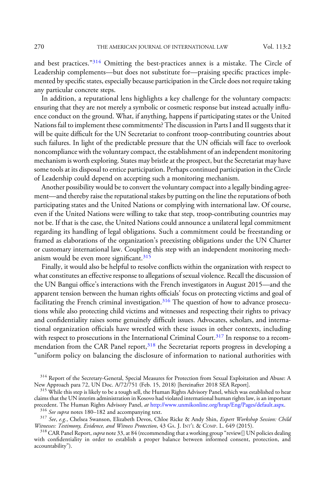and best practices."<sup>314</sup> Omitting the best-practices annex is a mistake. The Circle of Leadership complements—but does not substitute for—praising specific practices implemented by specific states, especially because participation in the Circle does not require taking any particular concrete steps.

In addition, a reputational lens highlights a key challenge for the voluntary compacts: ensuring that they are not merely a symbolic or cosmetic response but instead actually influence conduct on the ground. What, if anything, happens if participating states or the United Nations fail to implement these commitments? The discussion in Parts I and II suggests that it will be quite difficult for the UN Secretariat to confront troop-contributing countries about such failures. In light of the predictable pressure that the UN officials will face to overlook noncompliance with the voluntary compact, the establishment of an independent monitoring mechanism is worth exploring. States may bristle at the prospect, but the Secretariat may have some tools at its disposal to entice participation. Perhaps continued participation in the Circle of Leadership could depend on accepting such a monitoring mechanism.

Another possibility would be to convert the voluntary compact into a legally binding agreement—and thereby raise the reputational stakes by putting on the line the reputations of both participating states and the United Nations or complying with international law. Of course, even if the United Nations were willing to take that step, troop-contributing countries may not be. If that is the case, the United Nations could announce a unilateral legal commitment regarding its handling of legal obligations. Such a commitment could be freestanding or framed as elaborations of the organization's preexisting obligations under the UN Charter or customary international law. Coupling this step with an independent monitoring mechanism would be even more significant.<sup>315</sup>

Finally, it would also be helpful to resolve conflicts within the organization with respect to what constitutes an effective response to allegations of sexual violence. Recall the discussion of the UN Bangui office's interactions with the French investigators in August 2015—and the apparent tension between the human rights officials' focus on protecting victims and goal of facilitating the French criminal investigation.<sup>316</sup> The question of how to advance prosecutions while also protecting child victims and witnesses and respecting their rights to privacy and confidentiality raises some genuinely difficult issues. Advocates, scholars, and international organization officials have wrestled with these issues in other contexts, including with respect to prosecutions in the International Criminal Court.<sup>317</sup> In response to a recommendation from the CAR Panel report,<sup>318</sup> the Secretariat reports progress in developing a "uniform policy on balancing the disclosure of information to national authorities with

 $314$  Report of the Secretary-General, Special Measures for Protection from Sexual Exploitation and Abuse: A New Approach para 72, UN Doc.  $A/72/751$  (Feb. 15, 2018) [hereinafter 2018 SEA Report].

<sup>&</sup>lt;sup>315</sup> While this step is likely to be a tough sell, the Human Rights Advisory Panel, which was established to hear claims that the UN interim administration in Kosovo had violated international human rights law, is an important<br>precedent. The Human Rights Advisory Panel, at http://www.unmikonline.org/hrap/Eng/Pages/default.aspx.

<sup>&</sup>lt;sup>316</sup> See supra notes 180–182 and accompanying text.<br><sup>317</sup> See, e.g., Chelsea Swanson, Elizabeth Devos, Chloe Ricke & Andy Shin, *Expert Workshop Session: Child*<br>Witnesses: Testimony, *Evidence, and Witness Protection*, 43

<sup>&</sup>lt;sup>318</sup> CAR Panel Report, *supra* note 33, at 84 (recommending that a working group "review[] UN policies dealing with confidentiality in order to establish a proper balance between informed consent, protection, and accountability").